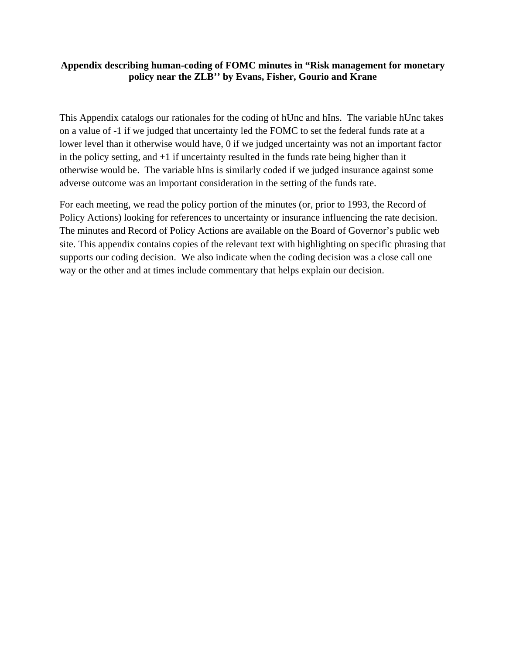# **Appendix describing human-coding of FOMC minutes in "Risk management for monetary policy near the ZLB'' by Evans, Fisher, Gourio and Krane**

This Appendix catalogs our rationales for the coding of hUnc and hIns. The variable hUnc takes on a value of -1 if we judged that uncertainty led the FOMC to set the federal funds rate at a lower level than it otherwise would have, 0 if we judged uncertainty was not an important factor in the policy setting, and +1 if uncertainty resulted in the funds rate being higher than it otherwise would be. The variable hIns is similarly coded if we judged insurance against some adverse outcome was an important consideration in the setting of the funds rate.

For each meeting, we read the policy portion of the minutes (or, prior to 1993, the Record of Policy Actions) looking for references to uncertainty or insurance influencing the rate decision. The minutes and Record of Policy Actions are available on the Board of Governor's public web site. This appendix contains copies of the relevant text with highlighting on specific phrasing that supports our coding decision. We also indicate when the coding decision was a close call one way or the other and at times include commentary that helps explain our decision.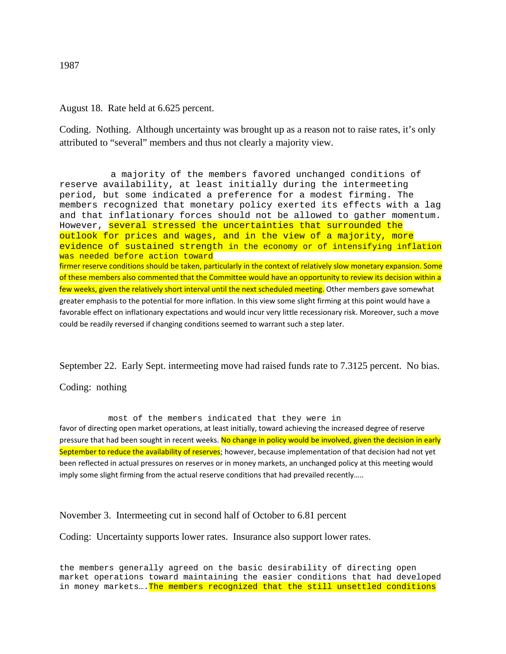# August 18. Rate held at 6.625 percent.

Coding. Nothing. Although uncertainty was brought up as a reason not to raise rates, it's only attributed to "several" members and thus not clearly a majority view.

a majority of the members favored unchanged conditions of reserve availability, at least initially during the intermeeting period, but some indicated a preference for a modest firming. The members recognized that monetary policy exerted its effects with a lag and that inflationary forces should not be allowed to gather momentum. However, several stressed the uncertainties that surrounded the outlook for prices and wages, and in the view of a majority, more evidence of sustained strength in the economy or of intensifying inflation was needed before action toward firmer reserve conditions should be taken, particularly in the context of relatively slow monetary expansion. Some of these members also commented that the Committee would have an opportunity to review its decision within a few weeks, given the relatively short interval until the next scheduled meeting. Other members gave somewhat greater emphasis to the potential for more inflation. In this view some slight firming at this point would have a favorable effect on inflationary expectations and would incur very little recessionary risk. Moreover, such a move could be readily reversed if changing conditions seemed to warrant such a step later.

September 22. Early Sept. intermeeting move had raised funds rate to 7.3125 percent. No bias.

Coding: nothing

most of the members indicated that they were in

favor of directing open market operations, at least initially, toward achieving the increased degree of reserve pressure that had been sought in recent weeks. No change in policy would be involved, given the decision in early September to reduce the availability of reserves; however, because implementation of that decision had not yet been reflected in actual pressures on reserves or in money markets, an unchanged policy at this meeting would imply some slight firming from the actual reserve conditions that had prevailed recently…..

November 3. Intermeeting cut in second half of October to 6.81 percent

Coding: Uncertainty supports lower rates. Insurance also support lower rates.

the members generally agreed on the basic desirability of directing open market operations toward maintaining the easier conditions that had developed in money markets.... The members recognized that the still unsettled conditions

1987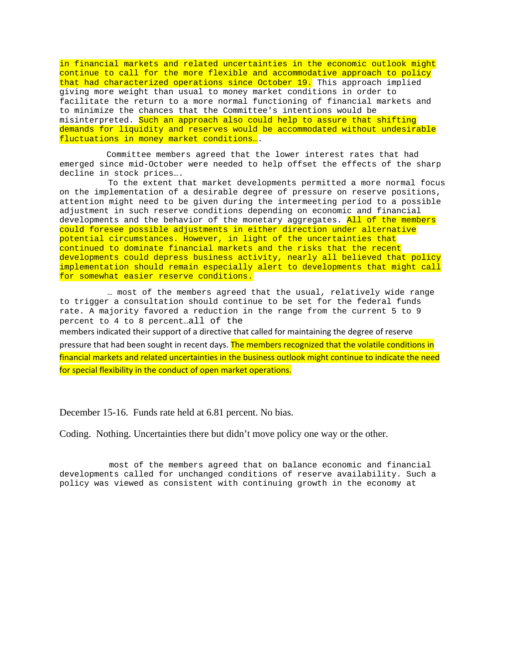in financial markets and related uncertainties in the economic outlook might continue to call for the more flexible and accommodative approach to policy that had characterized operations since October 19. This approach implied giving more weight than usual to money market conditions in order to facilitate the return to a more normal functioning of financial markets and to minimize the chances that the Committee's intentions would be misinterpreted. Such an approach also could help to assure that shifting demands for liquidity and reserves would be accommodated without undesirable fluctuations in money market conditions….

Committee members agreed that the lower interest rates that had emerged since mid-October were needed to help offset the effects of the sharp decline in stock prices….

To the extent that market developments permitted a more normal focus on the implementation of a desirable degree of pressure on reserve positions, attention might need to be given during the intermeeting period to a possible adjustment in such reserve conditions depending on economic and financial developments and the behavior of the monetary aggregates. All of the members could foresee possible adjustments in either direction under alternative potential circumstances. However, in light of the uncertainties that continued to dominate financial markets and the risks that the recent developments could depress business activity, nearly all believed that policy implementation should remain especially alert to developments that might call for somewhat easier reserve conditions.

… most of the members agreed that the usual, relatively wide range to trigger a consultation should continue to be set for the federal funds rate. A majority favored a reduction in the range from the current 5 to 9 percent to 4 to 8 percent…all of the

members indicated their support of a directive that called for maintaining the degree of reserve pressure that had been sought in recent days. The members recognized that the volatile conditions in financial markets and related uncertainties in the business outlook might continue to indicate the need for special flexibility in the conduct of open market operations.

December 15-16. Funds rate held at 6.81 percent. No bias.

Coding. Nothing. Uncertainties there but didn't move policy one way or the other.

most of the members agreed that on balance economic and financial developments called for unchanged conditions of reserve availability. Such a policy was viewed as consistent with continuing growth in the economy at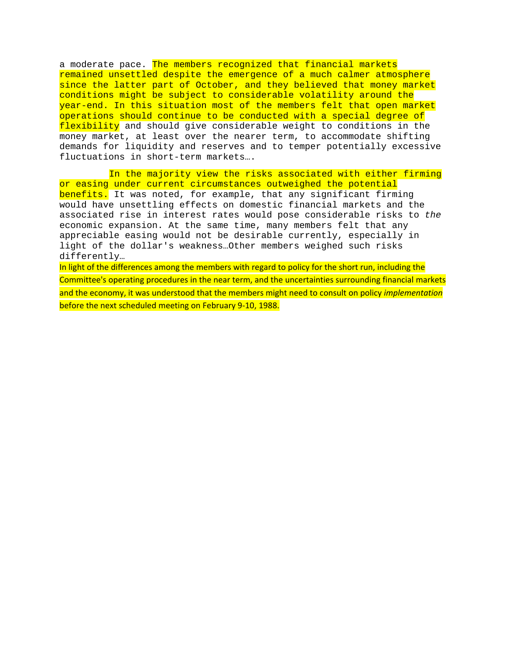a moderate pace. The members recognized that financial markets remained unsettled despite the emergence of a much calmer atmosphere since the latter part of October, and they believed that money market conditions might be subject to considerable volatility around the year-end. In this situation most of the members felt that open market operations should continue to be conducted with a special degree of flexibility and should give considerable weight to conditions in the money market, at least over the nearer term, to accommodate shifting demands for liquidity and reserves and to temper potentially excessive fluctuations in short-term markets….

In the majority view the risks associated with either firming or easing under current circumstances outweighed the potential benefits. It was noted, for example, that any significant firming would have unsettling effects on domestic financial markets and the associated rise in interest rates would pose considerable risks to *the*  economic expansion. At the same time, many members felt that any appreciable easing would not be desirable currently, especially in light of the dollar's weakness…Other members weighed such risks differently…

In light of the differences among the members with regard to policy for the short run, including the Committee's operating procedures in the near term, and the uncertainties surrounding financial markets and the economy, it was understood that the members might need to consult on policy *implementation* before the next scheduled meeting on February 9-10, 1988.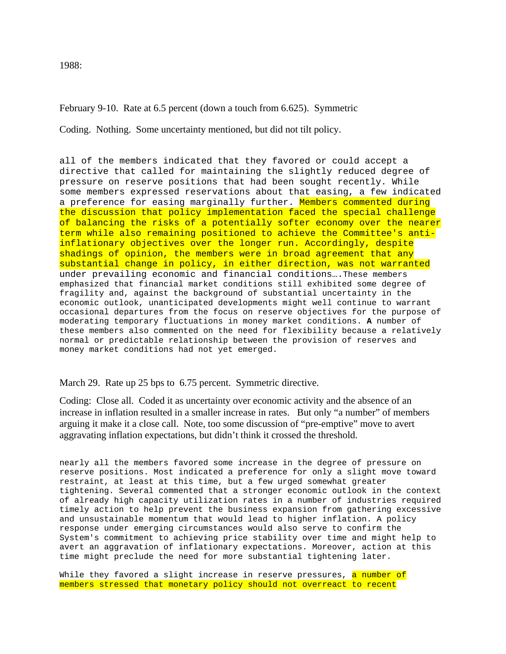1988:

February 9-10. Rate at 6.5 percent (down a touch from 6.625). Symmetric

Coding. Nothing. Some uncertainty mentioned, but did not tilt policy.

all of the members indicated that they favored or could accept a directive that called for maintaining the slightly reduced degree of pressure on reserve positions that had been sought recently. While some members expressed reservations about that easing, a few indicated a preference for easing marginally further. Members commented during the discussion that policy implementation faced the special challenge of balancing the risks of a potentially softer economy over the nearer term while also remaining positioned to achieve the Committee's antiinflationary objectives over the longer run. Accordingly, despite shadings of opinion, the members were in broad agreement that any substantial change in policy, in either direction, was not warranted under prevailing economic and financial conditions….These members emphasized that financial market conditions still exhibited some degree of fragility and, against the background of substantial uncertainty in the economic outlook, unanticipated developments might well continue to warrant occasional departures from the focus on reserve objectives for the purpose of moderating temporary fluctuations in money market conditions. **A** number of these members also commented on the need for flexibility because a relatively normal or predictable relationship between the provision of reserves and money market conditions had not yet emerged.

# March 29. Rate up 25 bps to 6.75 percent. Symmetric directive.

Coding: Close all. Coded it as uncertainty over economic activity and the absence of an increase in inflation resulted in a smaller increase in rates. But only "a number" of members arguing it make it a close call. Note, too some discussion of "pre-emptive" move to avert aggravating inflation expectations, but didn't think it crossed the threshold.

nearly all the members favored some increase in the degree of pressure on reserve positions. Most indicated a preference for only a slight move toward restraint, at least at this time, but a few urged somewhat greater tightening. Several commented that a stronger economic outlook in the context of already high capacity utilization rates in a number of industries required timely action to help prevent the business expansion from gathering excessive and unsustainable momentum that would lead to higher inflation. A policy response under emerging circumstances would also serve to confirm the System's commitment to achieving price stability over time and might help to avert an aggravation of inflationary expectations. Moreover, action at this time might preclude the need for more substantial tightening later.

While they favored a slight increase in reserve pressures, a number of members stressed that monetary policy should not overreact to recent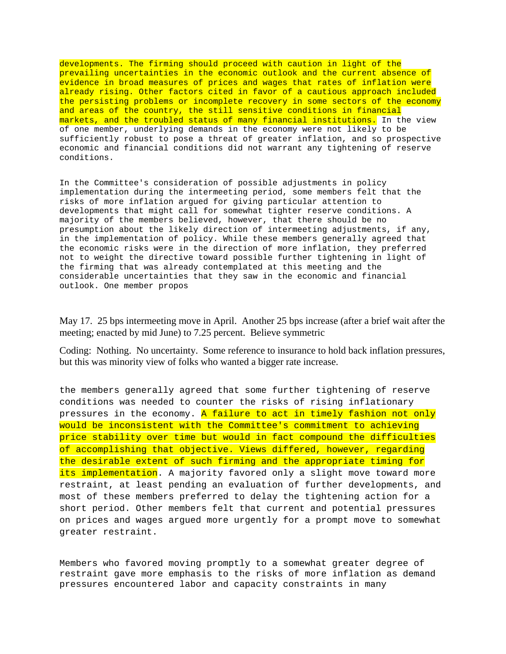developments. The firming should proceed with caution in light of the prevailing uncertainties in the economic outlook and the current absence of evidence in broad measures of prices and wages that rates of inflation were already rising. Other factors cited in favor of a cautious approach included the persisting problems or incomplete recovery in some sectors of the economy and areas of the country, the still sensitive conditions in financial markets, and the troubled status of many financial institutions. In the view of one member, underlying demands in the economy were not likely to be sufficiently robust to pose a threat of greater inflation, and so prospective economic and financial conditions did not warrant any tightening of reserve conditions.

In the Committee's consideration of possible adjustments in policy implementation during the intermeeting period, some members felt that the risks of more inflation argued for giving particular attention to developments that might call for somewhat tighter reserve conditions. A majority of the members believed, however, that there should be no presumption about the likely direction of intermeeting adjustments, if any, in the implementation of policy. While these members generally agreed that the economic risks were in the direction of more inflation, they preferred not to weight the directive toward possible further tightening in light of the firming that was already contemplated at this meeting and the considerable uncertainties that they saw in the economic and financial outlook. One member propos

May 17. 25 bps intermeeting move in April. Another 25 bps increase (after a brief wait after the meeting; enacted by mid June) to 7.25 percent. Believe symmetric

Coding: Nothing. No uncertainty. Some reference to insurance to hold back inflation pressures, but this was minority view of folks who wanted a bigger rate increase.

the members generally agreed that some further tightening of reserve conditions was needed to counter the risks of rising inflationary pressures in the economy. A failure to act in timely fashion not only would be inconsistent with the Committee's commitment to achieving price stability over time but would in fact compound the difficulties of accomplishing that objective. Views differed, however, regarding the desirable extent of such firming and the appropriate timing for its implementation. A majority favored only a slight move toward more restraint, at least pending an evaluation of further developments, and most of these members preferred to delay the tightening action for a short period. Other members felt that current and potential pressures on prices and wages argued more urgently for a prompt move to somewhat greater restraint.

Members who favored moving promptly to a somewhat greater degree of restraint gave more emphasis to the risks of more inflation as demand pressures encountered labor and capacity constraints in many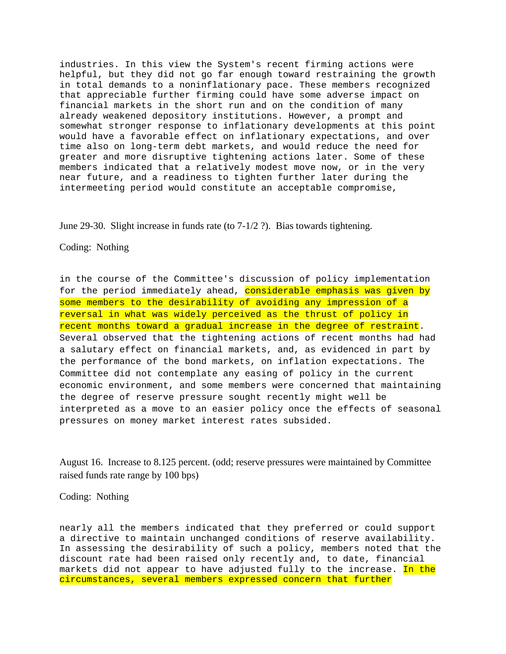industries. In this view the System's recent firming actions were helpful, but they did not go far enough toward restraining the growth in total demands to a noninflationary pace. These members recognized that appreciable further firming could have some adverse impact on financial markets in the short run and on the condition of many already weakened depository institutions. However, a prompt and somewhat stronger response to inflationary developments at this point would have a favorable effect on inflationary expectations, and over time also on long-term debt markets, and would reduce the need for greater and more disruptive tightening actions later. Some of these members indicated that a relatively modest move now, or in the very near future, and a readiness to tighten further later during the intermeeting period would constitute an acceptable compromise,

June 29-30. Slight increase in funds rate (to 7-1/2 ?). Bias towards tightening.

Coding: Nothing

in the course of the Committee's discussion of policy implementation for the period immediately ahead, considerable emphasis was given by some members to the desirability of avoiding any impression of a reversal in what was widely perceived as the thrust of policy in recent months toward a gradual increase in the degree of restraint. Several observed that the tightening actions of recent months had had a salutary effect on financial markets, and, as evidenced in part by the performance of the bond markets, on inflation expectations. The Committee did not contemplate any easing of policy in the current economic environment, and some members were concerned that maintaining the degree of reserve pressure sought recently might well be interpreted as a move to an easier policy once the effects of seasonal pressures on money market interest rates subsided.

August 16. Increase to 8.125 percent. (odd; reserve pressures were maintained by Committee raised funds rate range by 100 bps)

Coding: Nothing

nearly all the members indicated that they preferred or could support a directive to maintain unchanged conditions of reserve availability. In assessing the desirability of such a policy, members noted that the discount rate had been raised only recently and, to date, financial markets did not appear to have adjusted fully to the increase. In the circumstances, several members expressed concern that further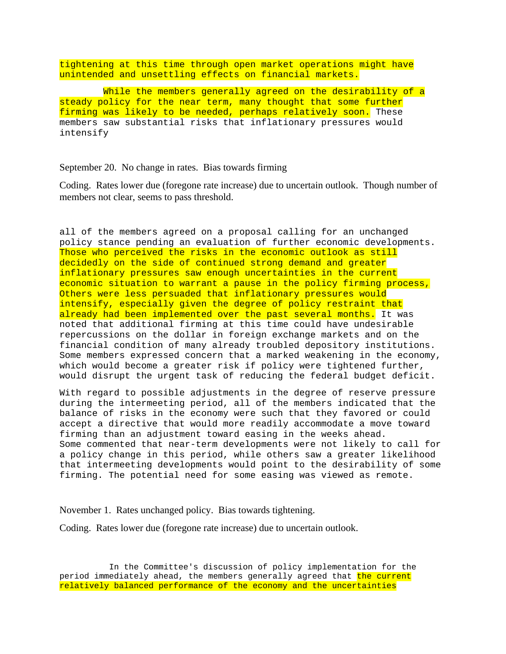tightening at this time through open market operations might have unintended and unsettling effects on financial markets.

While the members generally agreed on the desirability of a steady policy for the near term, many thought that some further firming was likely to be needed, perhaps relatively soon. These members saw substantial risks that inflationary pressures would intensify

## September 20. No change in rates. Bias towards firming

Coding. Rates lower due (foregone rate increase) due to uncertain outlook. Though number of members not clear, seems to pass threshold.

all of the members agreed on a proposal calling for an unchanged policy stance pending an evaluation of further economic developments. Those who perceived the risks in the economic outlook as still decidedly on the side of continued strong demand and greater inflationary pressures saw enough uncertainties in the current economic situation to warrant a pause in the policy firming process, Others were less persuaded that inflationary pressures would intensify, especially given the degree of policy restraint that already had been implemented over the past several months. It was noted that additional firming at this time could have undesirable repercussions on the dollar in foreign exchange markets and on the financial condition of many already troubled depository institutions. Some members expressed concern that a marked weakening in the economy, which would become a greater risk if policy were tightened further, would disrupt the urgent task of reducing the federal budget deficit.

With regard to possible adjustments in the degree of reserve pressure during the intermeeting period, all of the members indicated that the balance of risks in the economy were such that they favored or could accept a directive that would more readily accommodate a move toward firming than an adjustment toward easing in the weeks ahead. Some commented that near-term developments were not likely to call for a policy change in this period, while others saw a greater likelihood that intermeeting developments would point to the desirability of some firming. The potential need for some easing was viewed as remote.

November 1. Rates unchanged policy. Bias towards tightening.

Coding. Rates lower due (foregone rate increase) due to uncertain outlook.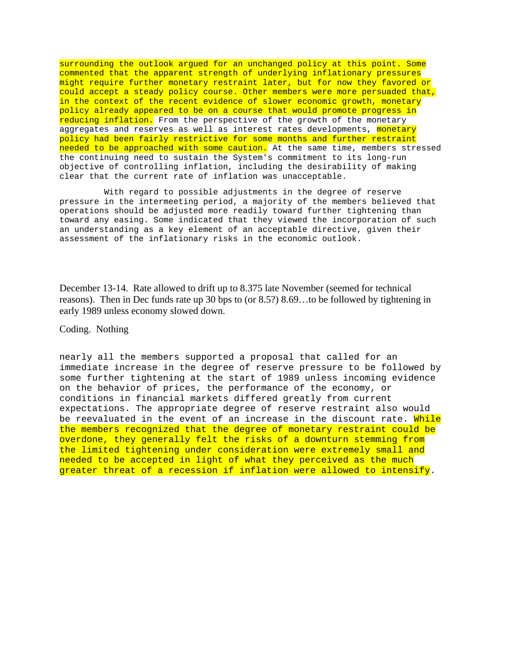surrounding the outlook argued for an unchanged policy at this point. Some commented that the apparent strength of underlying inflationary pressures might require further monetary restraint later, but for now they favored or could accept a steady policy course. Other members were more persuaded that, in the context of the recent evidence of slower economic growth, monetary policy already appeared to be on a course that would promote progress in reducing inflation. From the perspective of the growth of the monetary aggregates and reserves as well as interest rates developments, monetary policy had been fairly restrictive for some months and further restraint needed to be approached with some caution. At the same time, members stressed the continuing need to sustain the System's commitment to its long-run objective of controlling inflation, including the desirability of making clear that the current rate of inflation was unacceptable.

With regard to possible adjustments in the degree of reserve pressure in the intermeeting period, a majority of the members believed that operations should be adjusted more readily toward further tightening than toward any easing. Some indicated that they viewed the incorporation of such an understanding as a key element of an acceptable directive, given their assessment of the inflationary risks in the economic outlook.

December 13-14. Rate allowed to drift up to 8.375 late November (seemed for technical reasons). Then in Dec funds rate up 30 bps to (or 8.5?) 8.69…to be followed by tightening in early 1989 unless economy slowed down.

## Coding. Nothing

nearly all the members supported a proposal that called for an immediate increase in the degree of reserve pressure to be followed by some further tightening at the start of 1989 unless incoming evidence on the behavior of prices, the performance of the economy, or conditions in financial markets differed greatly from current expectations. The appropriate degree of reserve restraint also would be reevaluated in the event of an increase in the discount rate. While the members recognized that the degree of monetary restraint could be overdone, they generally felt the risks of a downturn stemming from the limited tightening under consideration were extremely small and needed to be accepted in light of what they perceived as the much greater threat of a recession if inflation were allowed to intensify.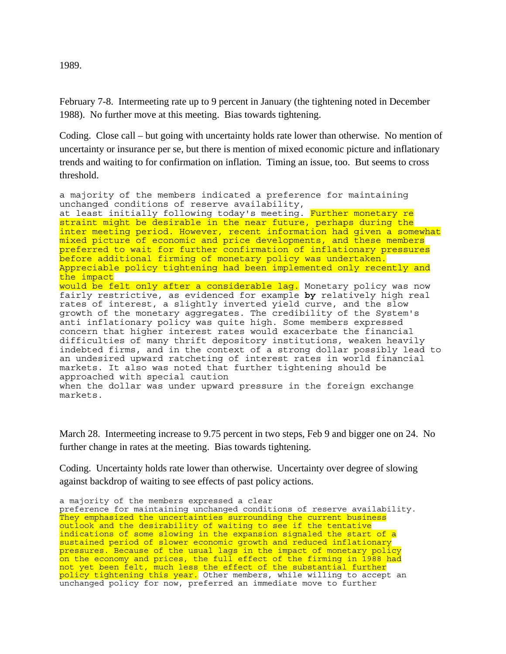1989.

February 7-8. Intermeeting rate up to 9 percent in January (the tightening noted in December 1988). No further move at this meeting. Bias towards tightening.

Coding. Close call – but going with uncertainty holds rate lower than otherwise. No mention of uncertainty or insurance per se, but there is mention of mixed economic picture and inflationary trends and waiting to for confirmation on inflation. Timing an issue, too. But seems to cross threshold.

a majority of the members indicated a preference for maintaining unchanged conditions of reserve availability, at least initially following today's meeting. Further monetary re straint might be desirable in the near future, perhaps during the inter meeting period. However, recent information had given a somewhat mixed picture of economic and price developments, and these members preferred to wait for further confirmation of inflationary pressures before additional firming of monetary policy was undertaken. Appreciable policy tightening had been implemented only recently and the impact would be felt only after a considerable lag. Monetary policy was now fairly restrictive, as evidenced for example **by** relatively high real rates of interest, a slightly inverted yield curve, and the slow growth of the monetary aggregates. The credibility of the System's anti inflationary policy was quite high. Some members expressed concern that higher interest rates would exacerbate the financial difficulties of many thrift depository institutions, weaken heavily indebted firms, and in the context of a strong dollar possibly lead to an undesired upward ratcheting of interest rates in world financial markets. It also was noted that further tightening should be approached with special caution when the dollar was under upward pressure in the foreign exchange markets.

March 28. Intermeeting increase to 9.75 percent in two steps, Feb 9 and bigger one on 24. No further change in rates at the meeting. Bias towards tightening.

Coding. Uncertainty holds rate lower than otherwise. Uncertainty over degree of slowing against backdrop of waiting to see effects of past policy actions.

a majority of the members expressed a clear preference for maintaining unchanged conditions of reserve availability. They emphasized the uncertainties surrounding the current business outlook and the desirability of waiting to see if the tentative indications of some slowing in the expansion signaled the start of a sustained period of slower economic growth and reduced inflationary pressures. Because of the usual lags in the impact of monetary policy on the economy and prices, the full effect of the firming in  $\bar{1}988$  had not yet been felt, much less the effect of the substantial further policy tightening this year. Other members, while willing to accept an unchanged policy for now, preferred an immediate move to further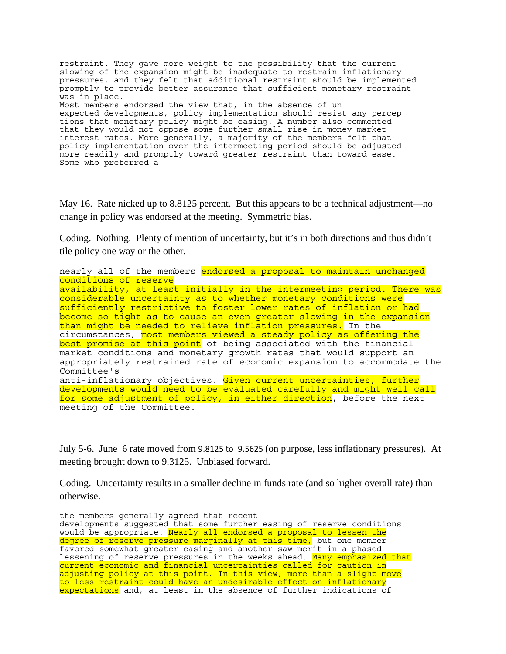```
restraint. They gave more weight to the possibility that the current 
slowing of the expansion might be inadequate to restrain inflationary 
pressures, and they felt that additional restraint should be implemented 
promptly to provide better assurance that sufficient monetary restraint 
was in place. 
Most members endorsed the view that, in the absence of un 
expected developments, policy implementation should resist any percep 
tions that monetary policy might be easing. A number also commented 
that they would not oppose some further small rise in money market 
interest rates. More generally, a majority of the members felt that 
policy implementation over the intermeeting period should be adjusted 
more readily and promptly toward greater restraint than toward ease. 
Some who preferred a
```
May 16. Rate nicked up to 8.8125 percent. But this appears to be a technical adjustment—no change in policy was endorsed at the meeting. Symmetric bias.

Coding. Nothing. Plenty of mention of uncertainty, but it's in both directions and thus didn't tile policy one way or the other.

nearly all of the members endorsed a proposal to maintain unchanged conditions of reserve availability, at least initially in the intermeeting period. There was considerable uncertainty as to whether monetary conditions were sufficiently restrictive to foster lower rates of inflation or had become so tight as to cause an even greater slowing in the expansion than might be needed to relieve inflation pressures. In the circumstances, most members viewed a steady policy as offering the best promise at this point of being associated with the financial market conditions and monetary growth rates that would support an appropriately restrained rate of economic expansion to accommodate the Committee's anti-inflationary objectives. Given current uncertainties, further developments would need to be evaluated carefully and might well call for some adjustment of policy, in either direction, before the next meeting of the Committee.

July 5-6. June 6 rate moved from 9.8125 to 9.5625 (on purpose, less inflationary pressures). At meeting brought down to 9.3125. Unbiased forward.

Coding. Uncertainty results in a smaller decline in funds rate (and so higher overall rate) than otherwise.

```
the members generally agreed that recent 
developments suggested that some further easing of reserve conditions 
would be appropriate. Nearly all endorsed a proposal to lessen the 
degree of reserve pressure marginally at this time, but one member 
favored somewhat greater easing and another saw merit in a phased 
lessening of reserve pressures in the weeks ahead. Many emphasized that
current economic and financial uncertainties called for caution in 
adjusting policy at this point. In this view, more than a slight move 
to less restraint could have an undesirable effect on inflationary 
expectations and, at least in the absence of further indications of
```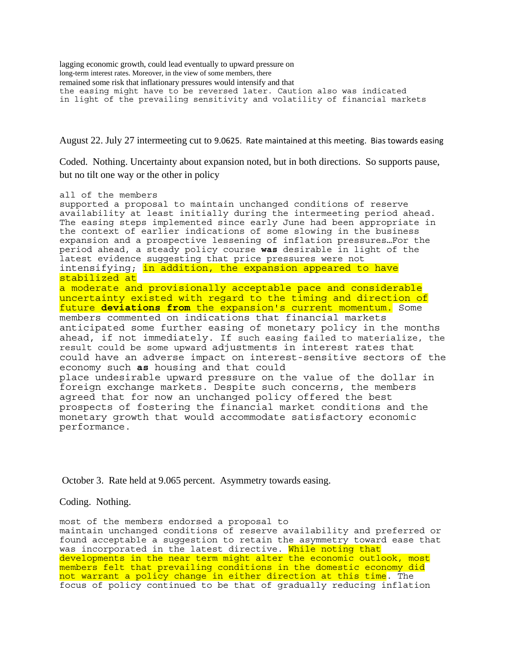lagging economic growth, could lead eventually to upward pressure on long-term interest rates. Moreover, in the view of some members, there remained some risk that inflationary pressures would intensify and that the easing might have to be reversed later. Caution also was indicated in light of the prevailing sensitivity and volatility of financial markets

August 22. July 27 intermeeting cut to 9.0625. Rate maintained at this meeting. Bias towards easing

Coded. Nothing. Uncertainty about expansion noted, but in both directions. So supports pause, but no tilt one way or the other in policy

all of the members supported a proposal to maintain unchanged conditions of reserve availability at least initially during the intermeeting period ahead. The easing steps implemented since early June had been appropriate in the context of earlier indications of some slowing in the business expansion and a prospective lessening of inflation pressures…For the period ahead, a steady policy course **was** desirable in light of the latest evidence suggesting that price pressures were not intensifying; in addition, the expansion appeared to have stabilized at a moderate and provisionally acceptable pace and considerable uncertainty existed with regard to the timing and direction of future **deviations from** the expansion's current momentum. Some members commented on indications that financial markets anticipated some further easing of monetary policy in the months ahead, if not immediately. If such easing failed to materialize, the result could be some upward adjustments in interest rates that could have an adverse impact on interest-sensitive sectors of the economy such **as** housing and that could place undesirable upward pressure on the value of the dollar in foreign exchange markets. Despite such concerns, the members agreed that for now an unchanged policy offered the best prospects of fostering the financial market conditions and the monetary growth that would accommodate satisfactory economic performance.

October 3. Rate held at 9.065 percent. Asymmetry towards easing.

Coding. Nothing.

most of the members endorsed a proposal to maintain unchanged conditions of reserve availability and preferred or found acceptable a suggestion to retain the asymmetry toward ease that was incorporated in the latest directive. While noting that developments in the near term might alter the economic outlook, most members felt that prevailing conditions in the domestic economy did not warrant a policy change in either direction at this time. The focus of policy continued to be that of gradually reducing inflation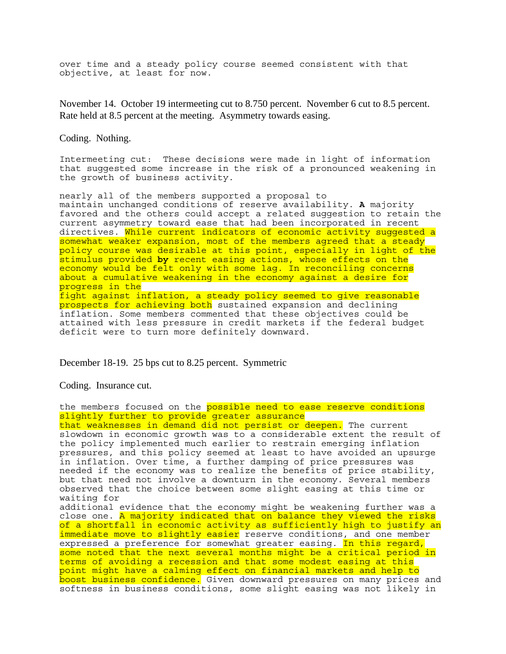over time and a steady policy course seemed consistent with that objective, at least for now.

November 14. October 19 intermeeting cut to 8.750 percent. November 6 cut to 8.5 percent. Rate held at 8.5 percent at the meeting. Asymmetry towards easing.

Coding. Nothing.

Intermeeting cut: These decisions were made in light of information that suggested some increase in the risk of a pronounced weakening in the growth of business activity.

nearly all of the members supported a proposal to maintain unchanged conditions of reserve availability. **A** majority favored and the others could accept a related suggestion to retain the current asymmetry toward ease that had been incorporated in recent directives. While current indicators of economic activity suggested a somewhat weaker expansion, most of the members agreed that a steady policy course was desirable at this point, especially in light of the stimulus provided **by** recent easing actions, whose effects on the economy would be felt only with some lag. In reconciling concerns about a cumulative weakening in the economy against a desire for progress in the fight against inflation, a steady policy seemed to give reasonable prospects for achieving both sustained expansion and declining inflation. Some members commented that these objectives could be attained with less pressure in credit markets if the federal budget deficit were to turn more definitely downward.

December 18-19. 25 bps cut to 8.25 percent. Symmetric

Coding. Insurance cut.

the members focused on the possible need to ease reserve conditions slightly further to provide greater assurance that weaknesses in demand did not persist or deepen. The current slowdown in economic growth was to a considerable extent the result of the policy implemented much earlier to restrain emerging inflation pressures, and this policy seemed at least to have avoided an upsurge in inflation. Over time, a further damping of price pressures was needed if the economy was to realize the benefits of price stability, but that need not involve a downturn in the economy. Several members observed that the choice between some slight easing at this time or waiting for additional evidence that the economy might be weakening further was a close one. A majority indicated that on balance they viewed the risks of a shortfall in economic activity as sufficiently high to justify an immediate move to slightly easier reserve conditions, and one member expressed a preference for somewhat greater easing. In this regard, some noted that the next several months might be a critical period in terms of avoiding a recession and that some modest easing at this point might have a calming effect on financial markets and help to boost business confidence. Given downward pressures on many prices and softness in business conditions, some slight easing was not likely in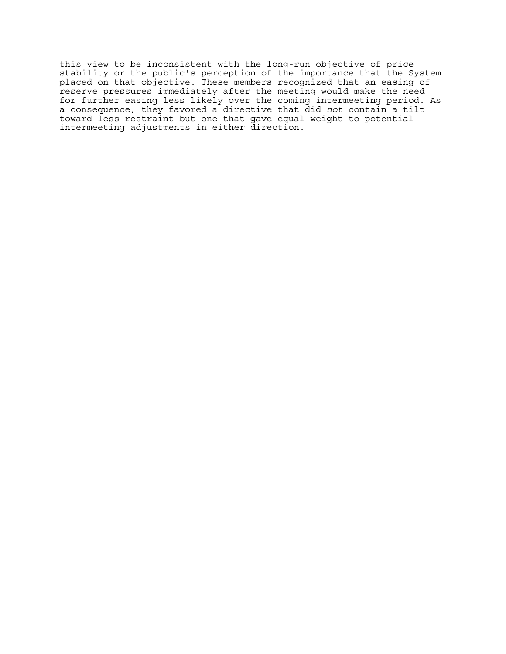this view to be inconsistent with the long-run objective of price stability or the public's perception of the importance that the System placed on that objective. These members recognized that an easing of reserve pressures immediately after the meeting would make the need for further easing less likely over the coming intermeeting period. As a consequence, they favored a directive that did *not* contain a tilt toward less restraint but one that gave equal weight to potential intermeeting adjustments in either direction.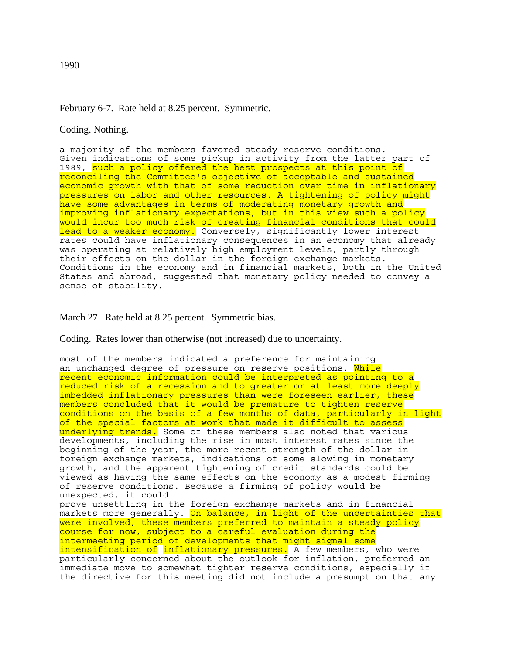# February 6-7. Rate held at 8.25 percent. Symmetric.

Coding. Nothing.

a majority of the members favored steady reserve conditions. Given indications of some pickup in activity from the latter part of 1989, such a policy offered the best prospects at this point of reconciling the Committee's objective of acceptable and sustained economic growth with that of some reduction over time in inflationary pressures on labor and other resources. A tightening of policy might have some advantages in terms of moderating monetary growth and improving inflationary expectations, but in this view such a policy would incur too much risk of creating financial conditions that could lead to a weaker economy. Conversely, significantly lower interest rates could have inflationary consequences in an economy that already was operating at relatively high employment levels, partly through their effects on the dollar in the foreign exchange markets. Conditions in the economy and in financial markets, both in the United States and abroad, suggested that monetary policy needed to convey a sense of stability.

March 27. Rate held at 8.25 percent. Symmetric bias.

Coding. Rates lower than otherwise (not increased) due to uncertainty.

most of the members indicated a preference for maintaining an unchanged degree of pressure on reserve positions. While recent economic information could be interpreted as pointing to a reduced risk of a recession and to greater or at least more deeply imbedded inflationary pressures than were foreseen earlier, these members concluded that it would be premature to tighten reserve conditions on the basis of a few months of data, particularly in light of the special factors at work that made it difficult to assess underlying trends. Some of these members also noted that various developments, including the rise in most interest rates since the beginning of the year, the more recent strength of the dollar in foreign exchange markets, indications of some slowing in monetary growth, and the apparent tightening of credit standards could be viewed as having the same effects on the economy as a modest firming of reserve conditions. Because a firming of policy would be unexpected, it could prove unsettling in the foreign exchange markets and in financial markets more generally. On balance, in light of the uncertainties that were involved, these members preferred to maintain a steady policy course for now, subject to a careful evaluation during the intermeeting period of developments that might signal some intensification of inflationary pressures. A few members, who were particularly concerned about the outlook for inflation, preferred an immediate move to somewhat tighter reserve conditions, especially if the directive for this meeting did not include a presumption that any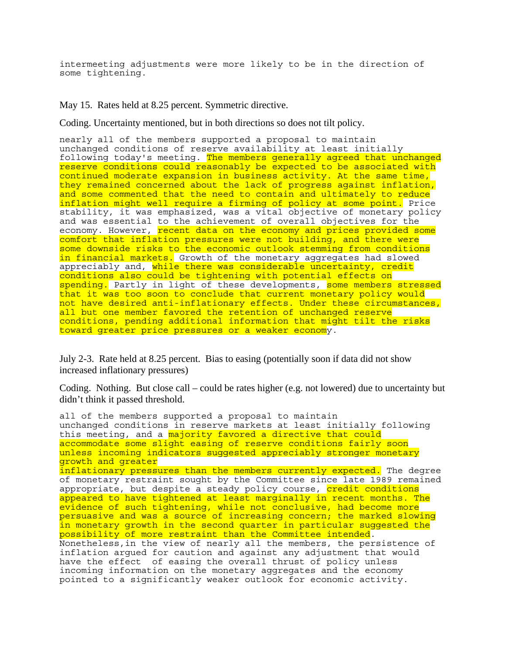intermeeting adjustments were more likely to be in the direction of some tightening.

May 15. Rates held at 8.25 percent. Symmetric directive.

Coding. Uncertainty mentioned, but in both directions so does not tilt policy.

nearly all of the members supported a proposal to maintain unchanged conditions of reserve availability at least initially following today's meeting. The members generally agreed that unchanged reserve conditions could reasonably be expected to be associated with continued moderate expansion in business activity. At the same time, they remained concerned about the lack of progress against inflation, and some commented that the need to contain and ultimately to reduce inflation might well require a firming of policy at some point. Price stability, it was emphasized, was a vital objective of monetary policy and was essential to the achievement of overall objectives for the economy. However, recent data on the economy and prices provided some comfort that inflation pressures were not building, and there were some downside risks to the economic outlook stemming from conditions in financial markets. Growth of the monetary aggregates had slowed appreciably and, while there was considerable uncertainty, credit conditions also could be tightening with potential effects on spending. Partly in light of these developments, some members stressed that it was too soon to conclude that current monetary policy would not have desired anti-inflationary effects. Under these circumstances, all but one member favored the retention of unchanged reserve conditions, pending additional information that might tilt the risks toward greater price pressures or a weaker economy.

July 2-3. Rate held at 8.25 percent. Bias to easing (potentially soon if data did not show increased inflationary pressures)

Coding. Nothing. But close call – could be rates higher (e.g. not lowered) due to uncertainty but didn't think it passed threshold.

all of the members supported a proposal to maintain unchanged conditions in reserve markets at least initially following this meeting, and a majority favored a directive that could accommodate some slight easing of reserve conditions fairly soon unless incoming indicators suggested appreciably stronger monetary growth and greater inflationary pressures than the members currently expected. The degree of monetary restraint sought by the Committee since late 1989 remained appropriate, but despite a steady policy course, credit conditions appeared to have tightened at least marginally in recent months. The evidence of such tightening, while not conclusive, had become more persuasive and was a source of increasing concern; the marked slowing in monetary growth in the second quarter in particular suggested the possibility of more restraint than the Committee intended. Nonetheless,in the view of nearly all the members, the persistence of inflation argued for caution and against any adjustment that would have the effect of easing the overall thrust of policy unless incoming information on the monetary aggregates and the economy pointed to a significantly weaker outlook for economic activity.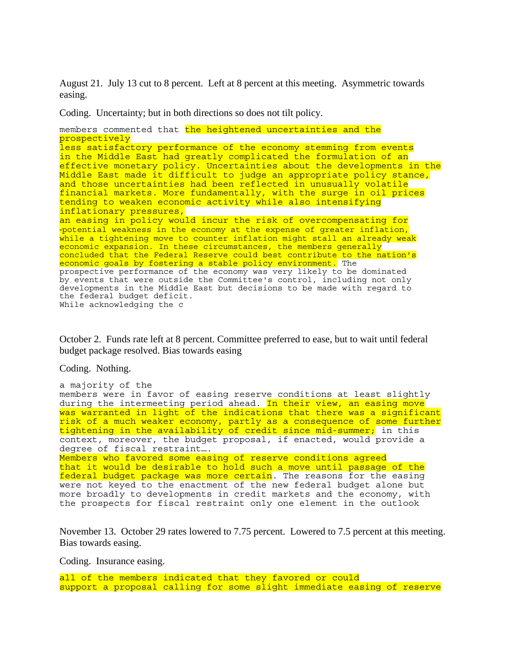August 21. July 13 cut to 8 percent. Left at 8 percent at this meeting. Asymmetric towards easing.

Coding. Uncertainty; but in both directions so does not tilt policy.

members commented that the heightened uncertainties and the prospectively less satisfactory performance of the economy stemming from events in the Middle East had greatly complicated the formulation of an effective monetary policy. Uncertainties about the developments in the Middle East made it difficult to judge an appropriate policy stance, and those uncertainties had been reflected in unusually volatile financial markets. More fundamentally, with the surge in oil prices tending to weaken economic activity while also intensifying inflationary pressures, an easing in policy would incur the risk of overcompensating for -potential weakness in the economy at the expense of greater inflation, while a tightening move to counter inflation might stall an already weak economic expansion. In these circumstances, the members generally concluded that the Federal Reserve could best contribute to the nation's economic goals by fostering a stable policy environment. The prospective performance of the economy was very likely to be dominated by events that were outside the Committee's control, including not only developments in the Middle East but decisions to be made with regard to the federal budget deficit. While acknowledging the c

October 2. Funds rate left at 8 percent. Committee preferred to ease, but to wait until federal budget package resolved. Bias towards easing

Coding. Nothing.

```
a majority of the 
members were in favor of easing reserve conditions at least slightly 
during the intermeeting period ahead. In their view, an easing move
was warranted in light of the indications that there was a significant 
risk of a much weaker economy, partly as a consequence of some further 
tightening in the availability of credit since mid-summer; in this 
context, moreover, the budget proposal, if enacted, would provide a 
degree of fiscal restraint…. 
Members who favored some easing of reserve conditions agreed 
that it would be desirable to hold such a move until passage of the 
federal budget package was more certain. The reasons for the easing
were not keyed to the enactment of the new federal budget alone but 
more broadly to developments in credit markets and the economy, with 
the prospects for fiscal restraint only one element in the outlook
```
November 13. October 29 rates lowered to 7.75 percent. Lowered to 7.5 percent at this meeting. Bias towards easing.

Coding. Insurance easing.

all of the members indicated that they favored or could support a proposal calling for some slight immediate easing of reserve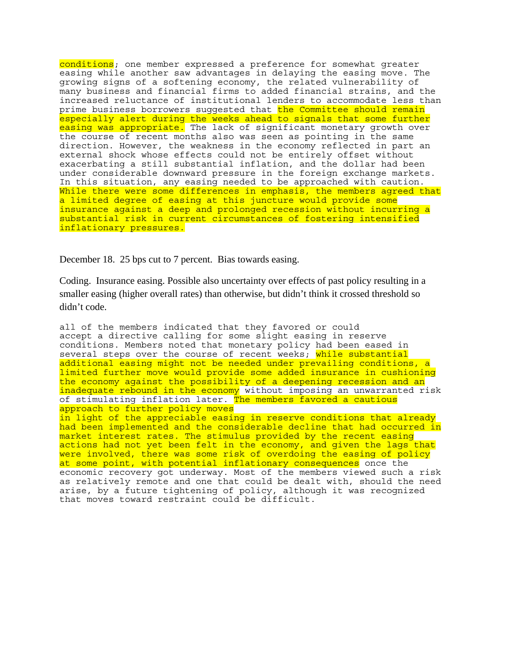conditions; one member expressed a preference for somewhat greater easing while another saw advantages in delaying the easing move. The growing signs of a softening economy, the related vulnerability of many business and financial firms to added financial strains, and the increased reluctance of institutional lenders to accommodate less than prime business borrowers suggested that the Committee should remain especially alert during the weeks ahead to signals that some further easing was appropriate. The lack of significant monetary growth over the course of recent months also was seen as pointing in the same direction. However, the weakness in the economy reflected in part an external shock whose effects could not be entirely offset without exacerbating a still substantial inflation, and the dollar had been under considerable downward pressure in the foreign exchange markets. In this situation, any easing needed to be approached with caution. While there were some differences in emphasis, the members agreed that a limited degree of easing at this juncture would provide some insurance against a deep and prolonged recession without incurring a substantial risk in current circumstances of fostering intensified inflationary pressures.

December 18. 25 bps cut to 7 percent. Bias towards easing.

Coding. Insurance easing. Possible also uncertainty over effects of past policy resulting in a smaller easing (higher overall rates) than otherwise, but didn't think it crossed threshold so didn't code.

all of the members indicated that they favored or could accept a directive calling for some slight easing in reserve conditions. Members noted that monetary policy had been eased in several steps over the course of recent weeks; <mark>while substantial</mark> additional easing might not be needed under prevailing conditions, a limited further move would provide some added insurance in cushioning the economy against the possibility of a deepening recession and an inadequate rebound in the economy without imposing an unwarranted risk of stimulating inflation later. The members favored a cautious approach to further policy moves in light of the appreciable easing in reserve conditions that already had been implemented and the considerable decline that had occurred in market interest rates. The stimulus provided by the recent easing actions had not yet been felt in the economy, and given the lags that were involved, there was some risk of overdoing the easing of policy at some point, with potential inflationary consequences once the economic recovery got underway. Most of the members viewed such a risk as relatively remote and one that could be dealt with, should the need arise, by a future tightening of policy, although it was recognized that moves toward restraint could be difficult.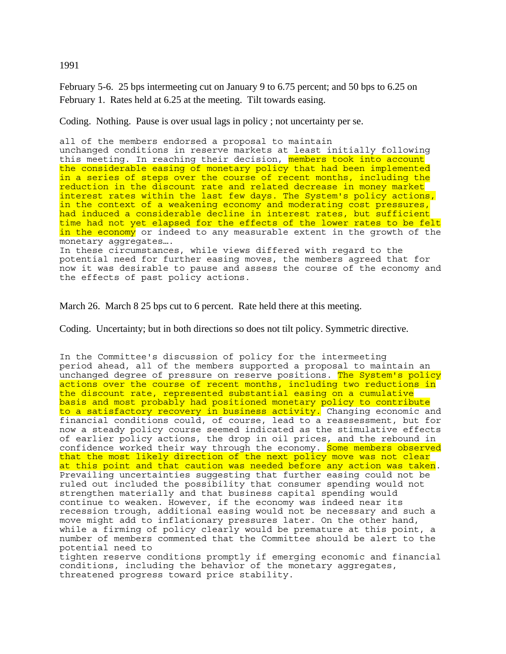1991

February 5-6. 25 bps intermeeting cut on January 9 to 6.75 percent; and 50 bps to 6.25 on February 1. Rates held at 6.25 at the meeting. Tilt towards easing.

Coding. Nothing. Pause is over usual lags in policy ; not uncertainty per se.

all of the members endorsed a proposal to maintain unchanged conditions in reserve markets at least initially following this meeting. In reaching their decision, members took into account the considerable easing of monetary policy that had been implemented in a series of steps over the course of recent months, including the reduction in the discount rate and related decrease in money market interest rates within the last few days. The System's policy actions, in the context of a weakening economy and moderating cost pressures, had induced a considerable decline in interest rates, but sufficient time had not yet elapsed for the effects of the lower rates to be felt in the economy or indeed to any measurable extent in the growth of the monetary aggregates…. In these circumstances, while views differed with regard to the potential need for further easing moves, the members agreed that for now it was desirable to pause and assess the course of the economy and the effects of past policy actions.

March 26. March 8 25 bps cut to 6 percent. Rate held there at this meeting.

Coding. Uncertainty; but in both directions so does not tilt policy. Symmetric directive.

In the Committee's discussion of policy for the intermeeting period ahead, all of the members supported a proposal to maintain an unchanged degree of pressure on reserve positions. The System's policy actions over the course of recent months, including two reductions in the discount rate, represented substantial easing on a cumulative basis and most probably had positioned monetary policy to contribute to a satisfactory recovery in business activity. Changing economic and financial conditions could, of course, lead to a reassessment, but for now a steady policy course seemed indicated as the stimulative effects of earlier policy actions, the drop in oil prices, and the rebound in confidence worked their way through the economy. Some members observed that the most likely direction of the next policy move was not clear at this point and that caution was needed before any action was taken. Prevailing uncertainties suggesting that further easing could not be ruled out included the possibility that consumer spending would not strengthen materially and that business capital spending would continue to weaken. However, if the economy was indeed near its recession trough, additional easing would not be necessary and such a move might add to inflationary pressures later. On the other hand, while a firming of policy clearly would be premature at this point, a number of members commented that the Committee should be alert to the potential need to tighten reserve conditions promptly if emerging economic and financial conditions, including the behavior of the monetary aggregates, threatened progress toward price stability.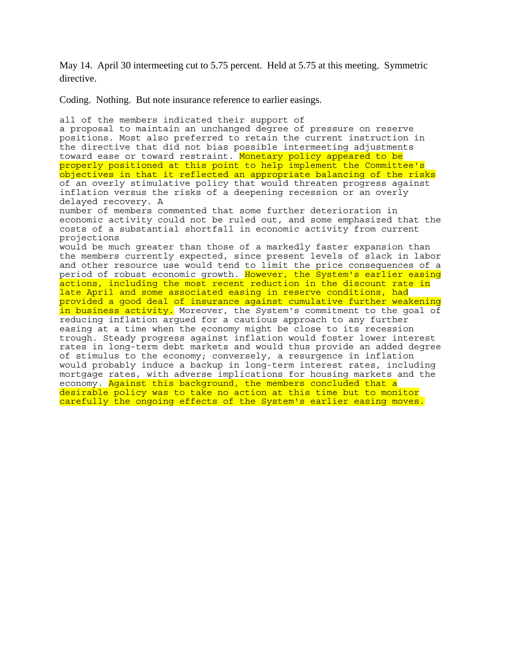May 14. April 30 intermeeting cut to 5.75 percent. Held at 5.75 at this meeting. Symmetric directive.

Coding. Nothing. But note insurance reference to earlier easings.

all of the members indicated their support of a proposal to maintain an unchanged degree of pressure on reserve positions. Most also preferred to retain the current instruction in the directive that did not bias possible intermeeting adjustments toward ease or toward restraint. Monetary policy appeared to be properly positioned at this point to help implement the Committee's objectives in that it reflected an appropriate balancing of the risks of an overly stimulative policy that would threaten progress against inflation versus the risks of a deepening recession or an overly delayed recovery. A number of members commented that some further deterioration in economic activity could not be ruled out, and some emphasized that the costs of a substantial shortfall in economic activity from current projections would be much greater than those of a markedly faster expansion than the members currently expected, since present levels of slack in labor and other resource use would tend to limit the price consequences of a period of robust economic growth. <mark>However, the System's earlier easing</mark> actions, including the most recent reduction in the discount rate in late April and some associated easing in reserve conditions, had provided a good deal of insurance against cumulative further weakening in business activity. Moreover, the System's commitment to the goal of reducing inflation argued for a cautious approach to any further easing at a time when the economy might be close to its recession trough. Steady progress against inflation would foster lower interest rates in long-term debt markets and would thus provide an added degree of stimulus to the economy; conversely, a resurgence in inflation would probably induce a backup in long-term interest rates, including mortgage rates, with adverse implications for housing markets and the economy. Against this background, the members concluded that a desirable policy was to take no action at this time but to monitor carefully the ongoing effects of the System's earlier easing moves.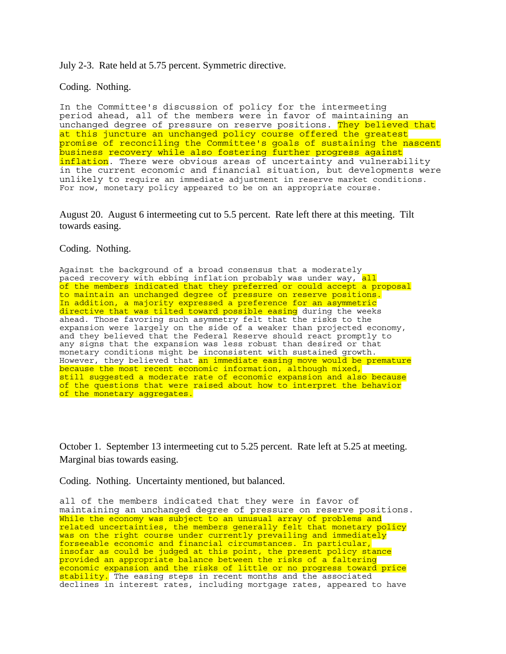July 2-3. Rate held at 5.75 percent. Symmetric directive.

Coding. Nothing.

In the Committee's discussion of policy for the intermeeting period ahead, all of the members were in favor of maintaining an unchanged degree of pressure on reserve positions. They believed that at this juncture an unchanged policy course offered the greatest promise of reconciling the Committee's goals of sustaining the nascent business recovery while also fostering further progress against inflation. There were obvious areas of uncertainty and vulnerability in the current economic and financial situation, but developments were unlikely to require an immediate adjustment in reserve market conditions. For now, monetary policy appeared to be on an appropriate course.

August 20. August 6 intermeeting cut to 5.5 percent. Rate left there at this meeting. Tilt towards easing.

Coding. Nothing.

Against the background of a broad consensus that a moderately paced recovery with ebbing inflation probably was under way, all of the members indicated that they preferred or could accept a proposal to maintain an unchanged degree of pressure on reserve positions. In addition, a majority expressed a preference for an asymmetric directive that was tilted toward possible easing during the weeks ahead. Those favoring such asymmetry felt that the risks to the expansion were largely on the side of a weaker than projected economy, and they believed that the Federal Reserve should react promptly to any signs that the expansion was less robust than desired or that monetary conditions might be inconsistent with sustained growth. However, they believed that an immediate easing move would be premature because the most recent economic information, although mixed, still suggested a moderate rate of economic expansion and also because of the questions that were raised about how to interpret the behavior of the monetary aggregates.

October 1. September 13 intermeeting cut to 5.25 percent. Rate left at 5.25 at meeting. Marginal bias towards easing.

Coding. Nothing. Uncertainty mentioned, but balanced.

all of the members indicated that they were in favor of maintaining an unchanged degree of pressure on reserve positions. While the economy was subject to an unusual array of problems and related uncertainties, the members generally felt that monetary policy was on the right course under currently prevailing and immediately forseeable economic and financial circumstances. In particular, insofar as could be judged at this point, the present policy stance provided an appropriate balance between the risks of a faltering economic expansion and the risks of little or no progress toward price stability. The easing steps in recent months and the associated declines in interest rates, including mortgage rates, appeared to have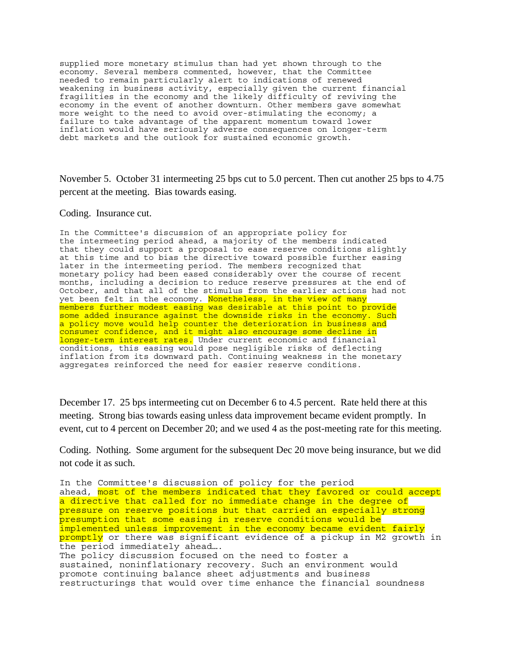supplied more monetary stimulus than had yet shown through to the economy. Several members commented, however, that the Committee needed to remain particularly alert to indications of renewed weakening in business activity, especially given the current financial fragilities in the economy and the likely difficulty of reviving the economy in the event of another downturn. Other members gave somewhat more weight to the need to avoid over-stimulating the economy; a failure to take advantage of the apparent momentum toward lower inflation would have seriously adverse consequences on longer-term debt markets and the outlook for sustained economic growth.

November 5. October 31 intermeeting 25 bps cut to 5.0 percent. Then cut another 25 bps to 4.75 percent at the meeting. Bias towards easing.

Coding. Insurance cut.

In the Committee's discussion of an appropriate policy for the intermeeting period ahead, a majority of the members indicated that they could support a proposal to ease reserve conditions slightly at this time and to bias the directive toward possible further easing later in the intermeeting period. The members recognized that monetary policy had been eased considerably over the course of recent months, including a decision to reduce reserve pressures at the end of October, and that all of the stimulus from the earlier actions had not yet been felt in the economy. Nonetheless, in the view of many members further modest easing was desirable at this point to provide some added insurance against the downside risks in the economy. Such a policy move would help counter the deterioration in business and consumer confidence, and it might also encourage some decline in longer-term interest rates. Under current economic and financial conditions, this easing would pose negligible risks of deflecting inflation from its downward path. Continuing weakness in the monetary aggregates reinforced the need for easier reserve conditions.

December 17. 25 bps intermeeting cut on December 6 to 4.5 percent. Rate held there at this meeting. Strong bias towards easing unless data improvement became evident promptly. In event, cut to 4 percent on December 20; and we used 4 as the post-meeting rate for this meeting.

Coding. Nothing. Some argument for the subsequent Dec 20 move being insurance, but we did not code it as such.

In the Committee's discussion of policy for the period ahead, most of the members indicated that they favored or could accept a directive that called for no immediate change in the degree of pressure on reserve positions but that carried an especially strong presumption that some easing in reserve conditions would be implemented unless improvement in the economy became evident fairly promptly or there was significant evidence of a pickup in M2 growth in the period immediately ahead…. The policy discussion focused on the need to foster a sustained, noninflationary recovery. Such an environment would promote continuing balance sheet adjustments and business restructurings that would over time enhance the financial soundness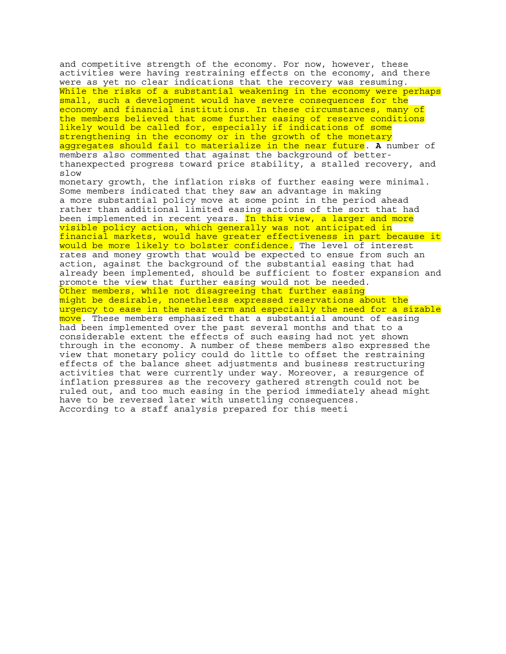and competitive strength of the economy. For now, however, these activities were having restraining effects on the economy, and there were as yet no clear indications that the recovery was resuming. While the risks of a substantial weakening in the economy were perhaps small, such a development would have severe consequences for the economy and financial institutions. In these circumstances, many of the members believed that some further easing of reserve conditions likely would be called for, especially if indications of some strengthening in the economy or in the growth of the monetary aggregates should fail to materialize in the near future. **A** number of members also commented that against the background of betterthanexpected progress toward price stability, a stalled recovery, and slow monetary growth, the inflation risks of further easing were minimal. Some members indicated that they saw an advantage in making a more substantial policy move at some point in the period ahead rather than additional limited easing actions of the sort that had been implemented in recent years. In this view, a larger and more visible policy action, which generally was not anticipated in financial markets, would have greater effectiveness in part because it would be more likely to bolster confidence. The level of interest rates and money growth that would be expected to ensue from such an action, against the background of the substantial easing that had already been implemented, should be sufficient to foster expansion and promote the view that further easing would not be needed. Other members, while not disagreeing that further easing might be desirable, nonetheless expressed reservations about the urgency to ease in the near term and especially the need for a sizable move. These members emphasized that a substantial amount of easing had been implemented over the past several months and that to a considerable extent the effects of such easing had not yet shown through in the economy. A number of these members also expressed the view that monetary policy could do little to offset the restraining effects of the balance sheet adjustments and business restructuring activities that were currently under way. Moreover, a resurgence of inflation pressures as the recovery gathered strength could not be ruled out, and too much easing in the period immediately ahead might have to be reversed later with unsettling consequences. According to a staff analysis prepared for this meeti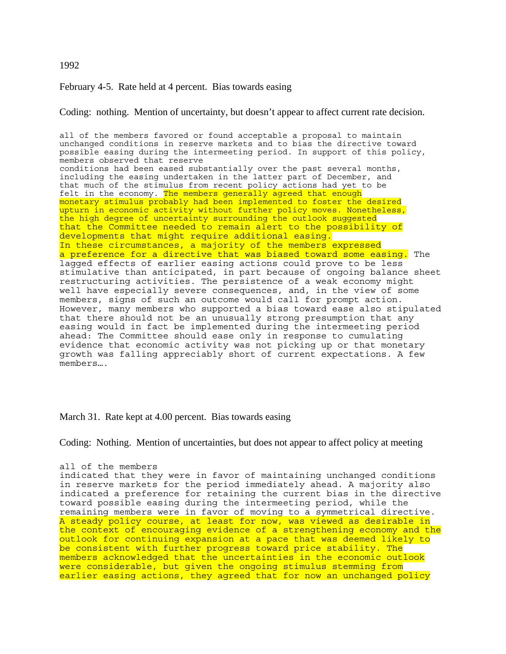### 1992

February 4-5. Rate held at 4 percent. Bias towards easing

Coding: nothing. Mention of uncertainty, but doesn't appear to affect current rate decision.

all of the members favored or found acceptable a proposal to maintain unchanged conditions in reserve markets and to bias the directive toward possible easing during the intermeeting period. In support of this policy, members observed that reserve conditions had been eased substantially over the past several months, including the easing undertaken in the latter part of December, and that much of the stimulus from recent policy actions had yet to be felt in the economy. The members generally agreed that enough monetary stimulus probably had been implemented to foster the desired upturn in economic activity without further policy moves. Nonetheless, the high degree of uncertainty surrounding the outlook suggested that the Committee needed to remain alert to the possibility of developments that might require additional easing. In these circumstances, a majority of the members expressed a preference for a directive that was biased toward some easing. The lagged effects of earlier easing actions could prove to be less stimulative than anticipated, in part because of ongoing balance sheet restructuring activities. The persistence of a weak economy might well have especially severe consequences, and, in the view of some members, signs of such an outcome would call for prompt action. However, many members who supported a bias toward ease also stipulated that there should not be an unusually strong presumption that any easing would in fact be implemented during the intermeeting period ahead: The Committee should ease only in response to cumulating evidence that economic activity was not picking up or that monetary growth was falling appreciably short of current expectations. A few members….

March 31. Rate kept at 4.00 percent. Bias towards easing

Coding: Nothing. Mention of uncertainties, but does not appear to affect policy at meeting

```
all of the members
```
indicated that they were in favor of maintaining unchanged conditions in reserve markets for the period immediately ahead. A majority also indicated a preference for retaining the current bias in the directive toward possible easing during the intermeeting period, while the remaining members were in favor of moving to a symmetrical directive. A steady policy course, at least for now, was viewed as desirable in the context of encouraging evidence of a strengthening economy and the outlook for continuing expansion at a pace that was deemed likely to be consistent with further progress toward price stability. The members acknowledged that the uncertainties in the economic outlook were considerable, but given the ongoing stimulus stemming from earlier easing actions, they agreed that for now an unchanged policy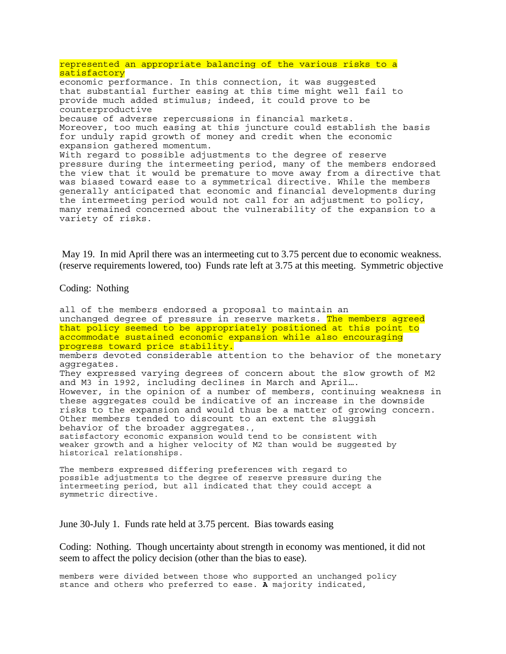represented an appropriate balancing of the various risks to a satisfactory economic performance. In this connection, it was suggested that substantial further easing at this time might well fail to provide much added stimulus; indeed, it could prove to be counterproductive because of adverse repercussions in financial markets. Moreover, too much easing at this juncture could establish the basis for unduly rapid growth of money and credit when the economic expansion gathered momentum. With regard to possible adjustments to the degree of reserve pressure during the intermeeting period, many of the members endorsed the view that it would be premature to move away from a directive that was biased toward ease to a symmetrical directive. While the members generally anticipated that economic and financial developments during the intermeeting period would not call for an adjustment to policy, many remained concerned about the vulnerability of the expansion to a variety of risks.

 May 19. In mid April there was an intermeeting cut to 3.75 percent due to economic weakness. (reserve requirements lowered, too) Funds rate left at 3.75 at this meeting. Symmetric objective

Coding: Nothing

all of the members endorsed a proposal to maintain an unchanged degree of pressure in reserve markets. The members agreed that policy seemed to be appropriately positioned at this point to accommodate sustained economic expansion while also encouraging progress toward price stability. members devoted considerable attention to the behavior of the monetary aggregates. They expressed varying degrees of concern about the slow growth of M2 and M3 in 1992, including declines in March and April…. However, in the opinion of a number of members, continuing weakness in these aggregates could be indicative of an increase in the downside risks to the expansion and would thus be a matter of growing concern. Other members tended to discount to an extent the sluggish behavior of the broader aggregates., satisfactory economic expansion would tend to be consistent with weaker growth and a higher velocity of M2 than would be suggested by historical relationships.

The members expressed differing preferences with regard to possible adjustments to the degree of reserve pressure during the intermeeting period, but all indicated that they could accept a symmetric directive.

June 30-July 1. Funds rate held at 3.75 percent. Bias towards easing

Coding: Nothing. Though uncertainty about strength in economy was mentioned, it did not seem to affect the policy decision (other than the bias to ease).

members were divided between those who supported an unchanged policy stance and others who preferred to ease. **A** majority indicated,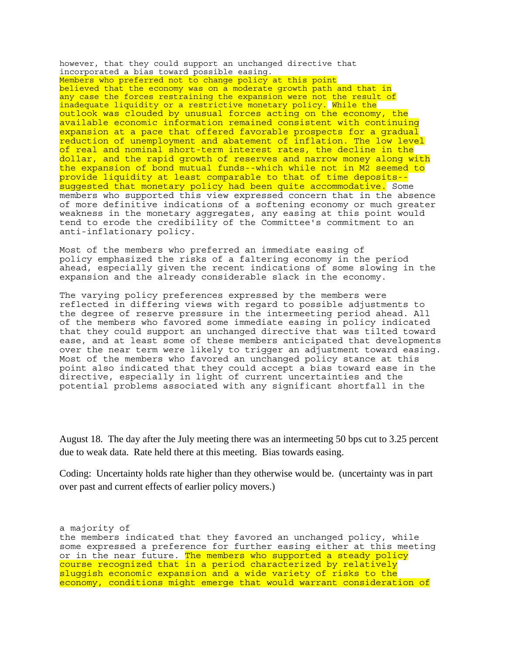however, that they could support an unchanged directive that incorporated a bias toward possible easing. Members who preferred not to change policy at this point believed that the economy was on a moderate growth path and that in any case the forces restraining the expansion were not the result of inadequate liquidity or a restrictive monetary policy. While the outlook was clouded by unusual forces acting on the economy, the available economic information remained consistent with continuing expansion at a pace that offered favorable prospects for a gradual reduction of unemployment and abatement of inflation. The low level of real and nominal short-term interest rates, the decline in the dollar, and the rapid growth of reserves and narrow money along with the expansion of bond mutual funds--which while not in M2 seemed to provide liquidity at least comparable to that of time deposits- suggested that monetary policy had been quite accommodative. Some members who supported this view expressed concern that in the absence of more definitive indications of a softening economy or much greater weakness in the monetary aggregates, any easing at this point would tend to erode the credibility of the Committee's commitment to an anti-inflationary policy.

Most of the members who preferred an immediate easing of policy emphasized the risks of a faltering economy in the period ahead, especially given the recent indications of some slowing in the expansion and the already considerable slack in the economy.

The varying policy preferences expressed by the members were reflected in differing views with regard to possible adjustments to the degree of reserve pressure in the intermeeting period ahead. All of the members who favored some immediate easing in policy indicated that they could support an unchanged directive that was tilted toward ease, and at least some of these members anticipated that developments over the near term were likely to trigger an adjustment toward easing. Most of the members who favored an unchanged policy stance at this point also indicated that they could accept a bias toward ease in the directive, especially in light of current uncertainties and the potential problems associated with any significant shortfall in the

August 18. The day after the July meeting there was an intermeeting 50 bps cut to 3.25 percent due to weak data. Rate held there at this meeting. Bias towards easing.

Coding: Uncertainty holds rate higher than they otherwise would be. (uncertainty was in part over past and current effects of earlier policy movers.)

a majority of the members indicated that they favored an unchanged policy, while some expressed a preference for further easing either at this meeting or in the near future. The members who supported a steady policy course recognized that in a period characterized by relatively sluggish economic expansion and a wide variety of risks to the economy, conditions might emerge that would warrant consideration of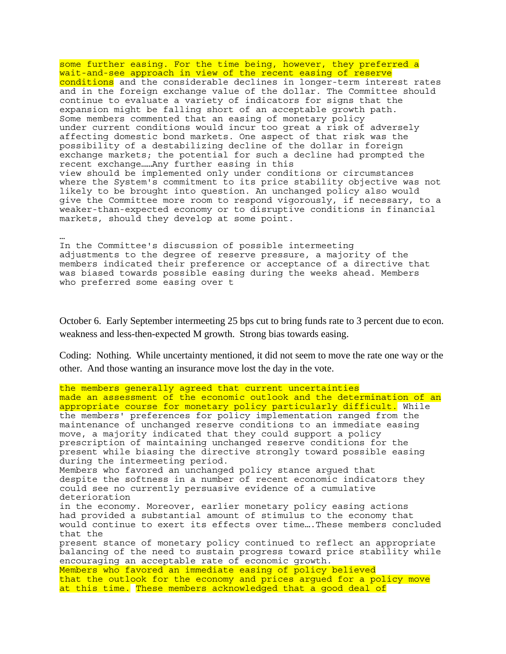some further easing. For the time being, however, they preferred a wait-and-see approach in view of the recent easing of reserve conditions and the considerable declines in longer-term interest rates and in the foreign exchange value of the dollar. The Committee should continue to evaluate a variety of indicators for signs that the expansion might be falling short of an acceptable growth path. Some members commented that an easing of monetary policy under current conditions would incur too great a risk of adversely affecting domestic bond markets. One aspect of that risk was the possibility of a destabilizing decline of the dollar in foreign exchange markets; the potential for such a decline had prompted the recent exchange……Any further easing in this view should be implemented only under conditions or circumstances where the System's commitment to its price stability objective was not likely to be brought into question. An unchanged policy also would give the Committee more room to respond vigorously, if necessary, to a weaker-than-expected economy or to disruptive conditions in financial markets, should they develop at some point.

… In the Committee's discussion of possible intermeeting adjustments to the degree of reserve pressure, a majority of the members indicated their preference or acceptance of a directive that was biased towards possible easing during the weeks ahead. Members who preferred some easing over t

October 6. Early September intermeeting 25 bps cut to bring funds rate to 3 percent due to econ. weakness and less-then-expected M growth. Strong bias towards easing.

Coding: Nothing. While uncertainty mentioned, it did not seem to move the rate one way or the other. And those wanting an insurance move lost the day in the vote.

the members generally agreed that current uncertainties made an assessment of the economic outlook and the determination of an appropriate course for monetary policy particularly difficult. While the members' preferences for policy implementation ranged from the maintenance of unchanged reserve conditions to an immediate easing move, a majority indicated that they could support a policy prescription of maintaining unchanged reserve conditions for the present while biasing the directive strongly toward possible easing during the intermeeting period. Members who favored an unchanged policy stance argued that despite the softness in a number of recent economic indicators they could see no currently persuasive evidence of a cumulative deterioration in the economy. Moreover, earlier monetary policy easing actions had provided a substantial amount of stimulus to the economy that would continue to exert its effects over time….These members concluded that the present stance of monetary policy continued to reflect an appropriate balancing of the need to sustain progress toward price stability while encouraging an acceptable rate of economic growth. Members who favored an immediate easing of policy believed that the outlook for the economy and prices argued for a policy move at this time. These members acknowledged that a good deal of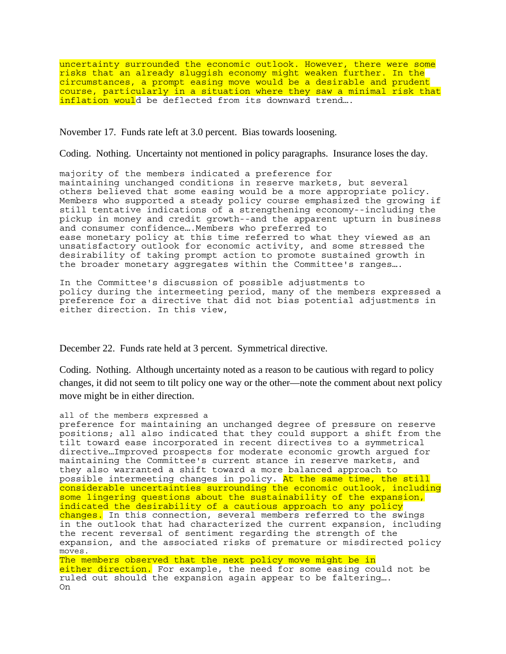uncertainty surrounded the economic outlook. However, there were some risks that an already sluggish economy might weaken further. In the circumstances, a prompt easing move would be a desirable and prudent course, particularly in a situation where they saw a minimal risk that inflation would be deflected from its downward trend….

November 17. Funds rate left at 3.0 percent. Bias towards loosening.

Coding. Nothing. Uncertainty not mentioned in policy paragraphs. Insurance loses the day.

majority of the members indicated a preference for maintaining unchanged conditions in reserve markets, but several others believed that some easing would be a more appropriate policy. Members who supported a steady policy course emphasized the growing if still tentative indications of a strengthening economy--including the pickup in money and credit growth--and the apparent upturn in business and consumer confidence….Members who preferred to ease monetary policy at this time referred to what they viewed as an unsatisfactory outlook for economic activity, and some stressed the desirability of taking prompt action to promote sustained growth in the broader monetary aggregates within the Committee's ranges….

In the Committee's discussion of possible adjustments to policy during the intermeeting period, many of the members expressed a preference for a directive that did not bias potential adjustments in either direction. In this view,

December 22. Funds rate held at 3 percent. Symmetrical directive.

Coding. Nothing. Although uncertainty noted as a reason to be cautious with regard to policy changes, it did not seem to tilt policy one way or the other—note the comment about next policy move might be in either direction.

#### all of the members expressed a

preference for maintaining an unchanged degree of pressure on reserve positions; all also indicated that they could support a shift from the tilt toward ease incorporated in recent directives to a symmetrical directive…Improved prospects for moderate economic growth argued for maintaining the Committee's current stance in reserve markets, and they also warranted a shift toward a more balanced approach to possible intermeeting changes in policy. At the same time, the still considerable uncertainties surrounding the economic outlook, including some lingering questions about the sustainability of the expansion, indicated the desirability of a cautious approach to any policy changes. In this connection, several members referred to the swings in the outlook that had characterized the current expansion, including the recent reversal of sentiment regarding the strength of the expansion, and the associated risks of premature or misdirected policy moves. The members observed that the next policy move might be in either direction. For example, the need for some easing could not be ruled out should the expansion again appear to be faltering…. On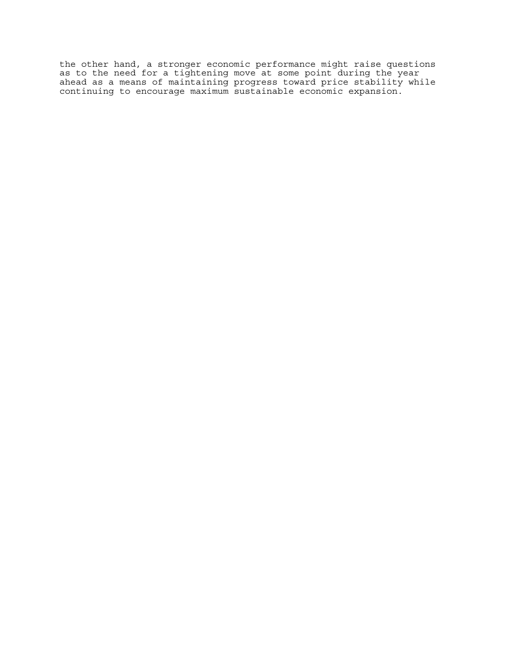the other hand, a stronger economic performance might raise questions as to the need for a tightening move at some point during the year ahead as a means of maintaining progress toward price stability while continuing to encourage maximum sustainable economic expansion.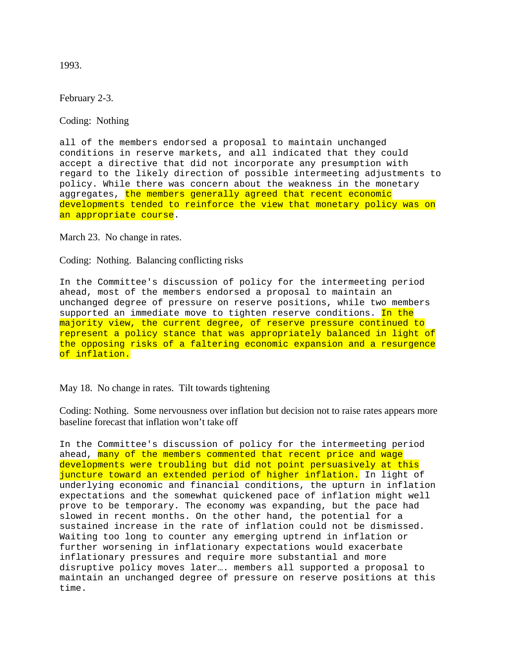1993.

February 2-3.

Coding: Nothing

all of the members endorsed a proposal to maintain unchanged conditions in reserve markets, and all indicated that they could accept a directive that did not incorporate any presumption with regard to the likely direction of possible intermeeting adjustments to policy. While there was concern about the weakness in the monetary aggregates, the members generally agreed that recent economic developments tended to reinforce the view that monetary policy was on an appropriate course.

March 23. No change in rates.

Coding: Nothing. Balancing conflicting risks

In the Committee's discussion of policy for the intermeeting period ahead, most of the members endorsed a proposal to maintain an unchanged degree of pressure on reserve positions, while two members supported an immediate move to tighten reserve conditions. In the majority view, the current degree, of reserve pressure continued to represent a policy stance that was appropriately balanced in light of the opposing risks of a faltering economic expansion and a resurgence of inflation.

# May 18. No change in rates. Tilt towards tightening

Coding: Nothing. Some nervousness over inflation but decision not to raise rates appears more baseline forecast that inflation won't take off

In the Committee's discussion of policy for the intermeeting period ahead, many of the members commented that recent price and wage developments were troubling but did not point persuasively at this juncture toward an extended period of higher inflation. In light of underlying economic and financial conditions, the upturn in inflation expectations and the somewhat quickened pace of inflation might well prove to be temporary. The economy was expanding, but the pace had slowed in recent months. On the other hand, the potential for a sustained increase in the rate of inflation could not be dismissed. Waiting too long to counter any emerging uptrend in inflation or further worsening in inflationary expectations would exacerbate inflationary pressures and require more substantial and more disruptive policy moves later…. members all supported a proposal to maintain an unchanged degree of pressure on reserve positions at this time.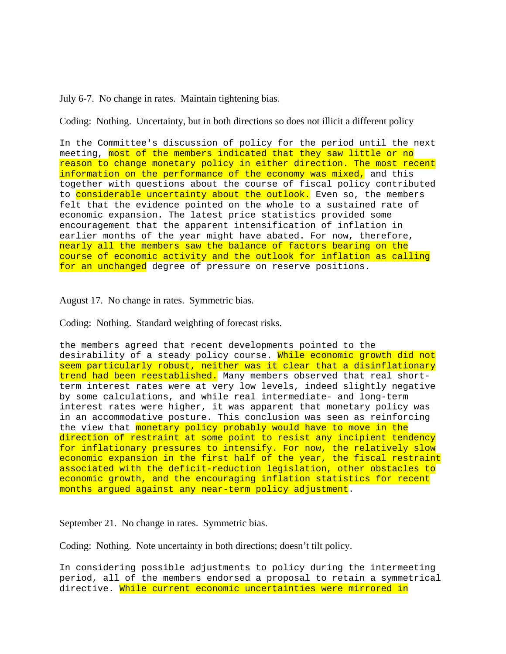July 6-7. No change in rates. Maintain tightening bias.

Coding: Nothing. Uncertainty, but in both directions so does not illicit a different policy

In the Committee's discussion of policy for the period until the next meeting, most of the members indicated that they saw little or no reason to change monetary policy in either direction. The most recent information on the performance of the economy was mixed, and this together with questions about the course of fiscal policy contributed to considerable uncertainty about the outlook. Even so, the members felt that the evidence pointed on the whole to a sustained rate of economic expansion. The latest price statistics provided some encouragement that the apparent intensification of inflation in earlier months of the year might have abated. For now, therefore, nearly all the members saw the balance of factors bearing on the course of economic activity and the outlook for inflation as calling for an unchanged degree of pressure on reserve positions.

August 17. No change in rates. Symmetric bias.

Coding: Nothing. Standard weighting of forecast risks.

the members agreed that recent developments pointed to the desirability of a steady policy course. While economic growth did not seem particularly robust, neither was it clear that a disinflationary trend had been reestablished. Many members observed that real shortterm interest rates were at very low levels, indeed slightly negative by some calculations, and while real intermediate- and long-term interest rates were higher, it was apparent that monetary policy was in an accommodative posture. This conclusion was seen as reinforcing the view that monetary policy probably would have to move in the direction of restraint at some point to resist any incipient tendency for inflationary pressures to intensify. For now, the relatively slow economic expansion in the first half of the year, the fiscal restraint associated with the deficit-reduction legislation, other obstacles to economic growth, and the encouraging inflation statistics for recent months argued against any near-term policy adjustment.

September 21. No change in rates. Symmetric bias.

Coding: Nothing. Note uncertainty in both directions; doesn't tilt policy.

In considering possible adjustments to policy during the intermeeting period, all of the members endorsed a proposal to retain a symmetrical directive. While current economic uncertainties were mirrored in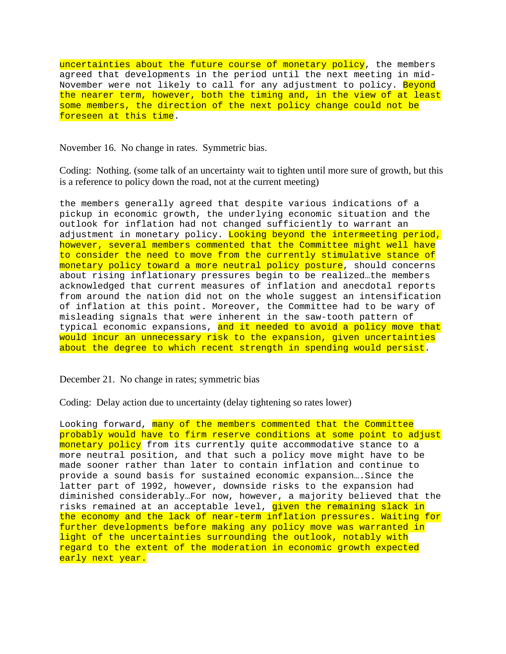uncertainties about the future course of monetary policy, the members agreed that developments in the period until the next meeting in mid-November were not likely to call for any adjustment to policy. Beyond the nearer term, however, both the timing and, in the view of at least some members, the direction of the next policy change could not be foreseen at this time.

November 16. No change in rates. Symmetric bias.

Coding: Nothing. (some talk of an uncertainty wait to tighten until more sure of growth, but this is a reference to policy down the road, not at the current meeting)

the members generally agreed that despite various indications of a pickup in economic growth, the underlying economic situation and the outlook for inflation had not changed sufficiently to warrant an adjustment in monetary policy. Looking beyond the intermeeting period, however, several members commented that the Committee might well have to consider the need to move from the currently stimulative stance of monetary policy toward a more neutral policy posture, should concerns about rising inflationary pressures begin to be realized…the members acknowledged that current measures of inflation and anecdotal reports from around the nation did not on the whole suggest an intensification of inflation at this point. Moreover, the Committee had to be wary of misleading signals that were inherent in the saw-tooth pattern of typical economic expansions, and it needed to avoid a policy move that would incur an unnecessary risk to the expansion, given uncertainties about the degree to which recent strength in spending would persist.

December 21. No change in rates; symmetric bias

Coding: Delay action due to uncertainty (delay tightening so rates lower)

Looking forward, many of the members commented that the Committee probably would have to firm reserve conditions at some point to adjust monetary policy from its currently quite accommodative stance to a more neutral position, and that such a policy move might have to be made sooner rather than later to contain inflation and continue to provide a sound basis for sustained economic expansion....Since the latter part of 1992, however, downside risks to the expansion had diminished considerably…For now, however, a majority believed that the risks remained at an acceptable level, given the remaining slack in the economy and the lack of near-term inflation pressures. Waiting for further developments before making any policy move was warranted in light of the uncertainties surrounding the outlook, notably with regard to the extent of the moderation in economic growth expected early next year.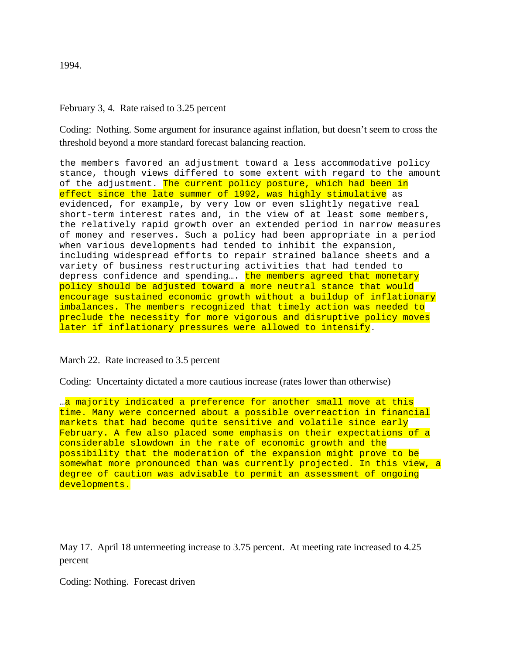1994.

# February 3, 4. Rate raised to 3.25 percent

Coding: Nothing. Some argument for insurance against inflation, but doesn't seem to cross the threshold beyond a more standard forecast balancing reaction.

the members favored an adjustment toward a less accommodative policy stance, though views differed to some extent with regard to the amount of the adjustment. The current policy posture, which had been in effect since the late summer of 1992, was highly stimulative as evidenced, for example, by very low or even slightly negative real short-term interest rates and, in the view of at least some members, the relatively rapid growth over an extended period in narrow measures of money and reserves. Such a policy had been appropriate in a period when various developments had tended to inhibit the expansion, including widespread efforts to repair strained balance sheets and a variety of business restructuring activities that had tended to depress confidence and spending.... the members agreed that monetary policy should be adjusted toward a more neutral stance that would encourage sustained economic growth without a buildup of inflationary imbalances. The members recognized that timely action was needed to preclude the necessity for more vigorous and disruptive policy moves later if inflationary pressures were allowed to intensify.

March 22. Rate increased to 3.5 percent

Coding: Uncertainty dictated a more cautious increase (rates lower than otherwise)

…a majority indicated a preference for another small move at this time. Many were concerned about a possible overreaction in financial markets that had become quite sensitive and volatile since early February. A few also placed some emphasis on their expectations of a considerable slowdown in the rate of economic growth and the possibility that the moderation of the expansion might prove to be somewhat more pronounced than was currently projected. In this view, a degree of caution was advisable to permit an assessment of ongoing developments.

May 17. April 18 untermeeting increase to 3.75 percent. At meeting rate increased to 4.25 percent

Coding: Nothing. Forecast driven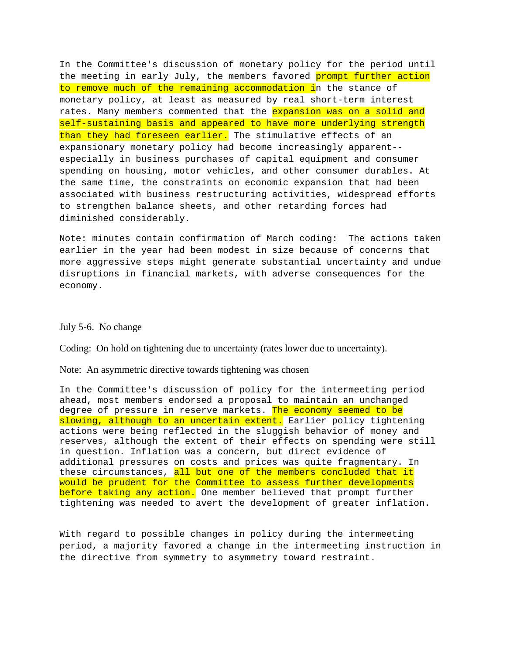In the Committee's discussion of monetary policy for the period until the meeting in early July, the members favored prompt further action to remove much of the remaining accommodation in the stance of monetary policy, at least as measured by real short-term interest rates. Many members commented that the expansion was on a solid and self-sustaining basis and appeared to have more underlying strength than they had foreseen earlier. The stimulative effects of an expansionary monetary policy had become increasingly apparent- especially in business purchases of capital equipment and consumer spending on housing, motor vehicles, and other consumer durables. At the same time, the constraints on economic expansion that had been associated with business restructuring activities, widespread efforts to strengthen balance sheets, and other retarding forces had diminished considerably.

Note: minutes contain confirmation of March coding: The actions taken earlier in the year had been modest in size because of concerns that more aggressive steps might generate substantial uncertainty and undue disruptions in financial markets, with adverse consequences for the economy.

### July 5-6. No change

Coding: On hold on tightening due to uncertainty (rates lower due to uncertainty).

### Note: An asymmetric directive towards tightening was chosen

In the Committee's discussion of policy for the intermeeting period ahead, most members endorsed a proposal to maintain an unchanged degree of pressure in reserve markets. The economy seemed to be slowing, although to an uncertain extent. Earlier policy tightening actions were being reflected in the sluggish behavior of money and reserves, although the extent of their effects on spending were still in question. Inflation was a concern, but direct evidence of additional pressures on costs and prices was quite fragmentary. In these circumstances, all but one of the members concluded that it would be prudent for the Committee to assess further developments before taking any action. One member believed that prompt further tightening was needed to avert the development of greater inflation.

With regard to possible changes in policy during the intermeeting period, a majority favored a change in the intermeeting instruction in the directive from symmetry to asymmetry toward restraint.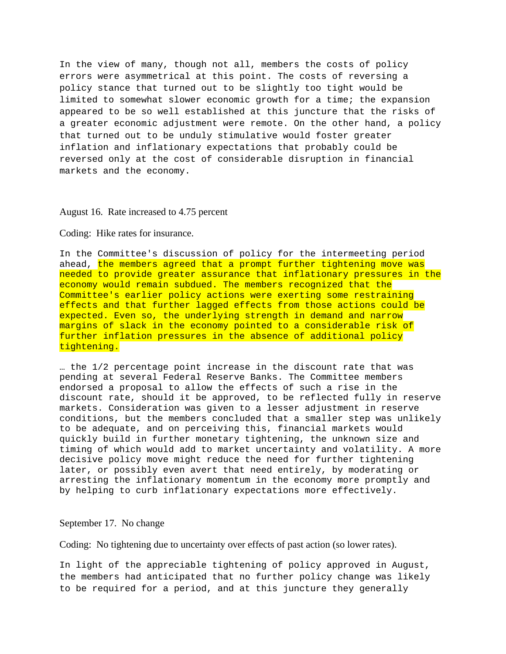In the view of many, though not all, members the costs of policy errors were asymmetrical at this point. The costs of reversing a policy stance that turned out to be slightly too tight would be limited to somewhat slower economic growth for a time; the expansion appeared to be so well established at this juncture that the risks of a greater economic adjustment were remote. On the other hand, a policy that turned out to be unduly stimulative would foster greater inflation and inflationary expectations that probably could be reversed only at the cost of considerable disruption in financial markets and the economy.

#### August 16. Rate increased to 4.75 percent

#### Coding: Hike rates for insurance.

In the Committee's discussion of policy for the intermeeting period ahead, the members agreed that a prompt further tightening move was needed to provide greater assurance that inflationary pressures in the economy would remain subdued. The members recognized that the Committee's earlier policy actions were exerting some restraining effects and that further lagged effects from those actions could be expected. Even so, the underlying strength in demand and narrow margins of slack in the economy pointed to a considerable risk of further inflation pressures in the absence of additional policy tightening.

… the 1/2 percentage point increase in the discount rate that was pending at several Federal Reserve Banks. The Committee members endorsed a proposal to allow the effects of such a rise in the discount rate, should it be approved, to be reflected fully in reserve markets. Consideration was given to a lesser adjustment in reserve conditions, but the members concluded that a smaller step was unlikely to be adequate, and on perceiving this, financial markets would quickly build in further monetary tightening, the unknown size and timing of which would add to market uncertainty and volatility. A more decisive policy move might reduce the need for further tightening later, or possibly even avert that need entirely, by moderating or arresting the inflationary momentum in the economy more promptly and by helping to curb inflationary expectations more effectively.

#### September 17. No change

Coding: No tightening due to uncertainty over effects of past action (so lower rates).

In light of the appreciable tightening of policy approved in August, the members had anticipated that no further policy change was likely to be required for a period, and at this juncture they generally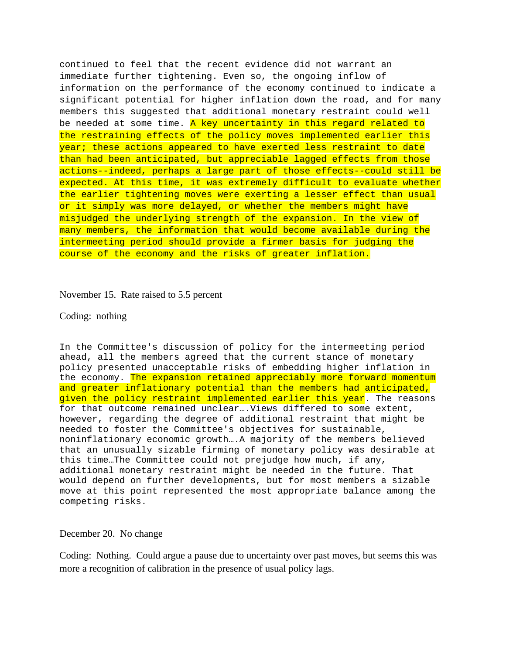continued to feel that the recent evidence did not warrant an immediate further tightening. Even so, the ongoing inflow of information on the performance of the economy continued to indicate a significant potential for higher inflation down the road, and for many members this suggested that additional monetary restraint could well be needed at some time. A key uncertainty in this regard related to the restraining effects of the policy moves implemented earlier this year; these actions appeared to have exerted less restraint to date than had been anticipated, but appreciable lagged effects from those actions--indeed, perhaps a large part of those effects--could still be expected. At this time, it was extremely difficult to evaluate whether the earlier tightening moves were exerting a lesser effect than usual or it simply was more delayed, or whether the members might have misjudged the underlying strength of the expansion. In the view of many members, the information that would become available during the intermeeting period should provide a firmer basis for judging the course of the economy and the risks of greater inflation.

# November 15. Rate raised to 5.5 percent

### Coding: nothing

In the Committee's discussion of policy for the intermeeting period ahead, all the members agreed that the current stance of monetary policy presented unacceptable risks of embedding higher inflation in the economy. The expansion retained appreciably more forward momentum and greater inflationary potential than the members had anticipated, given the policy restraint implemented earlier this year. The reasons for that outcome remained unclear….Views differed to some extent, however, regarding the degree of additional restraint that might be needed to foster the Committee's objectives for sustainable, noninflationary economic growth….A majority of the members believed that an unusually sizable firming of monetary policy was desirable at this time…The Committee could not prejudge how much, if any, additional monetary restraint might be needed in the future. That would depend on further developments, but for most members a sizable move at this point represented the most appropriate balance among the competing risks.

## December 20. No change

Coding: Nothing. Could argue a pause due to uncertainty over past moves, but seems this was more a recognition of calibration in the presence of usual policy lags.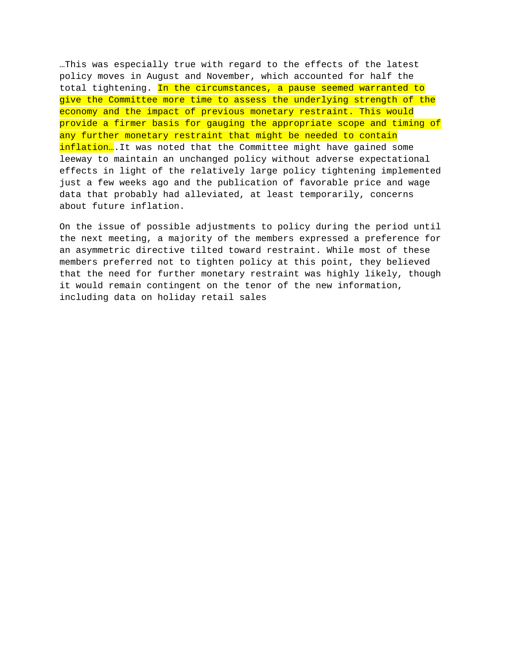…This was especially true with regard to the effects of the latest policy moves in August and November, which accounted for half the total tightening. In the circumstances, a pause seemed warranted to give the Committee more time to assess the underlying strength of the economy and the impact of previous monetary restraint. This would provide a firmer basis for gauging the appropriate scope and timing of any further monetary restraint that might be needed to contain inflation... It was noted that the Committee might have gained some leeway to maintain an unchanged policy without adverse expectational effects in light of the relatively large policy tightening implemented just a few weeks ago and the publication of favorable price and wage data that probably had alleviated, at least temporarily, concerns about future inflation.

On the issue of possible adjustments to policy during the period until the next meeting, a majority of the members expressed a preference for an asymmetric directive tilted toward restraint. While most of these members preferred not to tighten policy at this point, they believed that the need for further monetary restraint was highly likely, though it would remain contingent on the tenor of the new information, including data on holiday retail sales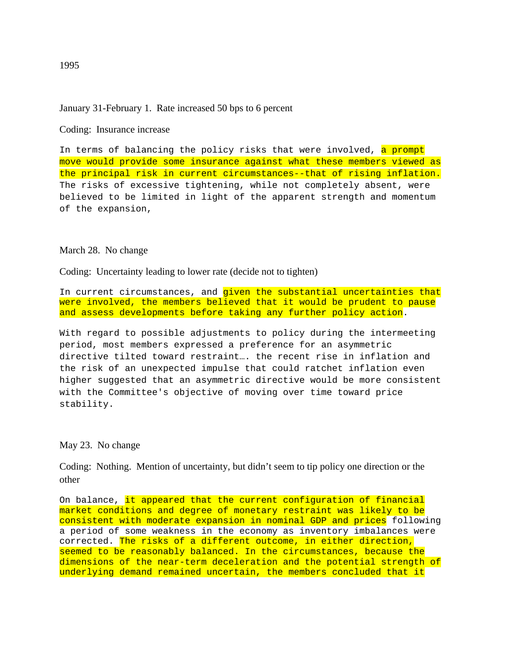# January 31-February 1. Rate increased 50 bps to 6 percent

Coding: Insurance increase

In terms of balancing the policy risks that were involved, a prompt move would provide some insurance against what these members viewed as the principal risk in current circumstances--that of rising inflation. The risks of excessive tightening, while not completely absent, were believed to be limited in light of the apparent strength and momentum of the expansion,

#### March 28. No change

Coding: Uncertainty leading to lower rate (decide not to tighten)

In current circumstances, and given the substantial uncertainties that were involved, the members believed that it would be prudent to pause and assess developments before taking any further policy action.

With regard to possible adjustments to policy during the intermeeting period, most members expressed a preference for an asymmetric directive tilted toward restraint…. the recent rise in inflation and the risk of an unexpected impulse that could ratchet inflation even higher suggested that an asymmetric directive would be more consistent with the Committee's objective of moving over time toward price stability.

### May 23. No change

Coding: Nothing. Mention of uncertainty, but didn't seem to tip policy one direction or the other

On balance, it appeared that the current configuration of financial market conditions and degree of monetary restraint was likely to be consistent with moderate expansion in nominal GDP and prices following a period of some weakness in the economy as inventory imbalances were corrected. The risks of a different outcome, in either direction, seemed to be reasonably balanced. In the circumstances, because the dimensions of the near-term deceleration and the potential strength of underlying demand remained uncertain, the members concluded that it

1995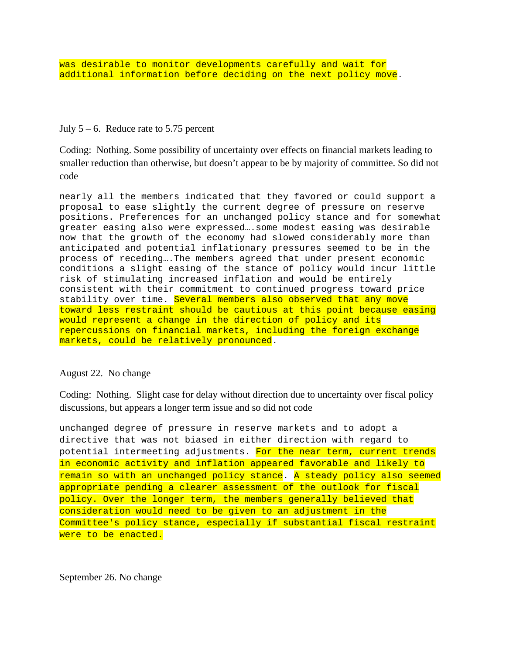# July  $5 - 6$ . Reduce rate to 5.75 percent

Coding: Nothing. Some possibility of uncertainty over effects on financial markets leading to smaller reduction than otherwise, but doesn't appear to be by majority of committee. So did not code

nearly all the members indicated that they favored or could support a proposal to ease slightly the current degree of pressure on reserve positions. Preferences for an unchanged policy stance and for somewhat greater easing also were expressed….some modest easing was desirable now that the growth of the economy had slowed considerably more than anticipated and potential inflationary pressures seemed to be in the process of receding….The members agreed that under present economic conditions a slight easing of the stance of policy would incur little risk of stimulating increased inflation and would be entirely consistent with their commitment to continued progress toward price stability over time. Several members also observed that any move toward less restraint should be cautious at this point because easing would represent a change in the direction of policy and its repercussions on financial markets, including the foreign exchange markets, could be relatively pronounced.

# August 22. No change

Coding: Nothing. Slight case for delay without direction due to uncertainty over fiscal policy discussions, but appears a longer term issue and so did not code

unchanged degree of pressure in reserve markets and to adopt a directive that was not biased in either direction with regard to potential intermeeting adjustments. For the near term, current trends in economic activity and inflation appeared favorable and likely to remain so with an unchanged policy stance. A steady policy also seemed appropriate pending a clearer assessment of the outlook for fiscal policy. Over the longer term, the members generally believed that consideration would need to be given to an adjustment in the Committee's policy stance, especially if substantial fiscal restraint were to be enacted.

September 26. No change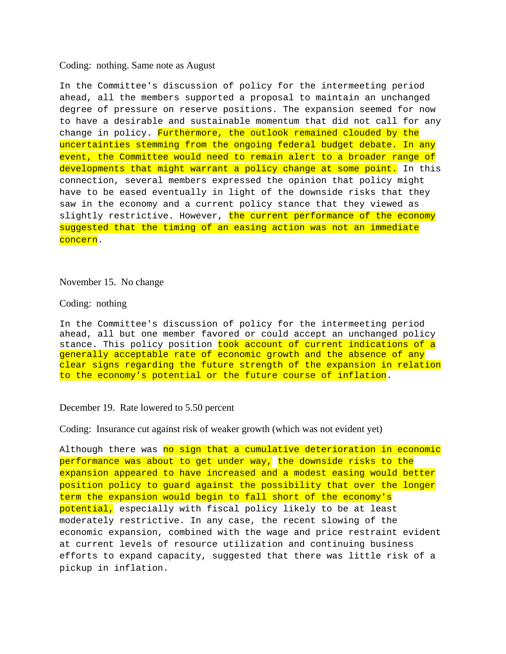#### Coding: nothing. Same note as August

In the Committee's discussion of policy for the intermeeting period ahead, all the members supported a proposal to maintain an unchanged degree of pressure on reserve positions. The expansion seemed for now to have a desirable and sustainable momentum that did not call for any change in policy. Furthermore, the outlook remained clouded by the uncertainties stemming from the ongoing federal budget debate. In any event, the Committee would need to remain alert to a broader range of developments that might warrant a policy change at some point. In this connection, several members expressed the opinion that policy might have to be eased eventually in light of the downside risks that they saw in the economy and a current policy stance that they viewed as slightly restrictive. However, the current performance of the economy suggested that the timing of an easing action was not an immediate concern.

#### November 15. No change

#### Coding: nothing

In the Committee's discussion of policy for the intermeeting period ahead, all but one member favored or could accept an unchanged policy stance. This policy position took account of current indications of a generally acceptable rate of economic growth and the absence of any clear signs regarding the future strength of the expansion in relation to the economy's potential or the future course of inflation.

# December 19. Rate lowered to 5.50 percent

Coding: Insurance cut against risk of weaker growth (which was not evident yet)

Although there was no sign that a cumulative deterioration in economic performance was about to get under way, the downside risks to the expansion appeared to have increased and a modest easing would better position policy to guard against the possibility that over the longer term the expansion would begin to fall short of the economy's potential, especially with fiscal policy likely to be at least moderately restrictive. In any case, the recent slowing of the economic expansion, combined with the wage and price restraint evident at current levels of resource utilization and continuing business efforts to expand capacity, suggested that there was little risk of a pickup in inflation.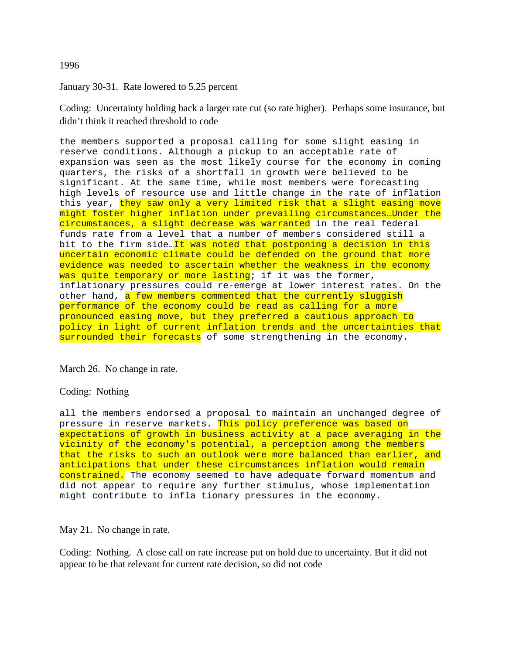## 1996

# January 30-31. Rate lowered to 5.25 percent

Coding: Uncertainty holding back a larger rate cut (so rate higher). Perhaps some insurance, but didn't think it reached threshold to code

the members supported a proposal calling for some slight easing in reserve conditions. Although a pickup to an acceptable rate of expansion was seen as the most likely course for the economy in coming quarters, the risks of a shortfall in growth were believed to be significant. At the same time, while most members were forecasting high levels of resource use and little change in the rate of inflation this year, they saw only a very limited risk that a slight easing move might foster higher inflation under prevailing circumstances…Under the circumstances, a slight decrease was warranted in the real federal funds rate from a level that a number of members considered still a bit to the firm side…It was noted that postponing a decision in this uncertain economic climate could be defended on the ground that more evidence was needed to ascertain whether the weakness in the economy was quite temporary or more lasting; if it was the former, inflationary pressures could re-emerge at lower interest rates. On the other hand, a few members commented that the currently sluggish performance of the economy could be read as calling for a more pronounced easing move, but they preferred a cautious approach to policy in light of current inflation trends and the uncertainties that surrounded their forecasts of some strengthening in the economy.

March 26. No change in rate.

# Coding: Nothing

all the members endorsed a proposal to maintain an unchanged degree of pressure in reserve markets. This policy preference was based on expectations of growth in business activity at a pace averaging in the vicinity of the economy's potential, a perception among the members that the risks to such an outlook were more balanced than earlier, and anticipations that under these circumstances inflation would remain constrained. The economy seemed to have adequate forward momentum and did not appear to require any further stimulus, whose implementation might contribute to infla tionary pressures in the economy.

May 21. No change in rate.

Coding: Nothing. A close call on rate increase put on hold due to uncertainty. But it did not appear to be that relevant for current rate decision, so did not code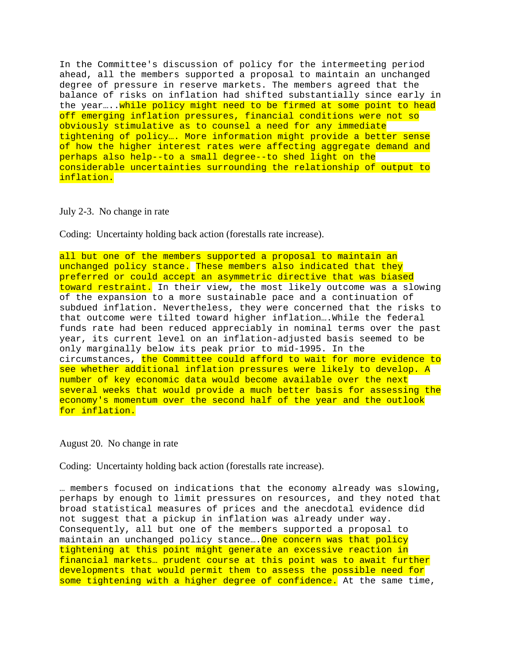In the Committee's discussion of policy for the intermeeting period ahead, all the members supported a proposal to maintain an unchanged degree of pressure in reserve markets. The members agreed that the balance of risks on inflation had shifted substantially since early in the year.... while policy might need to be firmed at some point to head off emerging inflation pressures, financial conditions were not so obviously stimulative as to counsel a need for any immediate tightening of policy…. More information might provide a better sense of how the higher interest rates were affecting aggregate demand and perhaps also help--to a small degree--to shed light on the considerable uncertainties surrounding the relationship of output to inflation.

#### July 2-3. No change in rate

Coding: Uncertainty holding back action (forestalls rate increase).

all but one of the members supported a proposal to maintain an unchanged policy stance. These members also indicated that they preferred or could accept an asymmetric directive that was biased toward restraint. In their view, the most likely outcome was a slowing of the expansion to a more sustainable pace and a continuation of subdued inflation. Nevertheless, they were concerned that the risks to that outcome were tilted toward higher inflation….While the federal funds rate had been reduced appreciably in nominal terms over the past year, its current level on an inflation-adjusted basis seemed to be only marginally below its peak prior to mid-1995. In the circumstances, the Committee could afford to wait for more evidence to see whether additional inflation pressures were likely to develop. A number of key economic data would become available over the next several weeks that would provide a much better basis for assessing the economy's momentum over the second half of the year and the outlook for inflation.

#### August 20. No change in rate

Coding: Uncertainty holding back action (forestalls rate increase).

… members focused on indications that the economy already was slowing, perhaps by enough to limit pressures on resources, and they noted that broad statistical measures of prices and the anecdotal evidence did not suggest that a pickup in inflation was already under way. Consequently, all but one of the members supported a proposal to maintain an unchanged policy stance... One concern was that policy tightening at this point might generate an excessive reaction in financial markets… prudent course at this point was to await further developments that would permit them to assess the possible need for some tightening with a higher degree of confidence. At the same time,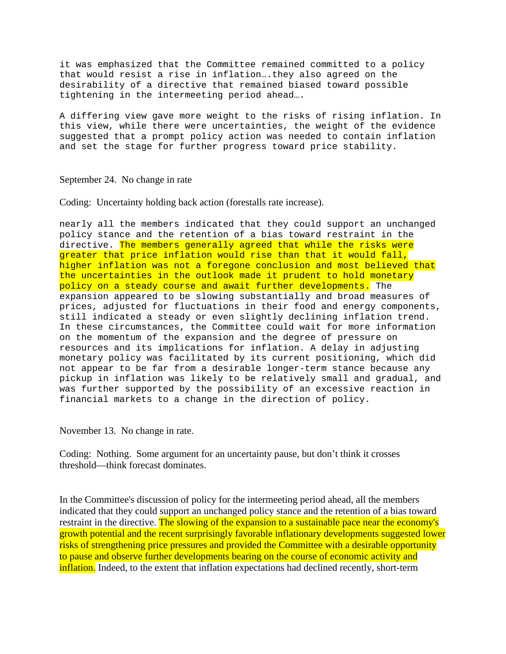it was emphasized that the Committee remained committed to a policy that would resist a rise in inflation….they also agreed on the desirability of a directive that remained biased toward possible tightening in the intermeeting period ahead….

A differing view gave more weight to the risks of rising inflation. In this view, while there were uncertainties, the weight of the evidence suggested that a prompt policy action was needed to contain inflation and set the stage for further progress toward price stability.

## September 24. No change in rate

Coding: Uncertainty holding back action (forestalls rate increase).

nearly all the members indicated that they could support an unchanged policy stance and the retention of a bias toward restraint in the directive. The members generally agreed that while the risks were greater that price inflation would rise than that it would fall, higher inflation was not a foregone conclusion and most believed that the uncertainties in the outlook made it prudent to hold monetary policy on a steady course and await further developments. The expansion appeared to be slowing substantially and broad measures of prices, adjusted for fluctuations in their food and energy components, still indicated a steady or even slightly declining inflation trend. In these circumstances, the Committee could wait for more information on the momentum of the expansion and the degree of pressure on resources and its implications for inflation. A delay in adjusting monetary policy was facilitated by its current positioning, which did not appear to be far from a desirable longer-term stance because any pickup in inflation was likely to be relatively small and gradual, and was further supported by the possibility of an excessive reaction in financial markets to a change in the direction of policy.

November 13. No change in rate.

Coding: Nothing. Some argument for an uncertainty pause, but don't think it crosses threshold—think forecast dominates.

In the Committee's discussion of policy for the intermeeting period ahead, all the members indicated that they could support an unchanged policy stance and the retention of a bias toward restraint in the directive. The slowing of the expansion to a sustainable pace near the economy's growth potential and the recent surprisingly favorable inflationary developments suggested lower risks of strengthening price pressures and provided the Committee with a desirable opportunity to pause and observe further developments bearing on the course of economic activity and inflation. Indeed, to the extent that inflation expectations had declined recently, short-term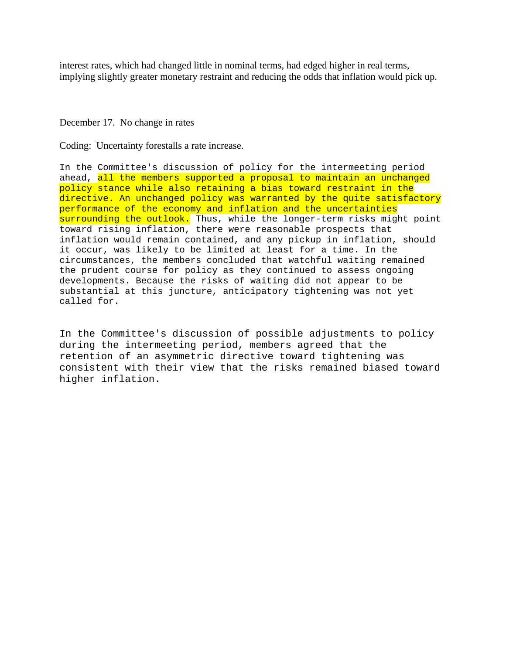interest rates, which had changed little in nominal terms, had edged higher in real terms, implying slightly greater monetary restraint and reducing the odds that inflation would pick up.

### December 17. No change in rates

Coding: Uncertainty forestalls a rate increase.

In the Committee's discussion of policy for the intermeeting period ahead, all the members supported a proposal to maintain an unchanged policy stance while also retaining a bias toward restraint in the directive. An unchanged policy was warranted by the quite satisfactory performance of the economy and inflation and the uncertainties surrounding the outlook. Thus, while the longer-term risks might point toward rising inflation, there were reasonable prospects that inflation would remain contained, and any pickup in inflation, should it occur, was likely to be limited at least for a time. In the circumstances, the members concluded that watchful waiting remained the prudent course for policy as they continued to assess ongoing developments. Because the risks of waiting did not appear to be substantial at this juncture, anticipatory tightening was not yet called for.

In the Committee's discussion of possible adjustments to policy during the intermeeting period, members agreed that the retention of an asymmetric directive toward tightening was consistent with their view that the risks remained biased toward higher inflation.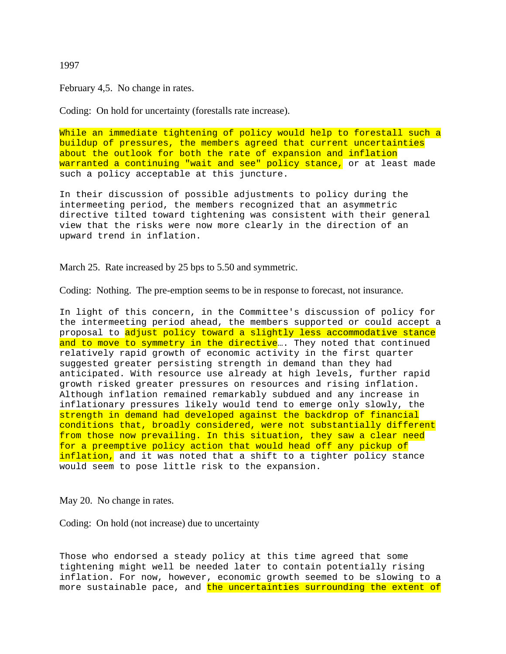# 1997

February 4,5. No change in rates.

Coding: On hold for uncertainty (forestalls rate increase).

While an immediate tightening of policy would help to forestall such a buildup of pressures, the members agreed that current uncertainties about the outlook for both the rate of expansion and inflation warranted a continuing "wait and see" policy stance, or at least made such a policy acceptable at this juncture.

In their discussion of possible adjustments to policy during the intermeeting period, the members recognized that an asymmetric directive tilted toward tightening was consistent with their general view that the risks were now more clearly in the direction of an upward trend in inflation.

March 25. Rate increased by 25 bps to 5.50 and symmetric.

Coding: Nothing. The pre-emption seems to be in response to forecast, not insurance.

In light of this concern, in the Committee's discussion of policy for the intermeeting period ahead, the members supported or could accept a proposal to adjust policy toward a slightly less accommodative stance and to move to symmetry in the directive.... They noted that continued relatively rapid growth of economic activity in the first quarter suggested greater persisting strength in demand than they had anticipated. With resource use already at high levels, further rapid growth risked greater pressures on resources and rising inflation. Although inflation remained remarkably subdued and any increase in inflationary pressures likely would tend to emerge only slowly, the strength in demand had developed against the backdrop of financial conditions that, broadly considered, were not substantially different from those now prevailing. In this situation, they saw a clear need for a preemptive policy action that would head off any pickup of inflation, and it was noted that a shift to a tighter policy stance would seem to pose little risk to the expansion.

May 20. No change in rates.

Coding: On hold (not increase) due to uncertainty

Those who endorsed a steady policy at this time agreed that some tightening might well be needed later to contain potentially rising inflation. For now, however, economic growth seemed to be slowing to a more sustainable pace, and the uncertainties surrounding the extent of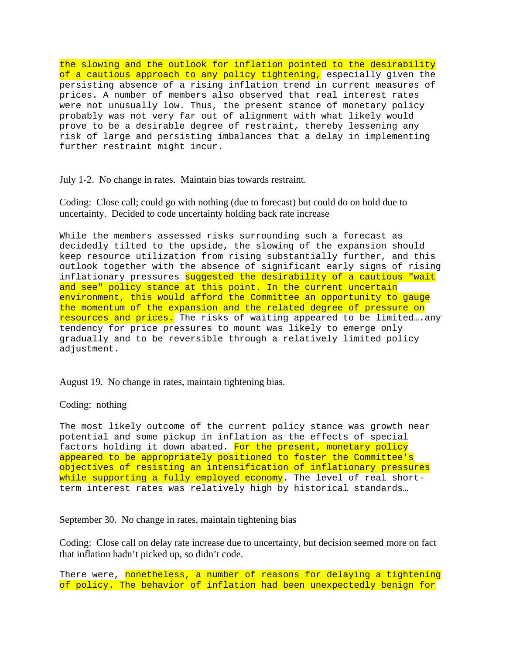the slowing and the outlook for inflation pointed to the desirability of a cautious approach to any policy tightening, especially given the persisting absence of a rising inflation trend in current measures of prices. A number of members also observed that real interest rates were not unusually low. Thus, the present stance of monetary policy probably was not very far out of alignment with what likely would prove to be a desirable degree of restraint, thereby lessening any risk of large and persisting imbalances that a delay in implementing further restraint might incur.

July 1-2. No change in rates. Maintain bias towards restraint.

Coding: Close call; could go with nothing (due to forecast) but could do on hold due to uncertainty. Decided to code uncertainty holding back rate increase

While the members assessed risks surrounding such a forecast as decidedly tilted to the upside, the slowing of the expansion should keep resource utilization from rising substantially further, and this outlook together with the absence of significant early signs of rising inflationary pressures suggested the desirability of a cautious "wait and see" policy stance at this point. In the current uncertain environment, this would afford the Committee an opportunity to gauge the momentum of the expansion and the related degree of pressure on resources and prices. The risks of waiting appeared to be limited….any tendency for price pressures to mount was likely to emerge only gradually and to be reversible through a relatively limited policy adjustment.

August 19. No change in rates, maintain tightening bias.

Coding: nothing

The most likely outcome of the current policy stance was growth near potential and some pickup in inflation as the effects of special factors holding it down abated. For the present, monetary policy appeared to be appropriately positioned to foster the Committee's objectives of resisting an intensification of inflationary pressures while supporting a fully employed economy. The level of real shortterm interest rates was relatively high by historical standards…

September 30. No change in rates, maintain tightening bias

Coding: Close call on delay rate increase due to uncertainty, but decision seemed more on fact that inflation hadn't picked up, so didn't code.

There were, nonetheless, a number of reasons for delaying a tightening of policy. The behavior of inflation had been unexpectedly benign for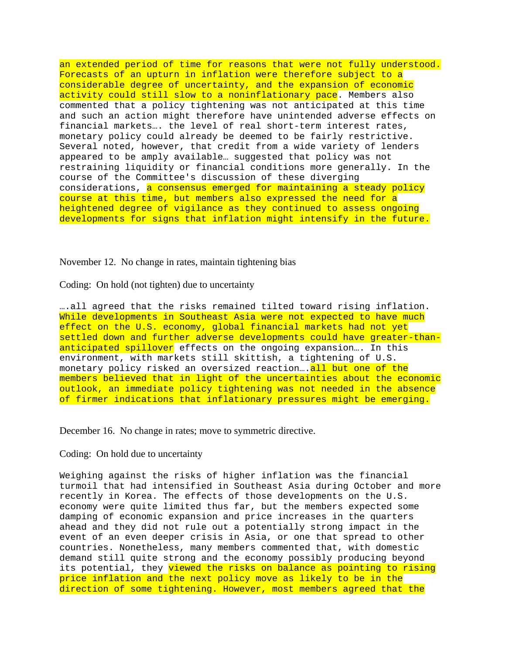an extended period of time for reasons that were not fully understood. Forecasts of an upturn in inflation were therefore subject to a considerable degree of uncertainty, and the expansion of economic activity could still slow to a noninflationary pace. Members also commented that a policy tightening was not anticipated at this time and such an action might therefore have unintended adverse effects on financial markets…. the level of real short-term interest rates, monetary policy could already be deemed to be fairly restrictive. Several noted, however, that credit from a wide variety of lenders appeared to be amply available… suggested that policy was not restraining liquidity or financial conditions more generally. In the course of the Committee's discussion of these diverging considerations, a consensus emerged for maintaining a steady policy course at this time, but members also expressed the need for a heightened degree of vigilance as they continued to assess ongoing developments for signs that inflation might intensify in the future.

November 12. No change in rates, maintain tightening bias

Coding: On hold (not tighten) due to uncertainty

….all agreed that the risks remained tilted toward rising inflation. While developments in Southeast Asia were not expected to have much effect on the U.S. economy, global financial markets had not yet settled down and further adverse developments could have greater-thananticipated spillover effects on the ongoing expansion.... In this environment, with markets still skittish, a tightening of U.S. monetary policy risked an oversized reaction.... all but one of the members believed that in light of the uncertainties about the economic outlook, an immediate policy tightening was not needed in the absence of firmer indications that inflationary pressures might be emerging.

December 16. No change in rates; move to symmetric directive.

# Coding: On hold due to uncertainty

Weighing against the risks of higher inflation was the financial turmoil that had intensified in Southeast Asia during October and more recently in Korea. The effects of those developments on the U.S. economy were quite limited thus far, but the members expected some damping of economic expansion and price increases in the quarters ahead and they did not rule out a potentially strong impact in the event of an even deeper crisis in Asia, or one that spread to other countries. Nonetheless, many members commented that, with domestic demand still quite strong and the economy possibly producing beyond its potential, they viewed the risks on balance as pointing to rising price inflation and the next policy move as likely to be in the direction of some tightening. However, most members agreed that the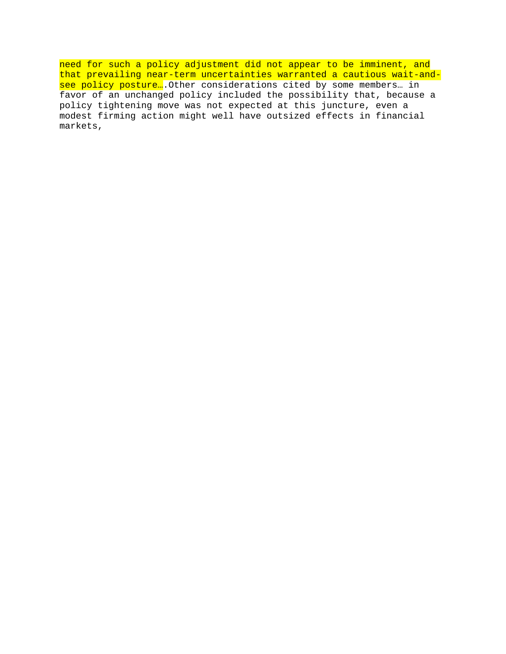need for such a policy adjustment did not appear to be imminent, and that prevailing near-term uncertainties warranted a cautious wait-andsee policy posture....Other considerations cited by some members... in favor of an unchanged policy included the possibility that, because a policy tightening move was not expected at this juncture, even a modest firming action might well have outsized effects in financial markets,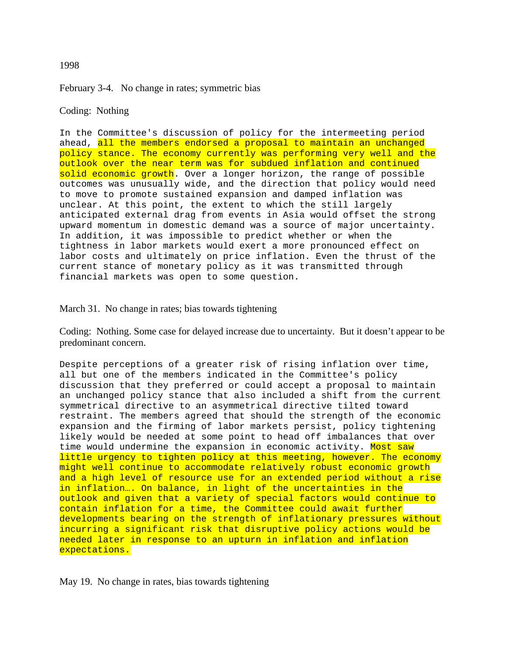## 1998

February 3-4. No change in rates; symmetric bias

# Coding: Nothing

In the Committee's discussion of policy for the intermeeting period ahead, all the members endorsed a proposal to maintain an unchanged policy stance. The economy currently was performing very well and the outlook over the near term was for subdued inflation and continued solid economic growth. Over a longer horizon, the range of possible outcomes was unusually wide, and the direction that policy would need to move to promote sustained expansion and damped inflation was unclear. At this point, the extent to which the still largely anticipated external drag from events in Asia would offset the strong upward momentum in domestic demand was a source of major uncertainty. In addition, it was impossible to predict whether or when the tightness in labor markets would exert a more pronounced effect on labor costs and ultimately on price inflation. Even the thrust of the current stance of monetary policy as it was transmitted through financial markets was open to some question.

## March 31. No change in rates; bias towards tightening

Coding: Nothing. Some case for delayed increase due to uncertainty. But it doesn't appear to be predominant concern.

Despite perceptions of a greater risk of rising inflation over time, all but one of the members indicated in the Committee's policy discussion that they preferred or could accept a proposal to maintain an unchanged policy stance that also included a shift from the current symmetrical directive to an asymmetrical directive tilted toward restraint. The members agreed that should the strength of the economic expansion and the firming of labor markets persist, policy tightening likely would be needed at some point to head off imbalances that over time would undermine the expansion in economic activity. Most saw little urgency to tighten policy at this meeting, however. The economy might well continue to accommodate relatively robust economic growth and a high level of resource use for an extended period without a rise in inflation…. On balance, in light of the uncertainties in the outlook and given that a variety of special factors would continue to contain inflation for a time, the Committee could await further developments bearing on the strength of inflationary pressures without incurring a significant risk that disruptive policy actions would be needed later in response to an upturn in inflation and inflation expectations.

May 19. No change in rates, bias towards tightening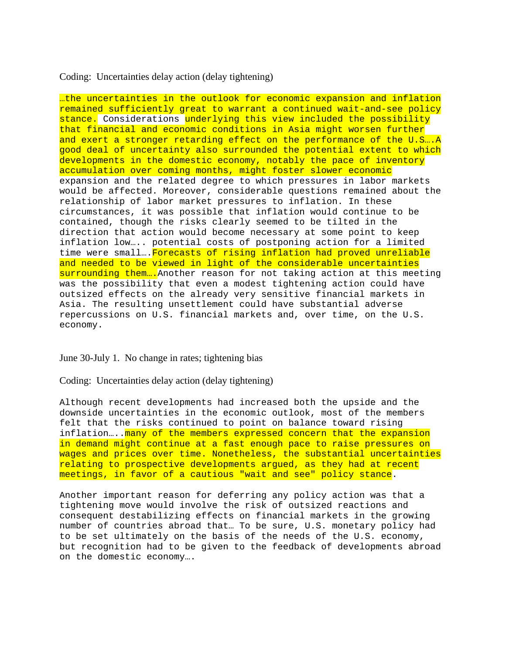Coding: Uncertainties delay action (delay tightening)

…the uncertainties in the outlook for economic expansion and inflation remained sufficiently great to warrant a continued wait-and-see policy stance. Considerations underlying this view included the possibility that financial and economic conditions in Asia might worsen further and exert a stronger retarding effect on the performance of the U.S….A good deal of uncertainty also surrounded the potential extent to which developments in the domestic economy, notably the pace of inventory accumulation over coming months, might foster slower economic expansion and the related degree to which pressures in labor markets would be affected. Moreover, considerable questions remained about the relationship of labor market pressures to inflation. In these circumstances, it was possible that inflation would continue to be contained, though the risks clearly seemed to be tilted in the direction that action would become necessary at some point to keep inflation low….. potential costs of postponing action for a limited time were small... Forecasts of rising inflation had proved unreliable and needed to be viewed in light of the considerable uncertainties surrounding them.... Another reason for not taking action at this meeting was the possibility that even a modest tightening action could have outsized effects on the already very sensitive financial markets in Asia. The resulting unsettlement could have substantial adverse repercussions on U.S. financial markets and, over time, on the U.S. economy.

June 30-July 1. No change in rates; tightening bias

Coding: Uncertainties delay action (delay tightening)

Although recent developments had increased both the upside and the downside uncertainties in the economic outlook, most of the members felt that the risks continued to point on balance toward rising inflation..... many of the members expressed concern that the expansion in demand might continue at a fast enough pace to raise pressures on wages and prices over time. Nonetheless, the substantial uncertainties relating to prospective developments argued, as they had at recent meetings, in favor of a cautious "wait and see" policy stance.

Another important reason for deferring any policy action was that a tightening move would involve the risk of outsized reactions and consequent destabilizing effects on financial markets in the growing number of countries abroad that… To be sure, U.S. monetary policy had to be set ultimately on the basis of the needs of the U.S. economy, but recognition had to be given to the feedback of developments abroad on the domestic economy….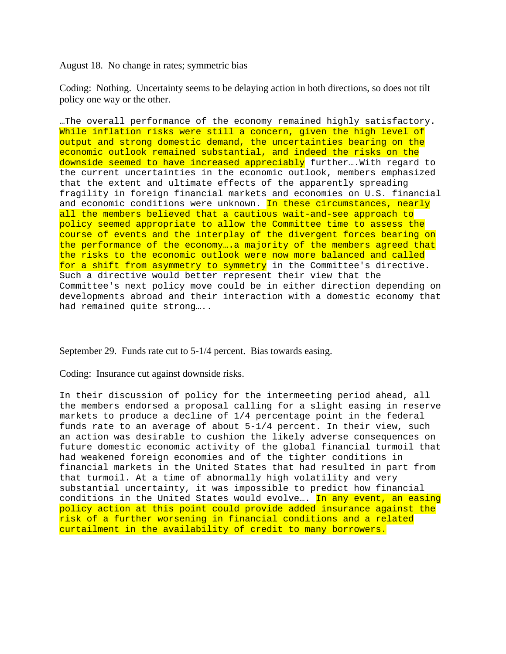August 18. No change in rates; symmetric bias

Coding: Nothing. Uncertainty seems to be delaying action in both directions, so does not tilt policy one way or the other.

…The overall performance of the economy remained highly satisfactory. While inflation risks were still a concern, given the high level of output and strong domestic demand, the uncertainties bearing on the economic outlook remained substantial, and indeed the risks on the downside seemed to have increased appreciably further... With regard to the current uncertainties in the economic outlook, members emphasized that the extent and ultimate effects of the apparently spreading fragility in foreign financial markets and economies on U.S. financial and economic conditions were unknown. In these circumstances, nearly all the members believed that a cautious wait-and-see approach to policy seemed appropriate to allow the Committee time to assess the course of events and the interplay of the divergent forces bearing on the performance of the economy….a majority of the members agreed that the risks to the economic outlook were now more balanced and called for a shift from asymmetry to symmetry in the Committee's directive. Such a directive would better represent their view that the Committee's next policy move could be in either direction depending on developments abroad and their interaction with a domestic economy that had remained quite strong…..

September 29. Funds rate cut to 5-1/4 percent. Bias towards easing.

Coding: Insurance cut against downside risks.

In their discussion of policy for the intermeeting period ahead, all the members endorsed a proposal calling for a slight easing in reserve markets to produce a decline of 1/4 percentage point in the federal funds rate to an average of about 5-1/4 percent. In their view, such an action was desirable to cushion the likely adverse consequences on future domestic economic activity of the global financial turmoil that had weakened foreign economies and of the tighter conditions in financial markets in the United States that had resulted in part from that turmoil. At a time of abnormally high volatility and very substantial uncertainty, it was impossible to predict how financial conditions in the United States would evolve.... In any event, an easing policy action at this point could provide added insurance against the risk of a further worsening in financial conditions and a related curtailment in the availability of credit to many borrowers.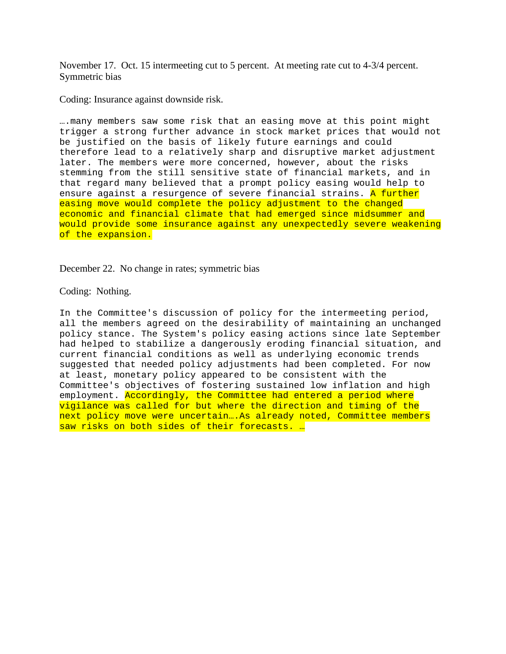November 17. Oct. 15 intermeeting cut to 5 percent. At meeting rate cut to 4-3/4 percent. Symmetric bias

Coding: Insurance against downside risk.

….many members saw some risk that an easing move at this point might trigger a strong further advance in stock market prices that would not be justified on the basis of likely future earnings and could therefore lead to a relatively sharp and disruptive market adjustment later. The members were more concerned, however, about the risks stemming from the still sensitive state of financial markets, and in that regard many believed that a prompt policy easing would help to ensure against a resurgence of severe financial strains. A further easing move would complete the policy adjustment to the changed economic and financial climate that had emerged since midsummer and would provide some insurance against any unexpectedly severe weakening of the expansion.

December 22. No change in rates; symmetric bias

Coding: Nothing.

In the Committee's discussion of policy for the intermeeting period, all the members agreed on the desirability of maintaining an unchanged policy stance. The System's policy easing actions since late September had helped to stabilize a dangerously eroding financial situation, and current financial conditions as well as underlying economic trends suggested that needed policy adjustments had been completed. For now at least, monetary policy appeared to be consistent with the Committee's objectives of fostering sustained low inflation and high employment. Accordingly, the Committee had entered a period where vigilance was called for but where the direction and timing of the next policy move were uncertain....As already noted, Committee members saw risks on both sides of their forecasts. ..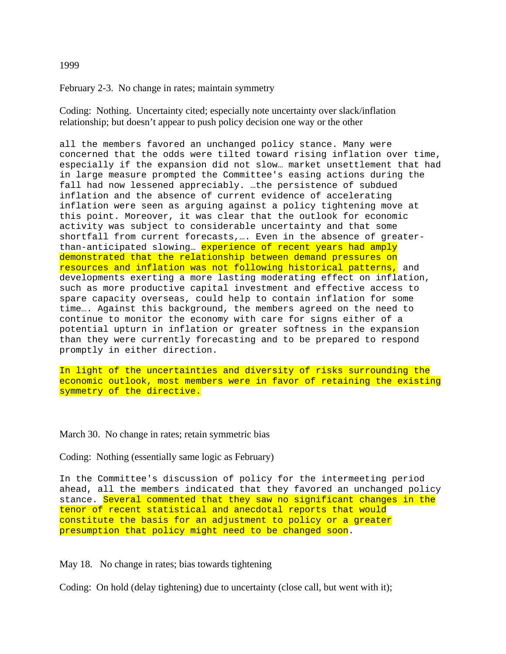### 1999

February 2-3. No change in rates; maintain symmetry

Coding: Nothing. Uncertainty cited; especially note uncertainty over slack/inflation relationship; but doesn't appear to push policy decision one way or the other

all the members favored an unchanged policy stance. Many were concerned that the odds were tilted toward rising inflation over time, especially if the expansion did not slow… market unsettlement that had in large measure prompted the Committee's easing actions during the fall had now lessened appreciably. …the persistence of subdued inflation and the absence of current evidence of accelerating inflation were seen as arguing against a policy tightening move at this point. Moreover, it was clear that the outlook for economic activity was subject to considerable uncertainty and that some shortfall from current forecasts,…. Even in the absence of greaterthan-anticipated slowing... experience of recent years had amply demonstrated that the relationship between demand pressures on resources and inflation was not following historical patterns, and developments exerting a more lasting moderating effect on inflation, such as more productive capital investment and effective access to spare capacity overseas, could help to contain inflation for some time…. Against this background, the members agreed on the need to continue to monitor the economy with care for signs either of a potential upturn in inflation or greater softness in the expansion than they were currently forecasting and to be prepared to respond promptly in either direction.

In light of the uncertainties and diversity of risks surrounding the economic outlook, most members were in favor of retaining the existing symmetry of the directive.

March 30. No change in rates; retain symmetric bias

Coding: Nothing (essentially same logic as February)

In the Committee's discussion of policy for the intermeeting period ahead, all the members indicated that they favored an unchanged policy stance. Several commented that they saw no significant changes in the tenor of recent statistical and anecdotal reports that would constitute the basis for an adjustment to policy or a greater presumption that policy might need to be changed soon.

May 18. No change in rates; bias towards tightening

Coding: On hold (delay tightening) due to uncertainty (close call, but went with it);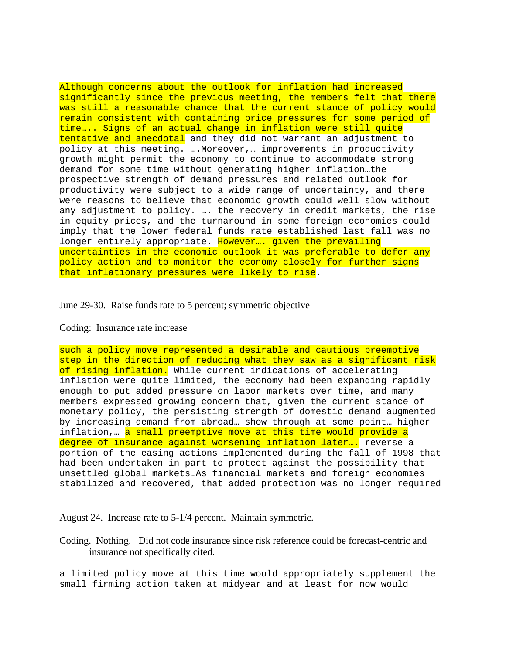Although concerns about the outlook for inflation had increased significantly since the previous meeting, the members felt that there was still a reasonable chance that the current stance of policy would remain consistent with containing price pressures for some period of time….. Signs of an actual change in inflation were still quite tentative and anecdotal and they did not warrant an adjustment to policy at this meeting. ….Moreover,… improvements in productivity growth might permit the economy to continue to accommodate strong demand for some time without generating higher inflation…the prospective strength of demand pressures and related outlook for productivity were subject to a wide range of uncertainty, and there were reasons to believe that economic growth could well slow without any adjustment to policy. …. the recovery in credit markets, the rise in equity prices, and the turnaround in some foreign economies could imply that the lower federal funds rate established last fall was no longer entirely appropriate. However... given the prevailing uncertainties in the economic outlook it was preferable to defer any policy action and to monitor the economy closely for further signs that inflationary pressures were likely to rise.

### June 29-30. Raise funds rate to 5 percent; symmetric objective

## Coding: Insurance rate increase

such a policy move represented a desirable and cautious preemptive step in the direction of reducing what they saw as a significant risk of rising inflation. While current indications of accelerating inflation were quite limited, the economy had been expanding rapidly enough to put added pressure on labor markets over time, and many members expressed growing concern that, given the current stance of monetary policy, the persisting strength of domestic demand augmented by increasing demand from abroad… show through at some point… higher inflation,... a small preemptive move at this time would provide a degree of insurance against worsening inflation later…. reverse a portion of the easing actions implemented during the fall of 1998 that had been undertaken in part to protect against the possibility that unsettled global markets…As financial markets and foreign economies stabilized and recovered, that added protection was no longer required

August 24. Increase rate to 5-1/4 percent. Maintain symmetric.

Coding. Nothing. Did not code insurance since risk reference could be forecast-centric and insurance not specifically cited.

a limited policy move at this time would appropriately supplement the small firming action taken at midyear and at least for now would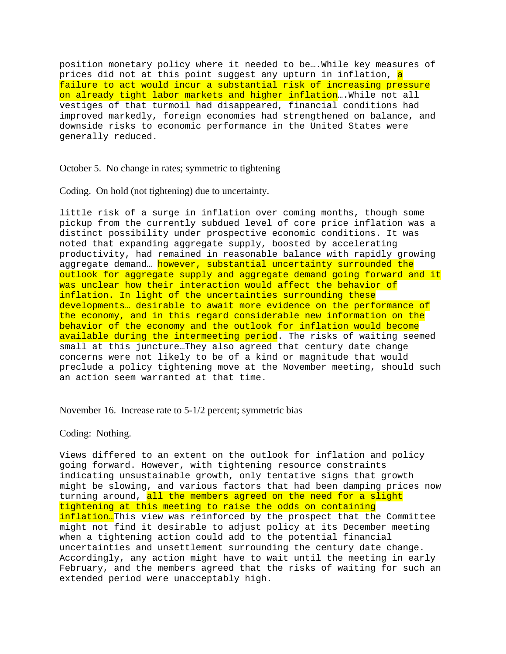position monetary policy where it needed to be….While key measures of prices did not at this point suggest any upturn in inflation, a failure to act would incur a substantial risk of increasing pressure on already tight labor markets and higher inflation...While not all vestiges of that turmoil had disappeared, financial conditions had improved markedly, foreign economies had strengthened on balance, and downside risks to economic performance in the United States were generally reduced.

October 5. No change in rates; symmetric to tightening

Coding. On hold (not tightening) due to uncertainty.

little risk of a surge in inflation over coming months, though some pickup from the currently subdued level of core price inflation was a distinct possibility under prospective economic conditions. It was noted that expanding aggregate supply, boosted by accelerating productivity, had remained in reasonable balance with rapidly growing aggregate demand... however, substantial uncertainty surrounded the outlook for aggregate supply and aggregate demand going forward and it was unclear how their interaction would affect the behavior of inflation. In light of the uncertainties surrounding these developments… desirable to await more evidence on the performance of the economy, and in this regard considerable new information on the behavior of the economy and the outlook for inflation would become available during the intermeeting period. The risks of waiting seemed small at this juncture…They also agreed that century date change concerns were not likely to be of a kind or magnitude that would preclude a policy tightening move at the November meeting, should such an action seem warranted at that time.

November 16. Increase rate to 5-1/2 percent; symmetric bias

Coding: Nothing.

Views differed to an extent on the outlook for inflation and policy going forward. However, with tightening resource constraints indicating unsustainable growth, only tentative signs that growth might be slowing, and various factors that had been damping prices now turning around, all the members agreed on the need for a slight tightening at this meeting to raise the odds on containing inflation...This view was reinforced by the prospect that the Committee might not find it desirable to adjust policy at its December meeting when a tightening action could add to the potential financial uncertainties and unsettlement surrounding the century date change. Accordingly, any action might have to wait until the meeting in early February, and the members agreed that the risks of waiting for such an extended period were unacceptably high.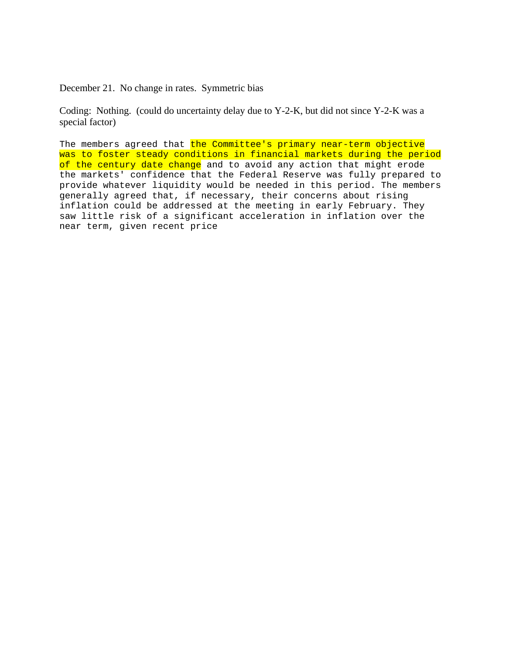December 21. No change in rates. Symmetric bias

Coding: Nothing. (could do uncertainty delay due to Y-2-K, but did not since Y-2-K was a special factor)

The members agreed that the Committee's primary near-term objective was to foster steady conditions in financial markets during the period of the century date change and to avoid any action that might erode the markets' confidence that the Federal Reserve was fully prepared to provide whatever liquidity would be needed in this period. The members generally agreed that, if necessary, their concerns about rising inflation could be addressed at the meeting in early February. They saw little risk of a significant acceleration in inflation over the near term, given recent price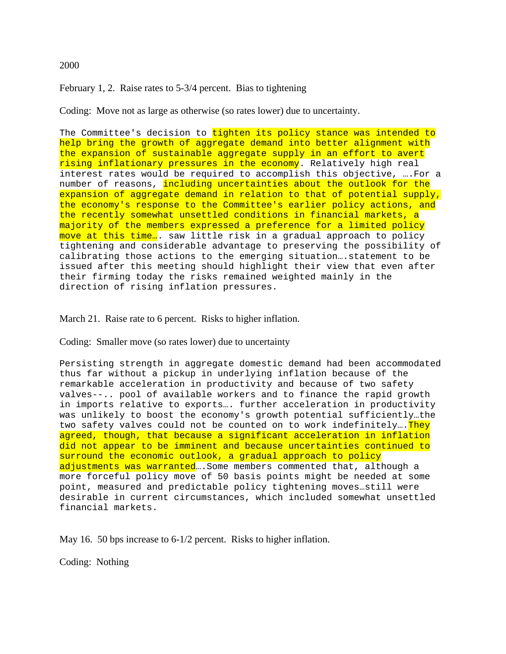# 2000

February 1, 2. Raise rates to 5-3/4 percent. Bias to tightening

Coding: Move not as large as otherwise (so rates lower) due to uncertainty.

The Committee's decision to tighten its policy stance was intended to help bring the growth of aggregate demand into better alignment with the expansion of sustainable aggregate supply in an effort to avert rising inflationary pressures in the economy. Relatively high real interest rates would be required to accomplish this objective, ….For a number of reasons, including uncertainties about the outlook for the expansion of aggregate demand in relation to that of potential supply, the economy's response to the Committee's earlier policy actions, and the recently somewhat unsettled conditions in financial markets, a majority of the members expressed a preference for a limited policy move at this time... saw little risk in a gradual approach to policy tightening and considerable advantage to preserving the possibility of calibrating those actions to the emerging situation….statement to be issued after this meeting should highlight their view that even after their firming today the risks remained weighted mainly in the direction of rising inflation pressures.

March 21. Raise rate to 6 percent. Risks to higher inflation.

Coding: Smaller move (so rates lower) due to uncertainty

Persisting strength in aggregate domestic demand had been accommodated thus far without a pickup in underlying inflation because of the remarkable acceleration in productivity and because of two safety valves--.. pool of available workers and to finance the rapid growth in imports relative to exports…. further acceleration in productivity was unlikely to boost the economy's growth potential sufficiently…the two safety valves could not be counted on to work indefinitely.... They agreed, though, that because a significant acceleration in inflation did not appear to be imminent and because uncertainties continued to surround the economic outlook, a gradual approach to policy adjustments was warranted ... Some members commented that, although a more forceful policy move of 50 basis points might be needed at some point, measured and predictable policy tightening moves…still were desirable in current circumstances, which included somewhat unsettled financial markets.

May 16. 50 bps increase to 6-1/2 percent. Risks to higher inflation.

Coding: Nothing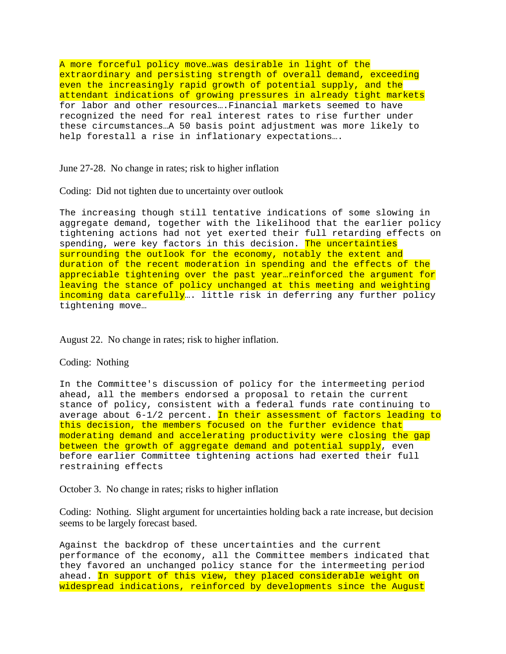A more forceful policy move…was desirable in light of the extraordinary and persisting strength of overall demand, exceeding even the increasingly rapid growth of potential supply, and the attendant indications of growing pressures in already tight markets for labor and other resources….Financial markets seemed to have recognized the need for real interest rates to rise further under these circumstances…A 50 basis point adjustment was more likely to help forestall a rise in inflationary expectations….

June 27-28. No change in rates; risk to higher inflation

Coding: Did not tighten due to uncertainty over outlook

The increasing though still tentative indications of some slowing in aggregate demand, together with the likelihood that the earlier policy tightening actions had not yet exerted their full retarding effects on spending, were key factors in this decision. The uncertainties surrounding the outlook for the economy, notably the extent and duration of the recent moderation in spending and the effects of the appreciable tightening over the past year...reinforced the argument for leaving the stance of policy unchanged at this meeting and weighting incoming data carefully... little risk in deferring any further policy tightening move…

August 22. No change in rates; risk to higher inflation.

### Coding: Nothing

In the Committee's discussion of policy for the intermeeting period ahead, all the members endorsed a proposal to retain the current stance of policy, consistent with a federal funds rate continuing to average about  $6-1/2$  percent. In their assessment of factors leading to this decision, the members focused on the further evidence that moderating demand and accelerating productivity were closing the gap between the growth of aggregate demand and potential supply, even before earlier Committee tightening actions had exerted their full restraining effects

October 3. No change in rates; risks to higher inflation

Coding: Nothing. Slight argument for uncertainties holding back a rate increase, but decision seems to be largely forecast based.

Against the backdrop of these uncertainties and the current performance of the economy, all the Committee members indicated that they favored an unchanged policy stance for the intermeeting period ahead. In support of this view, they placed considerable weight on widespread indications, reinforced by developments since the August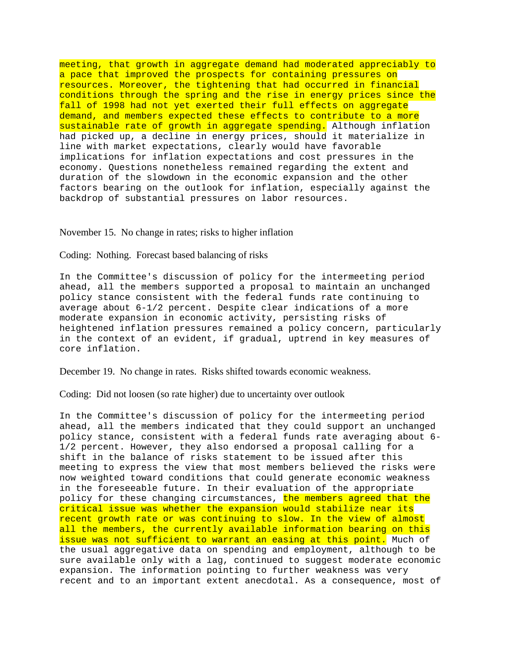meeting, that growth in aggregate demand had moderated appreciably to a pace that improved the prospects for containing pressures on resources. Moreover, the tightening that had occurred in financial conditions through the spring and the rise in energy prices since the fall of 1998 had not yet exerted their full effects on aggregate demand, and members expected these effects to contribute to a more sustainable rate of growth in aggregate spending. Although inflation had picked up, a decline in energy prices, should it materialize in line with market expectations, clearly would have favorable implications for inflation expectations and cost pressures in the economy. Questions nonetheless remained regarding the extent and duration of the slowdown in the economic expansion and the other factors bearing on the outlook for inflation, especially against the backdrop of substantial pressures on labor resources.

November 15. No change in rates; risks to higher inflation

Coding: Nothing. Forecast based balancing of risks

In the Committee's discussion of policy for the intermeeting period ahead, all the members supported a proposal to maintain an unchanged policy stance consistent with the federal funds rate continuing to average about 6-1/2 percent. Despite clear indications of a more moderate expansion in economic activity, persisting risks of heightened inflation pressures remained a policy concern, particularly in the context of an evident, if gradual, uptrend in key measures of core inflation.

December 19. No change in rates. Risks shifted towards economic weakness.

Coding: Did not loosen (so rate higher) due to uncertainty over outlook

In the Committee's discussion of policy for the intermeeting period ahead, all the members indicated that they could support an unchanged policy stance, consistent with a federal funds rate averaging about 6- 1/2 percent. However, they also endorsed a proposal calling for a shift in the balance of risks statement to be issued after this meeting to express the view that most members believed the risks were now weighted toward conditions that could generate economic weakness in the foreseeable future. In their evaluation of the appropriate policy for these changing circumstances, the members agreed that the critical issue was whether the expansion would stabilize near its recent growth rate or was continuing to slow. In the view of almost all the members, the currently available information bearing on this issue was not sufficient to warrant an easing at this point. Much of the usual aggregative data on spending and employment, although to be sure available only with a lag, continued to suggest moderate economic expansion. The information pointing to further weakness was very recent and to an important extent anecdotal. As a consequence, most of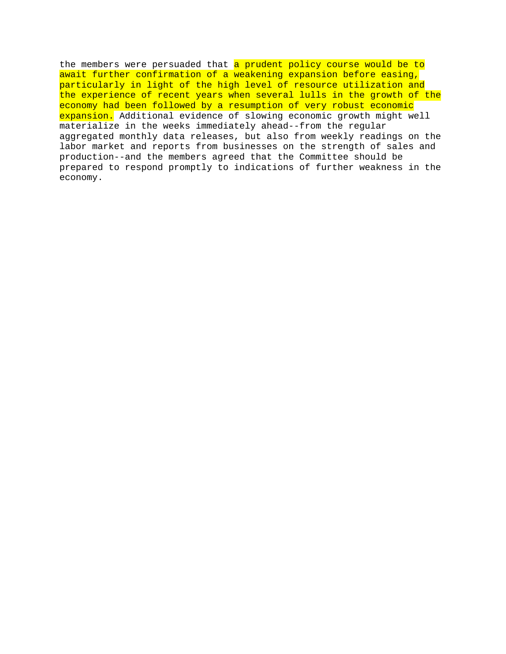the members were persuaded that a prudent policy course would be to await further confirmation of a weakening expansion before easing, particularly in light of the high level of resource utilization and the experience of recent years when several lulls in the growth of the economy had been followed by a resumption of very robust economic expansion. Additional evidence of slowing economic growth might well materialize in the weeks immediately ahead--from the regular aggregated monthly data releases, but also from weekly readings on the labor market and reports from businesses on the strength of sales and production--and the members agreed that the Committee should be prepared to respond promptly to indications of further weakness in the economy.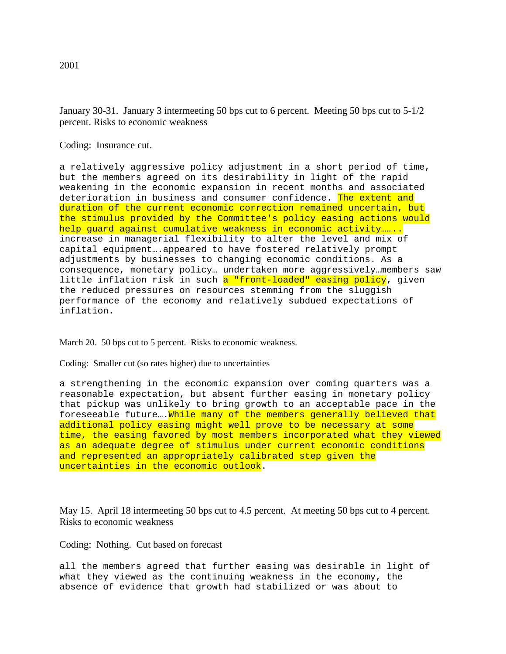January 30-31. January 3 intermeeting 50 bps cut to 6 percent. Meeting 50 bps cut to 5-1/2 percent. Risks to economic weakness

Coding: Insurance cut.

a relatively aggressive policy adjustment in a short period of time, but the members agreed on its desirability in light of the rapid weakening in the economic expansion in recent months and associated deterioration in business and consumer confidence. The extent and duration of the current economic correction remained uncertain, but the stimulus provided by the Committee's policy easing actions would help guard against cumulative weakness in economic activity…….. increase in managerial flexibility to alter the level and mix of capital equipment….appeared to have fostered relatively prompt adjustments by businesses to changing economic conditions. As a consequence, monetary policy… undertaken more aggressively…members saw little inflation risk in such a "front-loaded" easing policy, given the reduced pressures on resources stemming from the sluggish performance of the economy and relatively subdued expectations of inflation.

March 20. 50 bps cut to 5 percent. Risks to economic weakness.

Coding: Smaller cut (so rates higher) due to uncertainties

a strengthening in the economic expansion over coming quarters was a reasonable expectation, but absent further easing in monetary policy that pickup was unlikely to bring growth to an acceptable pace in the foreseeable future.... While many of the members generally believed that additional policy easing might well prove to be necessary at some time, the easing favored by most members incorporated what they viewed as an adequate degree of stimulus under current economic conditions and represented an appropriately calibrated step given the uncertainties in the economic outlook.

May 15. April 18 intermeeting 50 bps cut to 4.5 percent. At meeting 50 bps cut to 4 percent. Risks to economic weakness

Coding: Nothing. Cut based on forecast

all the members agreed that further easing was desirable in light of what they viewed as the continuing weakness in the economy, the absence of evidence that growth had stabilized or was about to

2001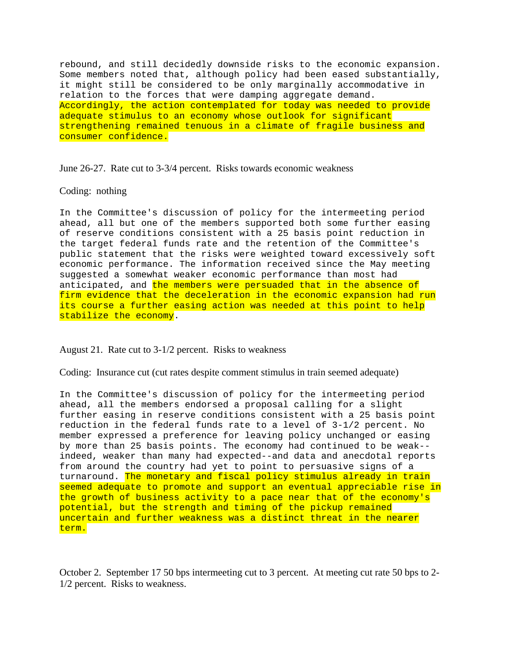rebound, and still decidedly downside risks to the economic expansion. Some members noted that, although policy had been eased substantially, it might still be considered to be only marginally accommodative in relation to the forces that were damping aggregate demand. Accordingly, the action contemplated for today was needed to provide adequate stimulus to an economy whose outlook for significant strengthening remained tenuous in a climate of fragile business and consumer confidence.

June 26-27. Rate cut to 3-3/4 percent. Risks towards economic weakness

#### Coding: nothing

In the Committee's discussion of policy for the intermeeting period ahead, all but one of the members supported both some further easing of reserve conditions consistent with a 25 basis point reduction in the target federal funds rate and the retention of the Committee's public statement that the risks were weighted toward excessively soft economic performance. The information received since the May meeting suggested a somewhat weaker economic performance than most had anticipated, and the members were persuaded that in the absence of firm evidence that the deceleration in the economic expansion had run its course a further easing action was needed at this point to help stabilize the economy.

## August 21. Rate cut to 3-1/2 percent. Risks to weakness

Coding: Insurance cut (cut rates despite comment stimulus in train seemed adequate)

In the Committee's discussion of policy for the intermeeting period ahead, all the members endorsed a proposal calling for a slight further easing in reserve conditions consistent with a 25 basis point reduction in the federal funds rate to a level of 3-1/2 percent. No member expressed a preference for leaving policy unchanged or easing by more than 25 basis points. The economy had continued to be weak- indeed, weaker than many had expected--and data and anecdotal reports from around the country had yet to point to persuasive signs of a turnaround. The monetary and fiscal policy stimulus already in train seemed adequate to promote and support an eventual appreciable rise in the growth of business activity to a pace near that of the economy's potential, but the strength and timing of the pickup remained uncertain and further weakness was a distinct threat in the nearer term.

October 2. September 17 50 bps intermeeting cut to 3 percent. At meeting cut rate 50 bps to 2- 1/2 percent. Risks to weakness.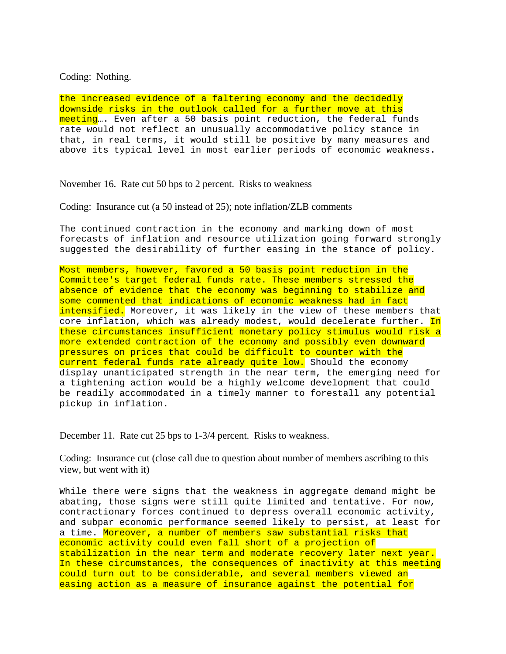Coding: Nothing.

the increased evidence of a faltering economy and the decidedly downside risks in the outlook called for a further move at this meeting…. Even after a 50 basis point reduction, the federal funds rate would not reflect an unusually accommodative policy stance in that, in real terms, it would still be positive by many measures and above its typical level in most earlier periods of economic weakness.

November 16. Rate cut 50 bps to 2 percent. Risks to weakness

Coding: Insurance cut (a 50 instead of 25); note inflation/ZLB comments

The continued contraction in the economy and marking down of most forecasts of inflation and resource utilization going forward strongly suggested the desirability of further easing in the stance of policy.

Most members, however, favored a 50 basis point reduction in the Committee's target federal funds rate. These members stressed the absence of evidence that the economy was beginning to stabilize and some commented that indications of economic weakness had in fact intensified. Moreover, it was likely in the view of these members that core inflation, which was already modest, would decelerate further. In these circumstances insufficient monetary policy stimulus would risk a more extended contraction of the economy and possibly even downward pressures on prices that could be difficult to counter with the current federal funds rate already quite low. Should the economy display unanticipated strength in the near term, the emerging need for a tightening action would be a highly welcome development that could be readily accommodated in a timely manner to forestall any potential pickup in inflation.

December 11. Rate cut 25 bps to 1-3/4 percent. Risks to weakness.

Coding: Insurance cut (close call due to question about number of members ascribing to this view, but went with it)

While there were signs that the weakness in aggregate demand might be abating, those signs were still quite limited and tentative. For now, contractionary forces continued to depress overall economic activity, and subpar economic performance seemed likely to persist, at least for a time. Moreover, a number of members saw substantial risks that economic activity could even fall short of a projection of stabilization in the near term and moderate recovery later next year. In these circumstances, the consequences of inactivity at this meeting could turn out to be considerable, and several members viewed an easing action as a measure of insurance against the potential for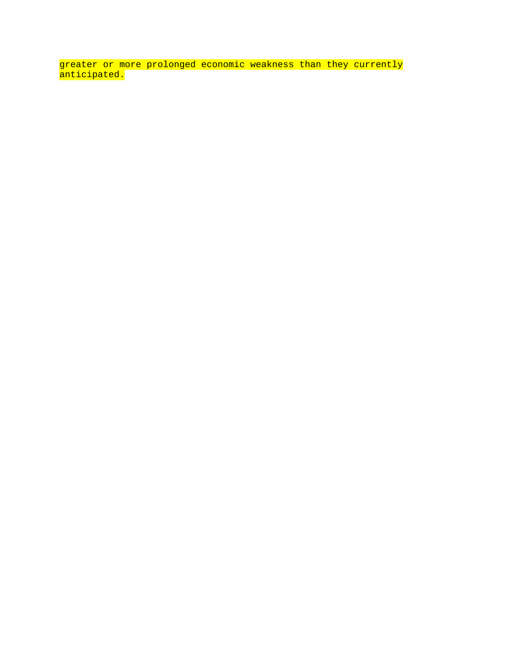greater or more prolonged economic weakness than they currently <mark>anticipated.</mark>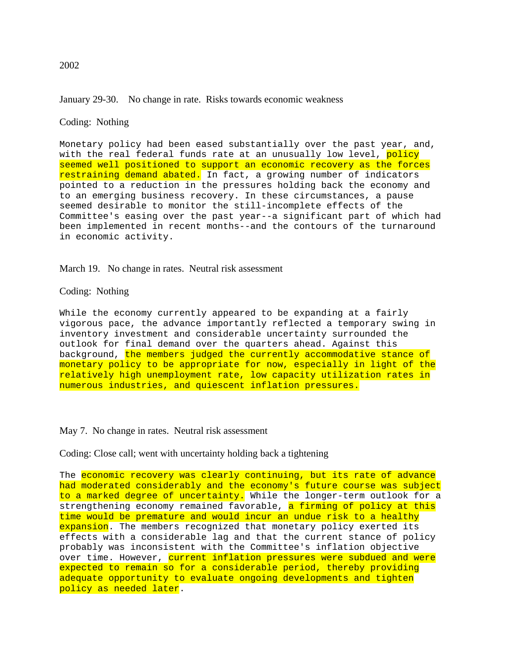# January 29-30. No change in rate. Risks towards economic weakness

# Coding: Nothing

Monetary policy had been eased substantially over the past year, and, with the real federal funds rate at an unusually low level, policy seemed well positioned to support an economic recovery as the forces restraining demand abated. In fact, a growing number of indicators pointed to a reduction in the pressures holding back the economy and to an emerging business recovery. In these circumstances, a pause seemed desirable to monitor the still-incomplete effects of the Committee's easing over the past year--a significant part of which had been implemented in recent months--and the contours of the turnaround in economic activity.

## March 19. No change in rates. Neutral risk assessment

## Coding: Nothing

While the economy currently appeared to be expanding at a fairly vigorous pace, the advance importantly reflected a temporary swing in inventory investment and considerable uncertainty surrounded the outlook for final demand over the quarters ahead. Against this background, the members judged the currently accommodative stance of monetary policy to be appropriate for now, especially in light of the relatively high unemployment rate, low capacity utilization rates in numerous industries, and quiescent inflation pressures.

### May 7. No change in rates. Neutral risk assessment

Coding: Close call; went with uncertainty holding back a tightening

The economic recovery was clearly continuing, but its rate of advance had moderated considerably and the economy's future course was subject to a marked degree of uncertainty. While the longer-term outlook for a strengthening economy remained favorable, a firming of policy at this time would be premature and would incur an undue risk to a healthy expansion. The members recognized that monetary policy exerted its effects with a considerable lag and that the current stance of policy probably was inconsistent with the Committee's inflation objective over time. However, current inflation pressures were subdued and were expected to remain so for a considerable period, thereby providing adequate opportunity to evaluate ongoing developments and tighten policy as needed later.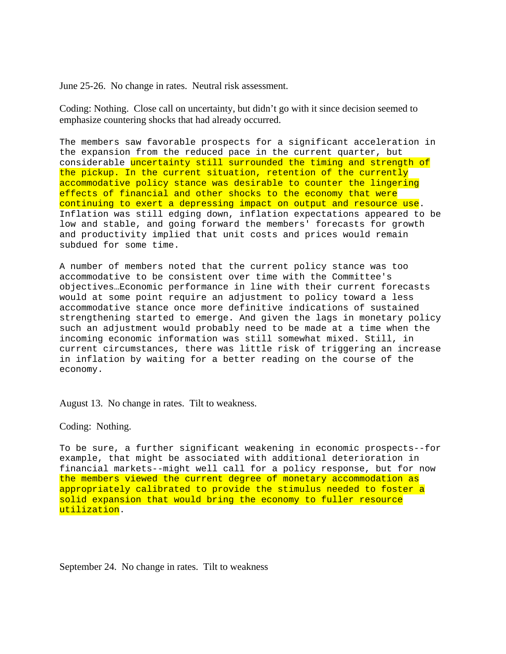June 25-26. No change in rates. Neutral risk assessment.

Coding: Nothing. Close call on uncertainty, but didn't go with it since decision seemed to emphasize countering shocks that had already occurred.

The members saw favorable prospects for a significant acceleration in the expansion from the reduced pace in the current quarter, but considerable uncertainty still surrounded the timing and strength of the pickup. In the current situation, retention of the currently accommodative policy stance was desirable to counter the lingering effects of financial and other shocks to the economy that were continuing to exert a depressing impact on output and resource use. Inflation was still edging down, inflation expectations appeared to be low and stable, and going forward the members' forecasts for growth and productivity implied that unit costs and prices would remain subdued for some time.

A number of members noted that the current policy stance was too accommodative to be consistent over time with the Committee's objectives…Economic performance in line with their current forecasts would at some point require an adjustment to policy toward a less accommodative stance once more definitive indications of sustained strengthening started to emerge. And given the lags in monetary policy such an adjustment would probably need to be made at a time when the incoming economic information was still somewhat mixed. Still, in current circumstances, there was little risk of triggering an increase in inflation by waiting for a better reading on the course of the economy.

August 13. No change in rates. Tilt to weakness.

Coding: Nothing.

To be sure, a further significant weakening in economic prospects--for example, that might be associated with additional deterioration in financial markets--might well call for a policy response, but for now the members viewed the current degree of monetary accommodation as appropriately calibrated to provide the stimulus needed to foster a solid expansion that would bring the economy to fuller resource utilization.

September 24. No change in rates. Tilt to weakness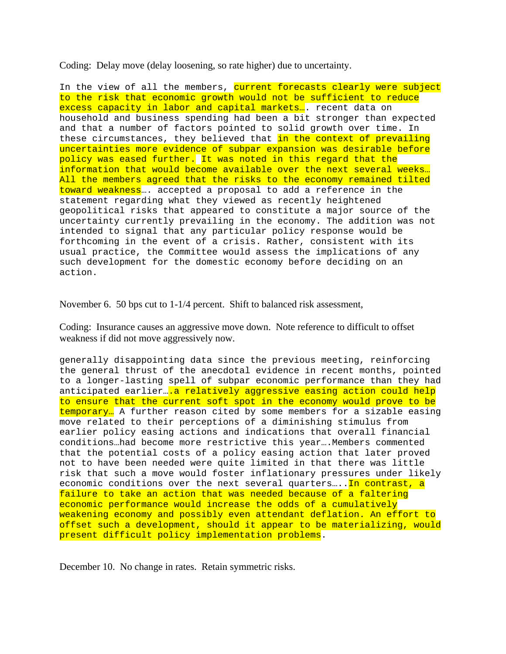Coding: Delay move (delay loosening, so rate higher) due to uncertainty.

In the view of all the members, current forecasts clearly were subject to the risk that economic growth would not be sufficient to reduce excess capacity in labor and capital markets... recent data on household and business spending had been a bit stronger than expected and that a number of factors pointed to solid growth over time. In these circumstances, they believed that in the context of prevailing uncertainties more evidence of subpar expansion was desirable before policy was eased further. It was noted in this regard that the information that would become available over the next several weeks… All the members agreed that the risks to the economy remained tilted toward weakness... accepted a proposal to add a reference in the statement regarding what they viewed as recently heightened geopolitical risks that appeared to constitute a major source of the uncertainty currently prevailing in the economy. The addition was not intended to signal that any particular policy response would be forthcoming in the event of a crisis. Rather, consistent with its usual practice, the Committee would assess the implications of any such development for the domestic economy before deciding on an action.

November 6. 50 bps cut to 1-1/4 percent. Shift to balanced risk assessment,

Coding: Insurance causes an aggressive move down. Note reference to difficult to offset weakness if did not move aggressively now.

generally disappointing data since the previous meeting, reinforcing the general thrust of the anecdotal evidence in recent months, pointed to a longer-lasting spell of subpar economic performance than they had anticipated earlier..... relatively aggressive easing action could help to ensure that the current soft spot in the economy would prove to be temporary… A further reason cited by some members for a sizable easing move related to their perceptions of a diminishing stimulus from earlier policy easing actions and indications that overall financial conditions…had become more restrictive this year….Members commented that the potential costs of a policy easing action that later proved not to have been needed were quite limited in that there was little risk that such a move would foster inflationary pressures under likely economic conditions over the next several quarters....In contrast, a failure to take an action that was needed because of a faltering economic performance would increase the odds of a cumulatively weakening economy and possibly even attendant deflation. An effort to offset such a development, should it appear to be materializing, would present difficult policy implementation problems.

December 10. No change in rates. Retain symmetric risks.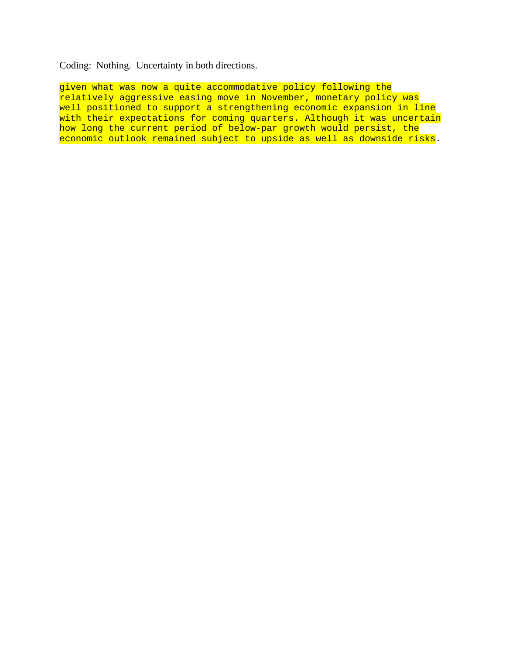Coding: Nothing. Uncertainty in both directions.

given what was now a quite accommodative policy following the relatively aggressive easing move in November, monetary policy was well positioned to support a strengthening economic expansion in line with their expectations for coming quarters. Although it was uncertain how long the current period of below-par growth would persist, the economic outlook remained subject to upside as well as downside risks.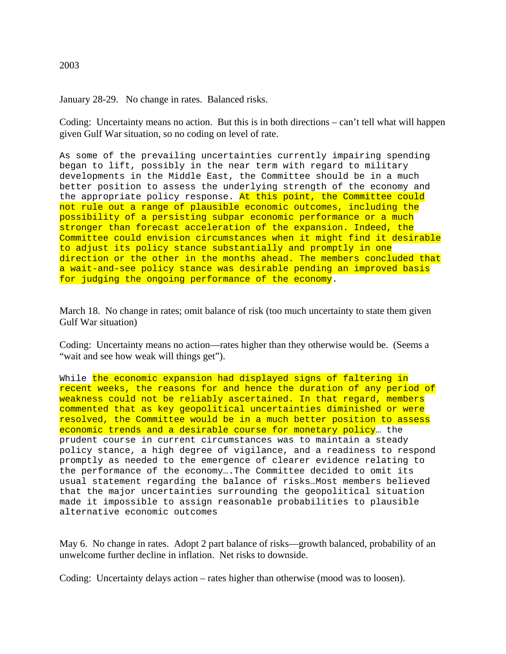# 2003

January 28-29. No change in rates. Balanced risks.

Coding: Uncertainty means no action. But this is in both directions – can't tell what will happen given Gulf War situation, so no coding on level of rate.

As some of the prevailing uncertainties currently impairing spending began to lift, possibly in the near term with regard to military developments in the Middle East, the Committee should be in a much better position to assess the underlying strength of the economy and the appropriate policy response. At this point, the Committee could not rule out a range of plausible economic outcomes, including the possibility of a persisting subpar economic performance or a much stronger than forecast acceleration of the expansion. Indeed, the Committee could envision circumstances when it might find it desirable to adjust its policy stance substantially and promptly in one direction or the other in the months ahead. The members concluded that a wait-and-see policy stance was desirable pending an improved basis for judging the ongoing performance of the economy.

March 18. No change in rates; omit balance of risk (too much uncertainty to state them given Gulf War situation)

Coding: Uncertainty means no action—rates higher than they otherwise would be. (Seems a "wait and see how weak will things get").

While the economic expansion had displayed signs of faltering in recent weeks, the reasons for and hence the duration of any period of weakness could not be reliably ascertained. In that regard, members commented that as key geopolitical uncertainties diminished or were resolved, the Committee would be in a much better position to assess economic trends and a desirable course for monetary policy... the prudent course in current circumstances was to maintain a steady policy stance, a high degree of vigilance, and a readiness to respond promptly as needed to the emergence of clearer evidence relating to the performance of the economy….The Committee decided to omit its usual statement regarding the balance of risks…Most members believed that the major uncertainties surrounding the geopolitical situation made it impossible to assign reasonable probabilities to plausible alternative economic outcomes

May 6. No change in rates. Adopt 2 part balance of risks—growth balanced, probability of an unwelcome further decline in inflation. Net risks to downside.

Coding: Uncertainty delays action – rates higher than otherwise (mood was to loosen).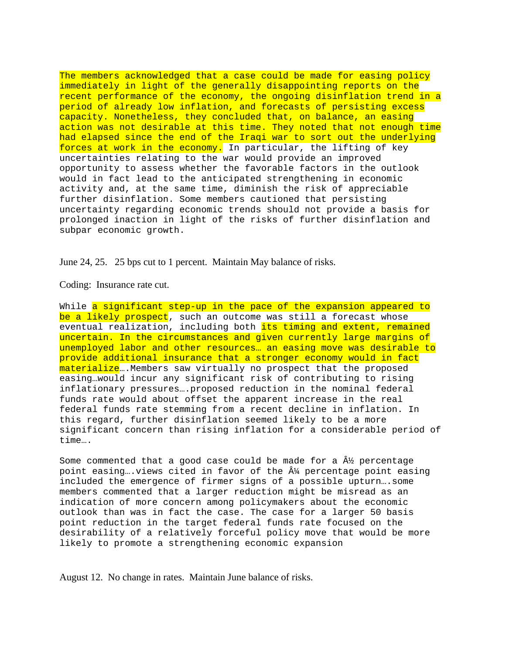The members acknowledged that a case could be made for easing policy immediately in light of the generally disappointing reports on the recent performance of the economy, the ongoing disinflation trend in a period of already low inflation, and forecasts of persisting excess capacity. Nonetheless, they concluded that, on balance, an easing action was not desirable at this time. They noted that not enough time had elapsed since the end of the Iraqi war to sort out the underlying forces at work in the economy. In particular, the lifting of key uncertainties relating to the war would provide an improved opportunity to assess whether the favorable factors in the outlook would in fact lead to the anticipated strengthening in economic activity and, at the same time, diminish the risk of appreciable further disinflation. Some members cautioned that persisting uncertainty regarding economic trends should not provide a basis for prolonged inaction in light of the risks of further disinflation and subpar economic growth.

June 24, 25. 25 bps cut to 1 percent. Maintain May balance of risks.

Coding: Insurance rate cut.

While a significant step-up in the pace of the expansion appeared to be a likely prospect, such an outcome was still a forecast whose eventual realization, including both its timing and extent, remained uncertain. In the circumstances and given currently large margins of unemployed labor and other resources… an easing move was desirable to provide additional insurance that a stronger economy would in fact materialize...Members saw virtually no prospect that the proposed easing…would incur any significant risk of contributing to rising inflationary pressures….proposed reduction in the nominal federal funds rate would about offset the apparent increase in the real federal funds rate stemming from a recent decline in inflation. In this regard, further disinflation seemed likely to be a more significant concern than rising inflation for a considerable period of time….

Some commented that a good case could be made for a  $\hat{A}$  percentage point easing...views cited in favor of the  $\hat{A}$  percentage point easing included the emergence of firmer signs of a possible upturn….some members commented that a larger reduction might be misread as an indication of more concern among policymakers about the economic outlook than was in fact the case. The case for a larger 50 basis point reduction in the target federal funds rate focused on the desirability of a relatively forceful policy move that would be more likely to promote a strengthening economic expansion

August 12. No change in rates. Maintain June balance of risks.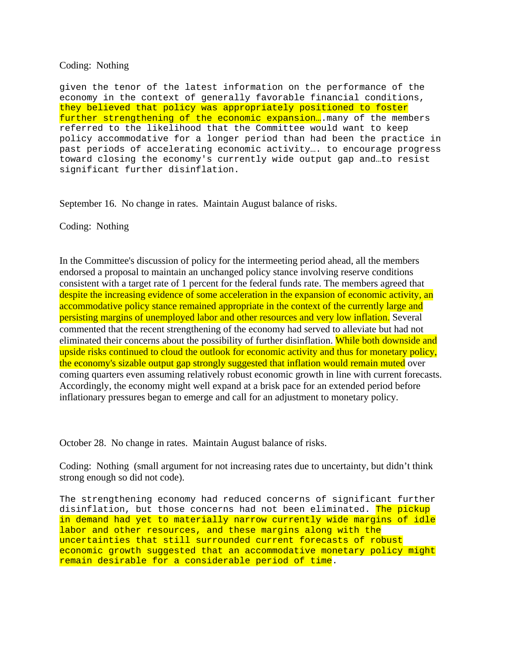# Coding: Nothing

given the tenor of the latest information on the performance of the economy in the context of generally favorable financial conditions, they believed that policy was appropriately positioned to foster further strengthening of the economic expansion.... many of the members referred to the likelihood that the Committee would want to keep policy accommodative for a longer period than had been the practice in past periods of accelerating economic activity…. to encourage progress toward closing the economy's currently wide output gap and…to resist significant further disinflation.

September 16. No change in rates. Maintain August balance of risks.

Coding: Nothing

In the Committee's discussion of policy for the intermeeting period ahead, all the members endorsed a proposal to maintain an unchanged policy stance involving reserve conditions consistent with a target rate of 1 percent for the federal funds rate. The members agreed that despite the increasing evidence of some acceleration in the expansion of economic activity, an accommodative policy stance remained appropriate in the context of the currently large and persisting margins of unemployed labor and other resources and very low inflation. Several commented that the recent strengthening of the economy had served to alleviate but had not eliminated their concerns about the possibility of further disinflation. While both downside and upside risks continued to cloud the outlook for economic activity and thus for monetary policy, the economy's sizable output gap strongly suggested that inflation would remain muted over coming quarters even assuming relatively robust economic growth in line with current forecasts. Accordingly, the economy might well expand at a brisk pace for an extended period before inflationary pressures began to emerge and call for an adjustment to monetary policy.

October 28. No change in rates. Maintain August balance of risks.

Coding: Nothing (small argument for not increasing rates due to uncertainty, but didn't think strong enough so did not code).

The strengthening economy had reduced concerns of significant further disinflation, but those concerns had not been eliminated. The pickup in demand had yet to materially narrow currently wide margins of idle labor and other resources, and these margins along with the uncertainties that still surrounded current forecasts of robust economic growth suggested that an accommodative monetary policy might remain desirable for a considerable period of time.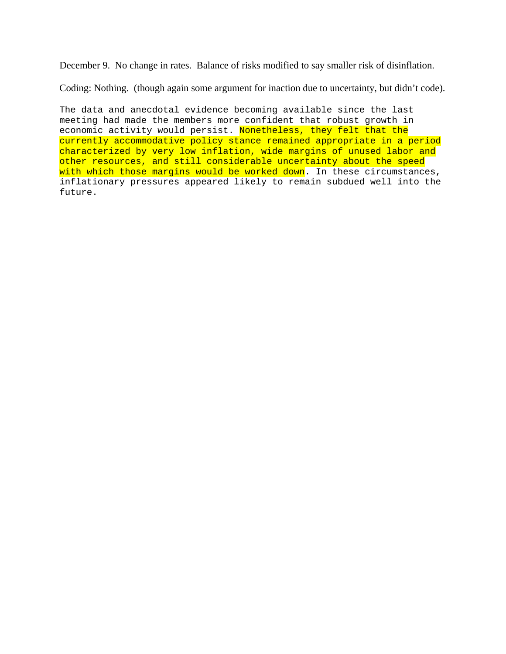December 9. No change in rates. Balance of risks modified to say smaller risk of disinflation.

Coding: Nothing. (though again some argument for inaction due to uncertainty, but didn't code).

The data and anecdotal evidence becoming available since the last meeting had made the members more confident that robust growth in economic activity would persist. Nonetheless, they felt that the currently accommodative policy stance remained appropriate in a period characterized by very low inflation, wide margins of unused labor and other resources, and still considerable uncertainty about the speed with which those margins would be worked down. In these circumstances, inflationary pressures appeared likely to remain subdued well into the future.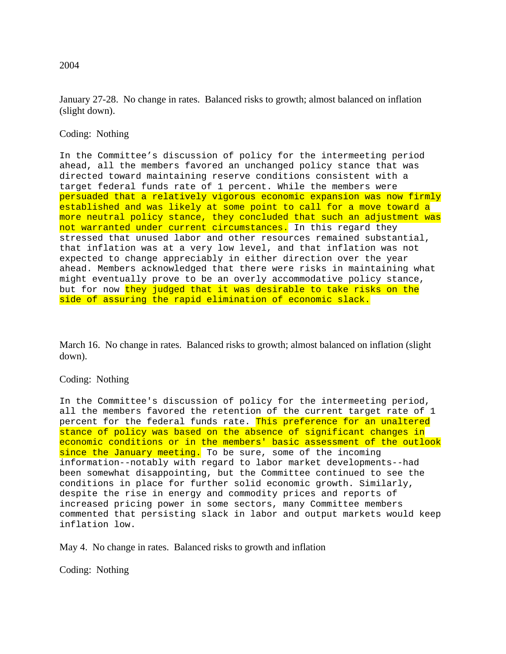January 27-28. No change in rates. Balanced risks to growth; almost balanced on inflation (slight down).

Coding: Nothing

In the Committee's discussion of policy for the intermeeting period ahead, all the members favored an unchanged policy stance that was directed toward maintaining reserve conditions consistent with a target federal funds rate of 1 percent. While the members were persuaded that a relatively vigorous economic expansion was now firmly established and was likely at some point to call for a move toward a more neutral policy stance, they concluded that such an adjustment was not warranted under current circumstances. In this regard they stressed that unused labor and other resources remained substantial, that inflation was at a very low level, and that inflation was not expected to change appreciably in either direction over the year ahead. Members acknowledged that there were risks in maintaining what might eventually prove to be an overly accommodative policy stance, but for now they judged that it was desirable to take risks on the side of assuring the rapid elimination of economic slack.

March 16. No change in rates. Balanced risks to growth; almost balanced on inflation (slight down).

# Coding: Nothing

In the Committee's discussion of policy for the intermeeting period, all the members favored the retention of the current target rate of 1 percent for the federal funds rate. This preference for an unaltered stance of policy was based on the absence of significant changes in economic conditions or in the members' basic assessment of the outlook since the January meeting. To be sure, some of the incoming information--notably with regard to labor market developments--had been somewhat disappointing, but the Committee continued to see the conditions in place for further solid economic growth. Similarly, despite the rise in energy and commodity prices and reports of increased pricing power in some sectors, many Committee members commented that persisting slack in labor and output markets would keep inflation low.

May 4. No change in rates. Balanced risks to growth and inflation

Coding: Nothing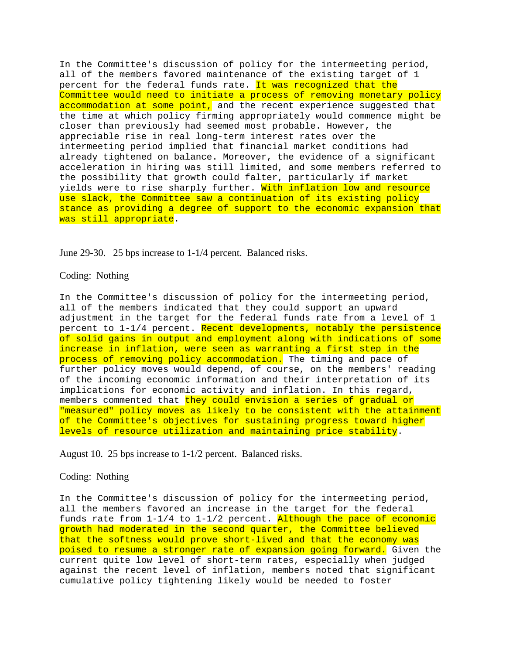In the Committee's discussion of policy for the intermeeting period, all of the members favored maintenance of the existing target of 1 percent for the federal funds rate. It was recognized that the Committee would need to initiate a process of removing monetary policy accommodation at some point, and the recent experience suggested that the time at which policy firming appropriately would commence might be closer than previously had seemed most probable. However, the appreciable rise in real long-term interest rates over the intermeeting period implied that financial market conditions had already tightened on balance. Moreover, the evidence of a significant acceleration in hiring was still limited, and some members referred to the possibility that growth could falter, particularly if market yields were to rise sharply further. With inflation low and resource use slack, the Committee saw a continuation of its existing policy stance as providing a degree of support to the economic expansion that was still appropriate.

June 29-30. 25 bps increase to 1-1/4 percent. Balanced risks.

#### Coding: Nothing

In the Committee's discussion of policy for the intermeeting period, all of the members indicated that they could support an upward adjustment in the target for the federal funds rate from a level of 1 percent to 1-1/4 percent. Recent developments, notably the persistence of solid gains in output and employment along with indications of some increase in inflation, were seen as warranting a first step in the process of removing policy accommodation. The timing and pace of further policy moves would depend, of course, on the members' reading of the incoming economic information and their interpretation of its implications for economic activity and inflation. In this regard, members commented that they could envision a series of gradual or "measured" policy moves as likely to be consistent with the attainment of the Committee's objectives for sustaining progress toward higher levels of resource utilization and maintaining price stability.

August 10. 25 bps increase to 1-1/2 percent. Balanced risks.

## Coding: Nothing

In the Committee's discussion of policy for the intermeeting period, all the members favored an increase in the target for the federal funds rate from 1-1/4 to 1-1/2 percent. Although the pace of economic growth had moderated in the second quarter, the Committee believed that the softness would prove short-lived and that the economy was poised to resume a stronger rate of expansion going forward. Given the current quite low level of short-term rates, especially when judged against the recent level of inflation, members noted that significant cumulative policy tightening likely would be needed to foster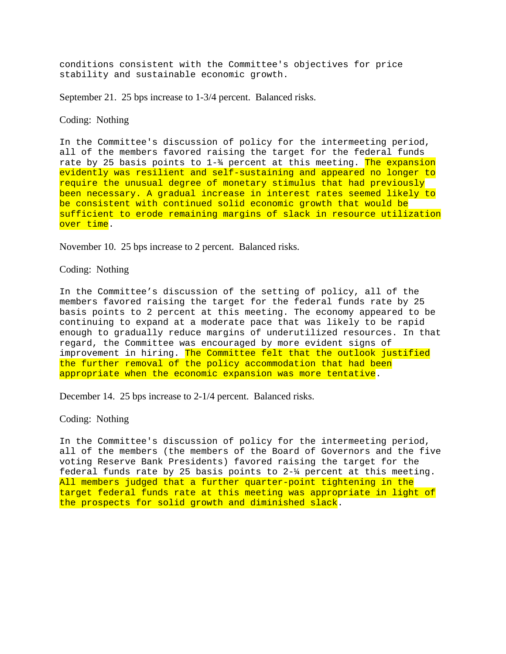conditions consistent with the Committee's objectives for price stability and sustainable economic growth.

September 21. 25 bps increase to 1-3/4 percent. Balanced risks.

# Coding: Nothing

In the Committee's discussion of policy for the intermeeting period, all of the members favored raising the target for the federal funds rate by 25 basis points to  $1-\frac{2}{3}$  percent at this meeting. The expansion evidently was resilient and self-sustaining and appeared no longer to require the unusual degree of monetary stimulus that had previously been necessary. A gradual increase in interest rates seemed likely to be consistent with continued solid economic growth that would be sufficient to erode remaining margins of slack in resource utilization over time.

November 10. 25 bps increase to 2 percent. Balanced risks.

### Coding: Nothing

In the Committee's discussion of the setting of policy, all of the members favored raising the target for the federal funds rate by 25 basis points to 2 percent at this meeting. The economy appeared to be continuing to expand at a moderate pace that was likely to be rapid enough to gradually reduce margins of underutilized resources. In that regard, the Committee was encouraged by more evident signs of improvement in hiring. The Committee felt that the outlook justified the further removal of the policy accommodation that had been appropriate when the economic expansion was more tentative.

December 14. 25 bps increase to 2-1/4 percent. Balanced risks.

### Coding: Nothing

In the Committee's discussion of policy for the intermeeting period, all of the members (the members of the Board of Governors and the five voting Reserve Bank Presidents) favored raising the target for the federal funds rate by 25 basis points to 2-¼ percent at this meeting. All members judged that a further quarter-point tightening in the target federal funds rate at this meeting was appropriate in light of the prospects for solid growth and diminished slack.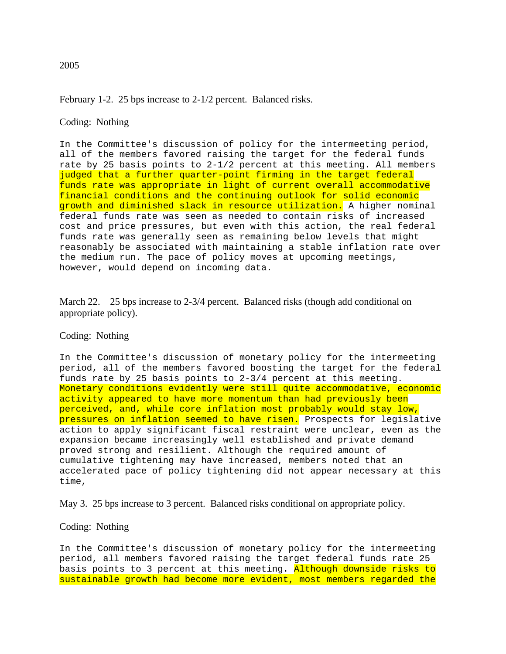# February 1-2. 25 bps increase to 2-1/2 percent. Balanced risks.

# Coding: Nothing

In the Committee's discussion of policy for the intermeeting period, all of the members favored raising the target for the federal funds rate by 25 basis points to 2-1/2 percent at this meeting. All members judged that a further quarter-point firming in the target federal funds rate was appropriate in light of current overall accommodative financial conditions and the continuing outlook for solid economic growth and diminished slack in resource utilization. A higher nominal federal funds rate was seen as needed to contain risks of increased cost and price pressures, but even with this action, the real federal funds rate was generally seen as remaining below levels that might reasonably be associated with maintaining a stable inflation rate over the medium run. The pace of policy moves at upcoming meetings, however, would depend on incoming data.

March 22. 25 bps increase to 2-3/4 percent. Balanced risks (though add conditional on appropriate policy).

# Coding: Nothing

In the Committee's discussion of monetary policy for the intermeeting period, all of the members favored boosting the target for the federal funds rate by 25 basis points to 2-3/4 percent at this meeting. Monetary conditions evidently were still quite accommodative, economic activity appeared to have more momentum than had previously been perceived, and, while core inflation most probably would stay low, pressures on inflation seemed to have risen. Prospects for legislative action to apply significant fiscal restraint were unclear, even as the expansion became increasingly well established and private demand proved strong and resilient. Although the required amount of cumulative tightening may have increased, members noted that an accelerated pace of policy tightening did not appear necessary at this time,

May 3. 25 bps increase to 3 percent. Balanced risks conditional on appropriate policy.

## Coding: Nothing

In the Committee's discussion of monetary policy for the intermeeting period, all members favored raising the target federal funds rate 25 basis points to 3 percent at this meeting. Although downside risks to sustainable growth had become more evident, most members regarded the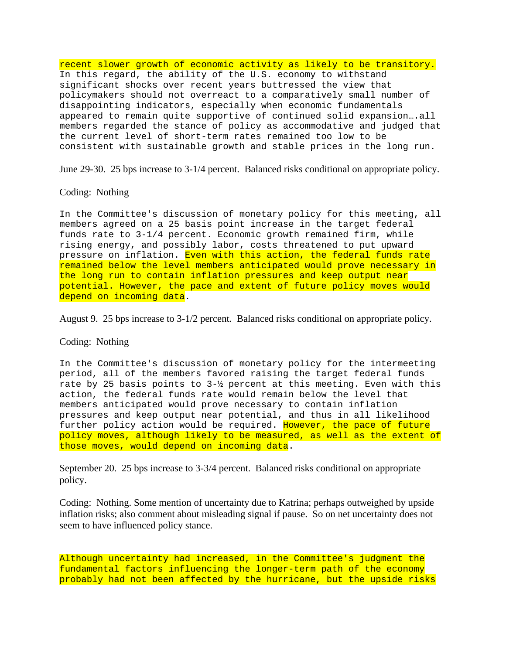recent slower growth of economic activity as likely to be transitory. In this regard, the ability of the U.S. economy to withstand significant shocks over recent years buttressed the view that policymakers should not overreact to a comparatively small number of disappointing indicators, especially when economic fundamentals appeared to remain quite supportive of continued solid expansion….all members regarded the stance of policy as accommodative and judged that the current level of short-term rates remained too low to be consistent with sustainable growth and stable prices in the long run.

June 29-30. 25 bps increase to 3-1/4 percent. Balanced risks conditional on appropriate policy.

### Coding: Nothing

In the Committee's discussion of monetary policy for this meeting, all members agreed on a 25 basis point increase in the target federal funds rate to 3-1/4 percent. Economic growth remained firm, while rising energy, and possibly labor, costs threatened to put upward pressure on inflation. Even with this action, the federal funds rate remained below the level members anticipated would prove necessary in the long run to contain inflation pressures and keep output near potential. However, the pace and extent of future policy moves would depend on incoming data.

August 9. 25 bps increase to 3-1/2 percent. Balanced risks conditional on appropriate policy.

# Coding: Nothing

In the Committee's discussion of monetary policy for the intermeeting period, all of the members favored raising the target federal funds rate by 25 basis points to 3-½ percent at this meeting. Even with this action, the federal funds rate would remain below the level that members anticipated would prove necessary to contain inflation pressures and keep output near potential, and thus in all likelihood further policy action would be required. However, the pace of future policy moves, although likely to be measured, as well as the extent of those moves, would depend on incoming data.

September 20. 25 bps increase to 3-3/4 percent. Balanced risks conditional on appropriate policy.

Coding: Nothing. Some mention of uncertainty due to Katrina; perhaps outweighed by upside inflation risks; also comment about misleading signal if pause. So on net uncertainty does not seem to have influenced policy stance.

Although uncertainty had increased, in the Committee's judgment the fundamental factors influencing the longer-term path of the economy probably had not been affected by the hurricane, but the upside risks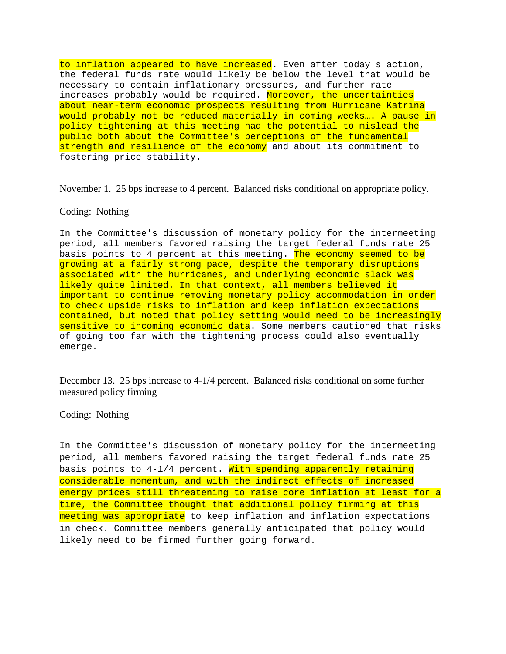to inflation appeared to have increased. Even after today's action, the federal funds rate would likely be below the level that would be necessary to contain inflationary pressures, and further rate increases probably would be required. Moreover, the uncertainties about near-term economic prospects resulting from Hurricane Katrina would probably not be reduced materially in coming weeks…. A pause in policy tightening at this meeting had the potential to mislead the public both about the Committee's perceptions of the fundamental strength and resilience of the economy and about its commitment to fostering price stability.

November 1. 25 bps increase to 4 percent. Balanced risks conditional on appropriate policy.

#### Coding: Nothing

In the Committee's discussion of monetary policy for the intermeeting period, all members favored raising the target federal funds rate 25 basis points to 4 percent at this meeting. The economy seemed to be growing at a fairly strong pace, despite the temporary disruptions associated with the hurricanes, and underlying economic slack was likely quite limited. In that context, all members believed it important to continue removing monetary policy accommodation in order to check upside risks to inflation and keep inflation expectations contained, but noted that policy setting would need to be increasingly sensitive to incoming economic data. Some members cautioned that risks of going too far with the tightening process could also eventually emerge.

December 13. 25 bps increase to 4-1/4 percent. Balanced risks conditional on some further measured policy firming

### Coding: Nothing

In the Committee's discussion of monetary policy for the intermeeting period, all members favored raising the target federal funds rate 25 basis points to  $4-1/4$  percent. With spending apparently retaining considerable momentum, and with the indirect effects of increased energy prices still threatening to raise core inflation at least for a time, the Committee thought that additional policy firming at this meeting was appropriate to keep inflation and inflation expectations in check. Committee members generally anticipated that policy would likely need to be firmed further going forward.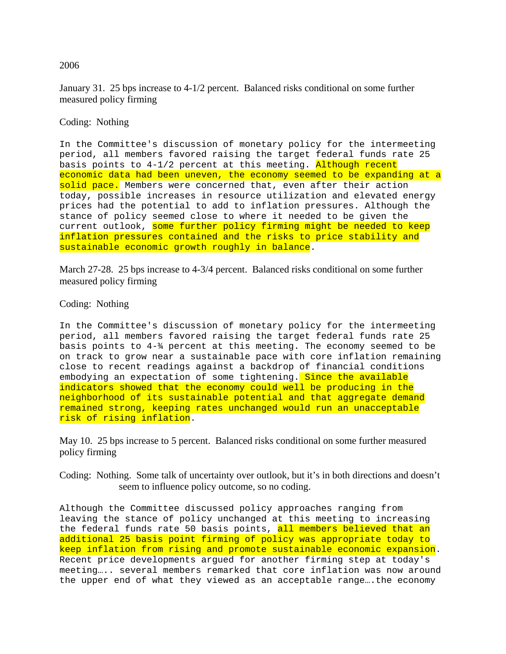January 31. 25 bps increase to 4-1/2 percent. Balanced risks conditional on some further measured policy firming

# Coding: Nothing

In the Committee's discussion of monetary policy for the intermeeting period, all members favored raising the target federal funds rate 25 basis points to  $4-1/2$  percent at this meeting. Although recent economic data had been uneven, the economy seemed to be expanding at a solid pace. Members were concerned that, even after their action today, possible increases in resource utilization and elevated energy prices had the potential to add to inflation pressures. Although the stance of policy seemed close to where it needed to be given the current outlook, some further policy firming might be needed to keep inflation pressures contained and the risks to price stability and sustainable economic growth roughly in balance.

March 27-28. 25 bps increase to 4-3/4 percent. Balanced risks conditional on some further measured policy firming

# Coding: Nothing

In the Committee's discussion of monetary policy for the intermeeting period, all members favored raising the target federal funds rate 25 basis points to  $4-\frac{2}{3}$  percent at this meeting. The economy seemed to be on track to grow near a sustainable pace with core inflation remaining close to recent readings against a backdrop of financial conditions embodying an expectation of some tightening. Since the available indicators showed that the economy could well be producing in the neighborhood of its sustainable potential and that aggregate demand remained strong, keeping rates unchanged would run an unacceptable risk of rising inflation.

May 10. 25 bps increase to 5 percent. Balanced risks conditional on some further measured policy firming

Coding: Nothing. Some talk of uncertainty over outlook, but it's in both directions and doesn't seem to influence policy outcome, so no coding.

Although the Committee discussed policy approaches ranging from leaving the stance of policy unchanged at this meeting to increasing the federal funds rate 50 basis points, all members believed that an additional 25 basis point firming of policy was appropriate today to keep inflation from rising and promote sustainable economic expansion. Recent price developments argued for another firming step at today's meeting….. several members remarked that core inflation was now around the upper end of what they viewed as an acceptable range….the economy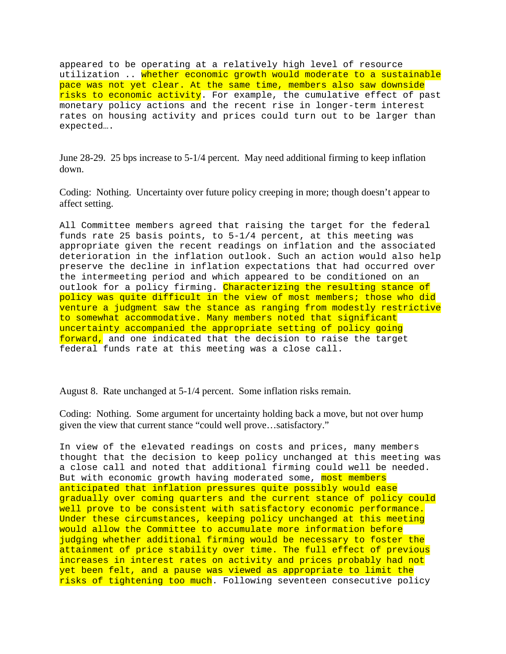appeared to be operating at a relatively high level of resource utilization .. whether economic growth would moderate to a sustainable pace was not yet clear. At the same time, members also saw downside risks to economic activity. For example, the cumulative effect of past monetary policy actions and the recent rise in longer-term interest rates on housing activity and prices could turn out to be larger than expected….

June 28-29. 25 bps increase to 5-1/4 percent. May need additional firming to keep inflation down.

Coding: Nothing. Uncertainty over future policy creeping in more; though doesn't appear to affect setting.

All Committee members agreed that raising the target for the federal funds rate 25 basis points, to 5-1/4 percent, at this meeting was appropriate given the recent readings on inflation and the associated deterioration in the inflation outlook. Such an action would also help preserve the decline in inflation expectations that had occurred over the intermeeting period and which appeared to be conditioned on an outlook for a policy firming. Characterizing the resulting stance of policy was quite difficult in the view of most members; those who did venture a judgment saw the stance as ranging from modestly restrictive to somewhat accommodative. Many members noted that significant uncertainty accompanied the appropriate setting of policy going forward, and one indicated that the decision to raise the target federal funds rate at this meeting was a close call.

August 8. Rate unchanged at 5-1/4 percent. Some inflation risks remain.

Coding: Nothing. Some argument for uncertainty holding back a move, but not over hump given the view that current stance "could well prove…satisfactory."

In view of the elevated readings on costs and prices, many members thought that the decision to keep policy unchanged at this meeting was a close call and noted that additional firming could well be needed. But with economic growth having moderated some, most members anticipated that inflation pressures quite possibly would ease gradually over coming quarters and the current stance of policy could well prove to be consistent with satisfactory economic performance. Under these circumstances, keeping policy unchanged at this meeting would allow the Committee to accumulate more information before judging whether additional firming would be necessary to foster the attainment of price stability over time. The full effect of previous increases in interest rates on activity and prices probably had not yet been felt, and a pause was viewed as appropriate to limit the risks of tightening too much. Following seventeen consecutive policy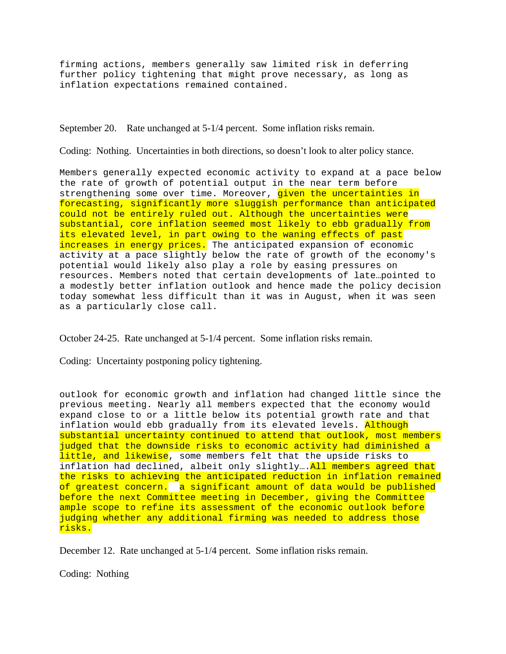firming actions, members generally saw limited risk in deferring further policy tightening that might prove necessary, as long as inflation expectations remained contained.

September 20. Rate unchanged at 5-1/4 percent. Some inflation risks remain.

Coding: Nothing. Uncertainties in both directions, so doesn't look to alter policy stance.

Members generally expected economic activity to expand at a pace below the rate of growth of potential output in the near term before strengthening some over time. Moreover, given the uncertainties in forecasting, significantly more sluggish performance than anticipated could not be entirely ruled out. Although the uncertainties were substantial, core inflation seemed most likely to ebb gradually from its elevated level, in part owing to the waning effects of past increases in energy prices. The anticipated expansion of economic activity at a pace slightly below the rate of growth of the economy's potential would likely also play a role by easing pressures on resources. Members noted that certain developments of late…pointed to a modestly better inflation outlook and hence made the policy decision today somewhat less difficult than it was in August, when it was seen as a particularly close call.

October 24-25. Rate unchanged at 5-1/4 percent. Some inflation risks remain.

Coding: Uncertainty postponing policy tightening.

outlook for economic growth and inflation had changed little since the previous meeting. Nearly all members expected that the economy would expand close to or a little below its potential growth rate and that inflation would ebb gradually from its elevated levels. Although substantial uncertainty continued to attend that outlook, most members judged that the downside risks to economic activity had diminished a little, and likewise, some members felt that the upside risks to inflation had declined, albeit only slightly.... All members agreed that the risks to achieving the anticipated reduction in inflation remained of greatest concern. a significant amount of data would be published before the next Committee meeting in December, giving the Committee ample scope to refine its assessment of the economic outlook before judging whether any additional firming was needed to address those risks.

December 12. Rate unchanged at 5-1/4 percent. Some inflation risks remain.

Coding: Nothing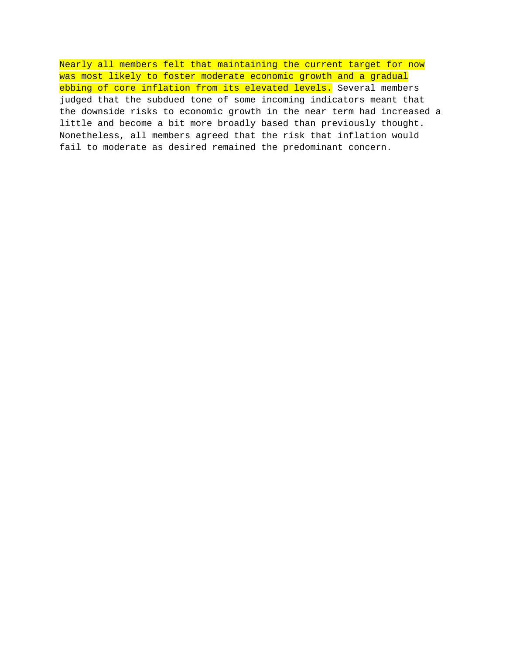Nearly all members felt that maintaining the current target for now was most likely to foster moderate economic growth and a gradual ebbing of core inflation from its elevated levels. Several members judged that the subdued tone of some incoming indicators meant that the downside risks to economic growth in the near term had increased a little and become a bit more broadly based than previously thought. Nonetheless, all members agreed that the risk that inflation would fail to moderate as desired remained the predominant concern.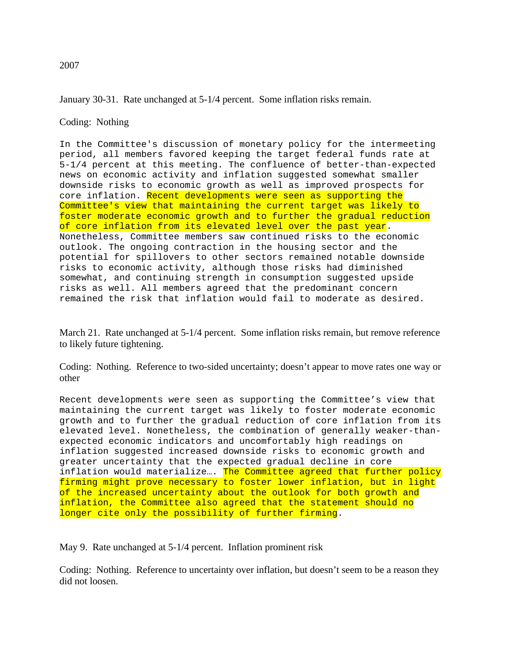January 30-31. Rate unchanged at 5-1/4 percent. Some inflation risks remain.

Coding: Nothing

In the Committee's discussion of monetary policy for the intermeeting period, all members favored keeping the target federal funds rate at 5-1/4 percent at this meeting. The confluence of better-than-expected news on economic activity and inflation suggested somewhat smaller downside risks to economic growth as well as improved prospects for core inflation. Recent developments were seen as supporting the Committee's view that maintaining the current target was likely to foster moderate economic growth and to further the gradual reduction of core inflation from its elevated level over the past year. Nonetheless, Committee members saw continued risks to the economic outlook. The ongoing contraction in the housing sector and the potential for spillovers to other sectors remained notable downside risks to economic activity, although those risks had diminished somewhat, and continuing strength in consumption suggested upside risks as well. All members agreed that the predominant concern remained the risk that inflation would fail to moderate as desired.

March 21. Rate unchanged at 5-1/4 percent. Some inflation risks remain, but remove reference to likely future tightening.

Coding: Nothing. Reference to two-sided uncertainty; doesn't appear to move rates one way or other

Recent developments were seen as supporting the Committee's view that maintaining the current target was likely to foster moderate economic growth and to further the gradual reduction of core inflation from its elevated level. Nonetheless, the combination of generally weaker-thanexpected economic indicators and uncomfortably high readings on inflation suggested increased downside risks to economic growth and greater uncertainty that the expected gradual decline in core inflation would materialize... The Committee agreed that further policy firming might prove necessary to foster lower inflation, but in light of the increased uncertainty about the outlook for both growth and inflation, the Committee also agreed that the statement should no longer cite only the possibility of further firming.

May 9. Rate unchanged at 5-1/4 percent. Inflation prominent risk

Coding: Nothing. Reference to uncertainty over inflation, but doesn't seem to be a reason they did not loosen.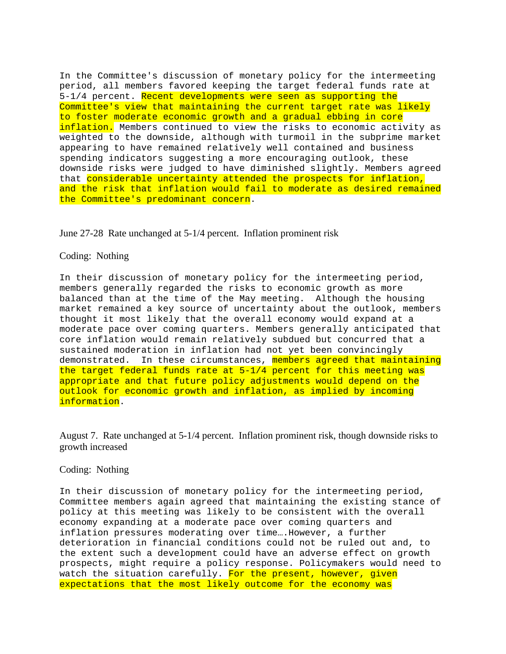In the Committee's discussion of monetary policy for the intermeeting period, all members favored keeping the target federal funds rate at 5-1/4 percent. Recent developments were seen as supporting the Committee's view that maintaining the current target rate was likely to foster moderate economic growth and a gradual ebbing in core inflation. Members continued to view the risks to economic activity as weighted to the downside, although with turmoil in the subprime market appearing to have remained relatively well contained and business spending indicators suggesting a more encouraging outlook, these downside risks were judged to have diminished slightly. Members agreed that considerable uncertainty attended the prospects for inflation, and the risk that inflation would fail to moderate as desired remained the Committee's predominant concern.

June 27-28 Rate unchanged at 5-1/4 percent. Inflation prominent risk

## Coding: Nothing

In their discussion of monetary policy for the intermeeting period, members generally regarded the risks to economic growth as more balanced than at the time of the May meeting. Although the housing market remained a key source of uncertainty about the outlook, members thought it most likely that the overall economy would expand at a moderate pace over coming quarters. Members generally anticipated that core inflation would remain relatively subdued but concurred that a sustained moderation in inflation had not yet been convincingly demonstrated. In these circumstances, members agreed that maintaining the target federal funds rate at 5-1/4 percent for this meeting was appropriate and that future policy adjustments would depend on the outlook for economic growth and inflation, as implied by incoming information.

August 7. Rate unchanged at 5-1/4 percent. Inflation prominent risk, though downside risks to growth increased

# Coding: Nothing

In their discussion of monetary policy for the intermeeting period, Committee members again agreed that maintaining the existing stance of policy at this meeting was likely to be consistent with the overall economy expanding at a moderate pace over coming quarters and inflation pressures moderating over time….However, a further deterioration in financial conditions could not be ruled out and, to the extent such a development could have an adverse effect on growth prospects, might require a policy response. Policymakers would need to watch the situation carefully. For the present, however, given expectations that the most likely outcome for the economy was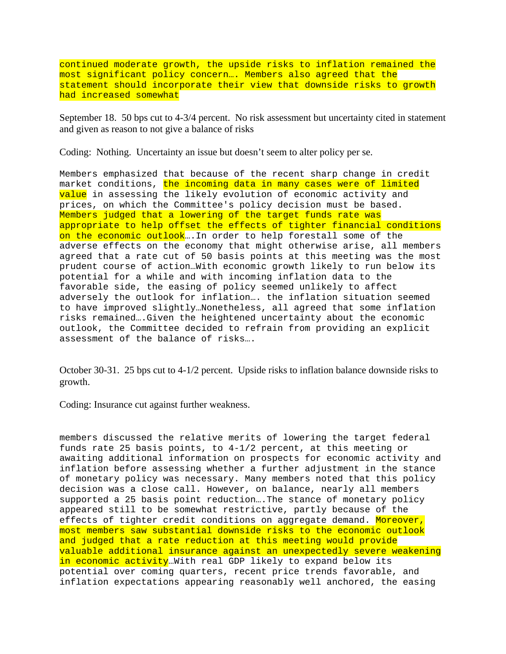continued moderate growth, the upside risks to inflation remained the most significant policy concern…. Members also agreed that the statement should incorporate their view that downside risks to growth had increased somewhat

September 18. 50 bps cut to 4-3/4 percent. No risk assessment but uncertainty cited in statement and given as reason to not give a balance of risks

Coding: Nothing. Uncertainty an issue but doesn't seem to alter policy per se.

Members emphasized that because of the recent sharp change in credit market conditions, the incoming data in many cases were of limited value in assessing the likely evolution of economic activity and prices, on which the Committee's policy decision must be based. Members judged that a lowering of the target funds rate was appropriate to help offset the effects of tighter financial conditions on the economic outlook... In order to help forestall some of the adverse effects on the economy that might otherwise arise, all members agreed that a rate cut of 50 basis points at this meeting was the most prudent course of action…With economic growth likely to run below its potential for a while and with incoming inflation data to the favorable side, the easing of policy seemed unlikely to affect adversely the outlook for inflation…. the inflation situation seemed to have improved slightly…Nonetheless, all agreed that some inflation risks remained….Given the heightened uncertainty about the economic outlook, the Committee decided to refrain from providing an explicit assessment of the balance of risks….

October 30-31. 25 bps cut to 4-1/2 percent. Upside risks to inflation balance downside risks to growth.

Coding: Insurance cut against further weakness.

members discussed the relative merits of lowering the target federal funds rate 25 basis points, to 4-1/2 percent, at this meeting or awaiting additional information on prospects for economic activity and inflation before assessing whether a further adjustment in the stance of monetary policy was necessary. Many members noted that this policy decision was a close call. However, on balance, nearly all members supported a 25 basis point reduction….The stance of monetary policy appeared still to be somewhat restrictive, partly because of the effects of tighter credit conditions on aggregate demand. Moreover, most members saw substantial downside risks to the economic outlook and judged that a rate reduction at this meeting would provide valuable additional insurance against an unexpectedly severe weakening in economic activity...With real GDP likely to expand below its potential over coming quarters, recent price trends favorable, and inflation expectations appearing reasonably well anchored, the easing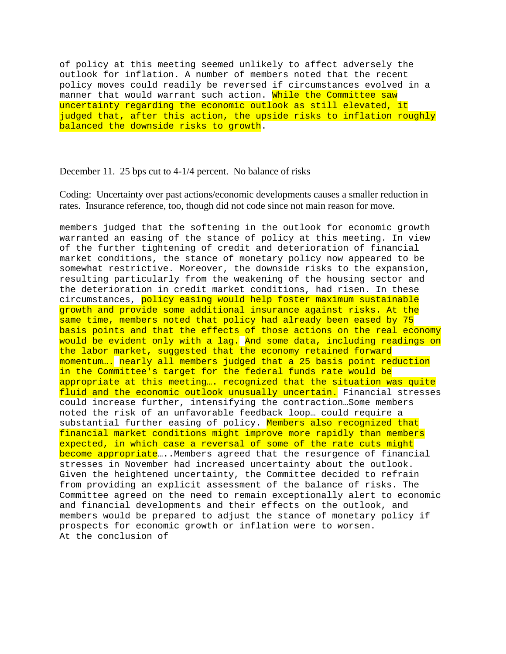of policy at this meeting seemed unlikely to affect adversely the outlook for inflation. A number of members noted that the recent policy moves could readily be reversed if circumstances evolved in a manner that would warrant such action. While the Committee saw uncertainty regarding the economic outlook as still elevated, it judged that, after this action, the upside risks to inflation roughly balanced the downside risks to growth.

December 11. 25 bps cut to 4-1/4 percent. No balance of risks

Coding: Uncertainty over past actions/economic developments causes a smaller reduction in rates. Insurance reference, too, though did not code since not main reason for move.

members judged that the softening in the outlook for economic growth warranted an easing of the stance of policy at this meeting. In view of the further tightening of credit and deterioration of financial market conditions, the stance of monetary policy now appeared to be somewhat restrictive. Moreover, the downside risks to the expansion, resulting particularly from the weakening of the housing sector and the deterioration in credit market conditions, had risen. In these circumstances, policy easing would help foster maximum sustainable growth and provide some additional insurance against risks. At the same time, members noted that policy had already been eased by 75 basis points and that the effects of those actions on the real economy would be evident only with a lag. And some data, including readings on the labor market, suggested that the economy retained forward momentum…. nearly all members judged that a 25 basis point reduction in the Committee's target for the federal funds rate would be appropriate at this meeting…. recognized that the situation was quite fluid and the economic outlook unusually uncertain. Financial stresses could increase further, intensifying the contraction…Some members noted the risk of an unfavorable feedback loop… could require a substantial further easing of policy. Members also recognized that financial market conditions might improve more rapidly than members expected, in which case a reversal of some of the rate cuts might become appropriate....Members agreed that the resurgence of financial stresses in November had increased uncertainty about the outlook. Given the heightened uncertainty, the Committee decided to refrain from providing an explicit assessment of the balance of risks. The Committee agreed on the need to remain exceptionally alert to economic and financial developments and their effects on the outlook, and members would be prepared to adjust the stance of monetary policy if prospects for economic growth or inflation were to worsen. At the conclusion of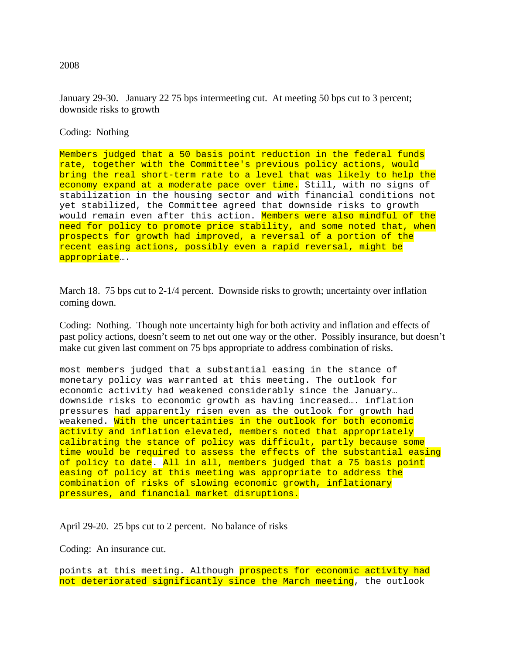January 29-30. January 22 75 bps intermeeting cut. At meeting 50 bps cut to 3 percent; downside risks to growth

Coding: Nothing

Members judged that a 50 basis point reduction in the federal funds rate, together with the Committee's previous policy actions, would bring the real short-term rate to a level that was likely to help the economy expand at a moderate pace over time. Still, with no signs of stabilization in the housing sector and with financial conditions not yet stabilized, the Committee agreed that downside risks to growth would remain even after this action. Members were also mindful of the need for policy to promote price stability, and some noted that, when prospects for growth had improved, a reversal of a portion of the recent easing actions, possibly even a rapid reversal, might be appropriate….

March 18. 75 bps cut to 2-1/4 percent. Downside risks to growth; uncertainty over inflation coming down.

Coding: Nothing. Though note uncertainty high for both activity and inflation and effects of past policy actions, doesn't seem to net out one way or the other. Possibly insurance, but doesn't make cut given last comment on 75 bps appropriate to address combination of risks.

most members judged that a substantial easing in the stance of monetary policy was warranted at this meeting. The outlook for economic activity had weakened considerably since the January… downside risks to economic growth as having increased…. inflation pressures had apparently risen even as the outlook for growth had weakened. With the uncertainties in the outlook for both economic activity and inflation elevated, members noted that appropriately calibrating the stance of policy was difficult, partly because some time would be required to assess the effects of the substantial easing of policy to date. All in all, members judged that a 75 basis point easing of policy at this meeting was appropriate to address the combination of risks of slowing economic growth, inflationary pressures, and financial market disruptions.

April 29-20. 25 bps cut to 2 percent. No balance of risks

Coding: An insurance cut.

points at this meeting. Although prospects for economic activity had not deteriorated significantly since the March meeting, the outlook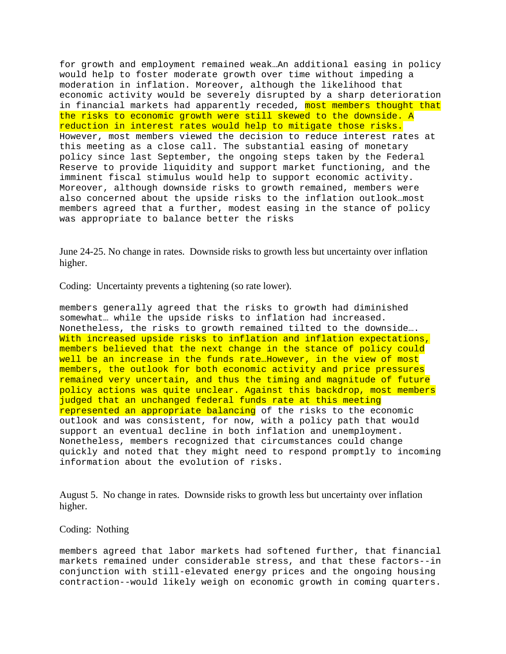for growth and employment remained weak…An additional easing in policy would help to foster moderate growth over time without impeding a moderation in inflation. Moreover, although the likelihood that economic activity would be severely disrupted by a sharp deterioration in financial markets had apparently receded, most members thought that the risks to economic growth were still skewed to the downside. A reduction in interest rates would help to mitigate those risks. However, most members viewed the decision to reduce interest rates at this meeting as a close call. The substantial easing of monetary policy since last September, the ongoing steps taken by the Federal Reserve to provide liquidity and support market functioning, and the imminent fiscal stimulus would help to support economic activity. Moreover, although downside risks to growth remained, members were also concerned about the upside risks to the inflation outlook…most members agreed that a further, modest easing in the stance of policy was appropriate to balance better the risks

June 24-25. No change in rates. Downside risks to growth less but uncertainty over inflation higher.

Coding: Uncertainty prevents a tightening (so rate lower).

members generally agreed that the risks to growth had diminished somewhat… while the upside risks to inflation had increased. Nonetheless, the risks to growth remained tilted to the downside…. With increased upside risks to inflation and inflation expectations, members believed that the next change in the stance of policy could well be an increase in the funds rate...However, in the view of most members, the outlook for both economic activity and price pressures remained very uncertain, and thus the timing and magnitude of future policy actions was quite unclear. Against this backdrop, most members judged that an unchanged federal funds rate at this meeting represented an appropriate balancing of the risks to the economic outlook and was consistent, for now, with a policy path that would support an eventual decline in both inflation and unemployment. Nonetheless, members recognized that circumstances could change quickly and noted that they might need to respond promptly to incoming information about the evolution of risks.

August 5. No change in rates. Downside risks to growth less but uncertainty over inflation higher.

### Coding: Nothing

members agreed that labor markets had softened further, that financial markets remained under considerable stress, and that these factors--in conjunction with still-elevated energy prices and the ongoing housing contraction--would likely weigh on economic growth in coming quarters.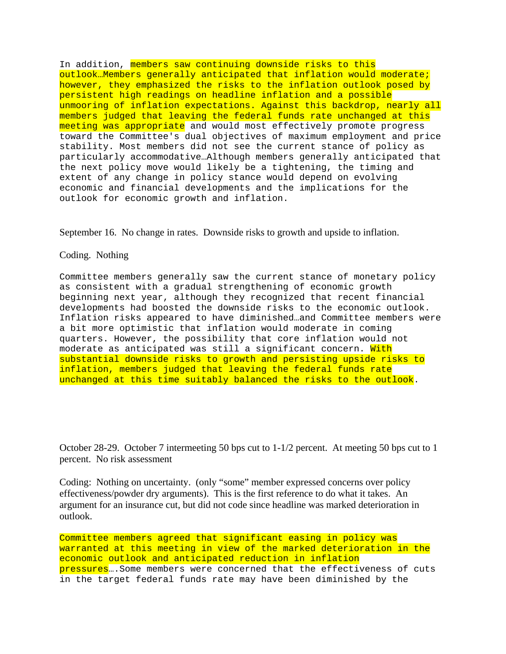In addition, members saw continuing downside risks to this outlook…Members generally anticipated that inflation would moderate; however, they emphasized the risks to the inflation outlook posed by persistent high readings on headline inflation and a possible unmooring of inflation expectations. Against this backdrop, nearly all members judged that leaving the federal funds rate unchanged at this meeting was appropriate and would most effectively promote progress toward the Committee's dual objectives of maximum employment and price stability. Most members did not see the current stance of policy as particularly accommodative…Although members generally anticipated that the next policy move would likely be a tightening, the timing and extent of any change in policy stance would depend on evolving economic and financial developments and the implications for the outlook for economic growth and inflation.

September 16. No change in rates. Downside risks to growth and upside to inflation.

### Coding. Nothing

Committee members generally saw the current stance of monetary policy as consistent with a gradual strengthening of economic growth beginning next year, although they recognized that recent financial developments had boosted the downside risks to the economic outlook. Inflation risks appeared to have diminished…and Committee members were a bit more optimistic that inflation would moderate in coming quarters. However, the possibility that core inflation would not moderate as anticipated was still a significant concern. With substantial downside risks to growth and persisting upside risks to inflation, members judged that leaving the federal funds rate unchanged at this time suitably balanced the risks to the outlook.

October 28-29. October 7 intermeeting 50 bps cut to 1-1/2 percent. At meeting 50 bps cut to 1 percent. No risk assessment

Coding: Nothing on uncertainty. (only "some" member expressed concerns over policy effectiveness/powder dry arguments). This is the first reference to do what it takes. An argument for an insurance cut, but did not code since headline was marked deterioration in outlook.

Committee members agreed that significant easing in policy was warranted at this meeting in view of the marked deterioration in the economic outlook and anticipated reduction in inflation pressures….Some members were concerned that the effectiveness of cuts in the target federal funds rate may have been diminished by the